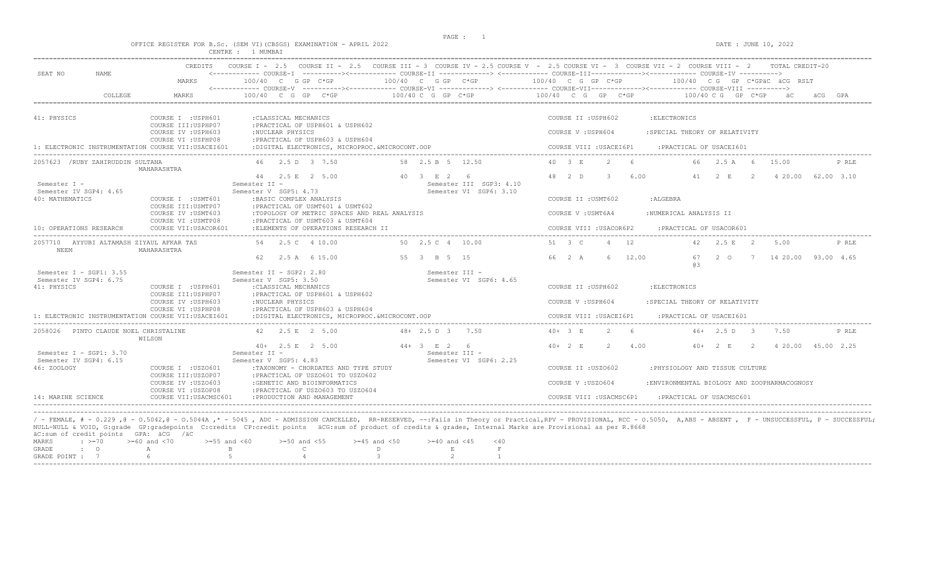OFFICE REGISTER FOR B.Sc. (SEM VI)(CBSGS) EXAMINATION - APRIL 2022 DATE : JUNE 10, 2022

|                                                                  |                                                                   | CENTRE : 1 MUMBAI                                                                                                   |                                                            |                                                                                                                                                                                                                                                                                                                                                     |
|------------------------------------------------------------------|-------------------------------------------------------------------|---------------------------------------------------------------------------------------------------------------------|------------------------------------------------------------|-----------------------------------------------------------------------------------------------------------------------------------------------------------------------------------------------------------------------------------------------------------------------------------------------------------------------------------------------------|
| SEAT NO<br>NAME                                                  | CREDITS<br>MARKS                                                  | $100/40$ C G GP C*GP                                                                                                | 100/40 C G GP C*GP                                         | COURSE I - 2.5 COURSE II - 2.5 COURSE III - 3 COURSE IV - 2.5 COURSE V - 2.5 COURSE VI - 3 COURSE VII - 2 COURSE VIII - 2 TOTAL CREDIT-20<br><------------ COURSE-I ----------><------------ COURSE-II -------------> <------------ COURSE-III------------><----------- COURSE-IV ----------><br>100/40 C G GP C*GP<br>100/40 CG GP C*GPÄC ÄCG RSLT |
| COLLEGE                                                          | MARKS                                                             | $100/40$ C G GP C*GP                                                                                                | $100/40 C G$ PC $KSP$                                      | 100/40 C G GP C*GP<br>$100/40 C G$ GP $C*GP$                                                                                                                                                                                                                                                                                                        |
| 41: PHYSICS                                                      | COURSE I : USPH601<br>COURSE III: USPHP07                         | : CLASSICAL MECHANICS<br>:PRACTICAL OF USPH601 & USPH602                                                            |                                                            | COURSE II : USPH602<br>: ELECTRONICS                                                                                                                                                                                                                                                                                                                |
| 1: ELECTRONIC INSTRUMENTATION COURSE VII:USACEI601               | COURSE IV : USPH603<br>COURSE VI : USPHP08                        | :NUCLEAR PHYSICS<br>: PRACTICAL OF USPH603 & USPH604<br>:DIGITAL ELECTRONICS, MICROPROC.&MICROCONT.OOP              |                                                            | : SPECIAL THEORY OF RELATIVITY<br>COURSE V : USPH604<br>COURSE VIII : USACEI6P1<br>: PRACTICAL OF USACEI601                                                                                                                                                                                                                                         |
| 2057623 / RUBY ZAHIRUDDIN SULTANA                                |                                                                   | 46 2.5 D 3 7.50                                                                                                     | 58 2.5 B 5 12.50                                           | 40 3 E<br>2<br>- 6<br>66 2.5 A 6<br>15.00<br>P RLE                                                                                                                                                                                                                                                                                                  |
| Semester I -                                                     | MAHARASHTRA                                                       | 44 2.5 E 2 5.00<br>Semester II -                                                                                    | 40 3 E 2 6<br>Semester III SGP3: 4.10                      | 6.00<br>48 2 D<br>$\mathcal{B}$<br>4 20.00<br>62.00 3.10<br>41<br>2 E<br>2                                                                                                                                                                                                                                                                          |
| Semester IV SGP4: 4.65<br>40: MATHEMATICS                        | COURSE I : USMT601                                                | Semester V SGP5: 4.73<br>: BASIC COMPLEX ANALYSIS                                                                   | Semester VI SGP6: 3.10                                     | COURSE II : USMT602<br>:ALGEBRA                                                                                                                                                                                                                                                                                                                     |
|                                                                  | COURSE III: USMTP07<br>COURSE IV : USMT603<br>COURSE VI : USMTP08 | : PRACTICAL OF USMT601 & USMT602<br>:TOPOLOGY OF METRIC SPACES AND REAL ANALYSIS<br>:PRACTICAL OF USMT603 & USMT604 |                                                            | :NUMERICAL ANALYSIS II<br>COURSE V: USMT6A4                                                                                                                                                                                                                                                                                                         |
| 10: OPERATIONS RESEARCH                                          | COURSE VII: USACOR601                                             | :ELEMENTS OF OPERATIONS RESEARCH II                                                                                 |                                                            | COURSE VIII : USACOR6P2<br>:PRACTICAL OF USACOR601                                                                                                                                                                                                                                                                                                  |
| 2057710 AYYUBI ALTAMASH ZIYAUL AFKAR TAS<br>NEEM                 | MAHARASHTRA                                                       | 54 2.5 C 4 10.00                                                                                                    | 50 2.5 C 4 10.00                                           | 42 2.5 E 2<br>51 3 C<br>4 12<br>5.00<br>P RLE                                                                                                                                                                                                                                                                                                       |
|                                                                  |                                                                   | 2.5 A 6 15.00<br>62.                                                                                                | 55 3 B 5 15                                                | 66 2 A<br>6<br>12.00<br>67<br>$2\degree$ 0<br>$7\overline{7}$<br>14 20.00 93.00 4.65<br>63                                                                                                                                                                                                                                                          |
| Semester I - SGP1: 3.55<br>Semester IV SGP4: 6.75<br>41: PHYSICS | COURSE I : USPH601<br>COURSE III: USPHP07                         | Semester II - SGP2: 2.80<br>Semester V SGP5: 3.50<br>: CLASSICAL MECHANICS<br>:PRACTICAL OF USPH601 & USPH602       | Semester III -<br>Semester VI SGP6: 4.65                   | COURSE II : USPH602<br>: ELECTRONICS                                                                                                                                                                                                                                                                                                                |
|                                                                  | COURSE IV : USPH603<br>COURSE VI : USPHP08                        | :NUCLEAR PHYSICS<br>: PRACTICAL OF USPH603 & USPH604                                                                |                                                            | COURSE V: USPH604<br>: SPECIAL THEORY OF RELATIVITY                                                                                                                                                                                                                                                                                                 |
| 1: ELECTRONIC INSTRUMENTATION COURSE VII:USACEI601               |                                                                   | :DIGITAL ELECTRONICS, MICROPROC.&MICROCONT.OOP                                                                      |                                                            | COURSE VIII : USACEI6P1<br>:PRACTICAL OF USACEI601                                                                                                                                                                                                                                                                                                  |
| 2058026 PINTO CLAUDE NOEL CHRISTALINE                            | WILSON                                                            | 42 2.5 E 2 5.00                                                                                                     | $48 + 2.5$ D 3 7.50                                        | $40 + 3$ F.<br>$\mathcal{L}$<br>- 6<br>$46+$ 2.5 D<br>7.50<br>P RLE<br>$\overline{\phantom{a}3}$                                                                                                                                                                                                                                                    |
| Semester I - SGP1: $3.70$<br>Semester IV SGP4: 6.15              |                                                                   | $40+$ 2.5 E 2 5.00<br>Semester II -<br>Semester V SGP5: 4.83                                                        | $44 + 3$ F 2 6<br>Semester III -<br>Semester VI SGP6: 2.25 | $40 + 2$ F<br>$\overline{2}$<br>4.00<br>$40+$<br>$2 - E$<br>$\overline{2}$<br>4 20.00 45.00 2.25                                                                                                                                                                                                                                                    |
| 46: ZOOLOGY                                                      | COURSE I : USZO601<br>COURSE III: USZOP07<br>COURSE IV : USZ0603  | : TAXONOMY - CHORDATES AND TYPE STUDY<br>: PRACTICAL OF USZO601 TO USZO602<br>:GENETIC AND BIOINFORMATICS           |                                                            | COURSE II : USZ0602<br>: PHYSIOLOGY AND TISSUE CULTURE<br>COURSE V: USZ0604<br>:ENVIRONMENTAL BIOLOGY AND ZOOPHARMACOGNOSY                                                                                                                                                                                                                          |
| 14: MARINE SCIENCE                                               | COURSE VI : USZOP08<br>COURSE VII: USACMSC601                     | : PRACTICAL OF USZO603 TO USZO604<br>: PRODUCTION AND MANAGEMENT                                                    |                                                            | : PRACTICAL OF USACMSC601<br>COURSE VIII : USACMSC6P1                                                                                                                                                                                                                                                                                               |

/ - FEMALE, # - 0.229 ,@ - 0.5042,@ - 0.5044A ,\* - 5045 , ADC - ADMISSION CANCELLED, RR-RESERVED, --:Fails in Theory or Practical,RPV - PROVISIONAL, RCC - 0.5050, A,ABS - ABSENT , F - UNSUCCESSFUL, P - SUCCESSFUL;<br>NULL-NUL äC:sum of credit points GPA: äCG /äC

|  |  | MARKS : >=70 >=60 and <70 >=55 and <60 >=50 and <55 >=45 and <50 >=40 and <45 <40 |  |  |  |
|--|--|-----------------------------------------------------------------------------------|--|--|--|
|  |  | GRADE : O A B C D E F                                                             |  |  |  |
|  |  | GRADE POINT : $7$ 6 5 5 4 5 3 2 1                                                 |  |  |  |
|  |  |                                                                                   |  |  |  |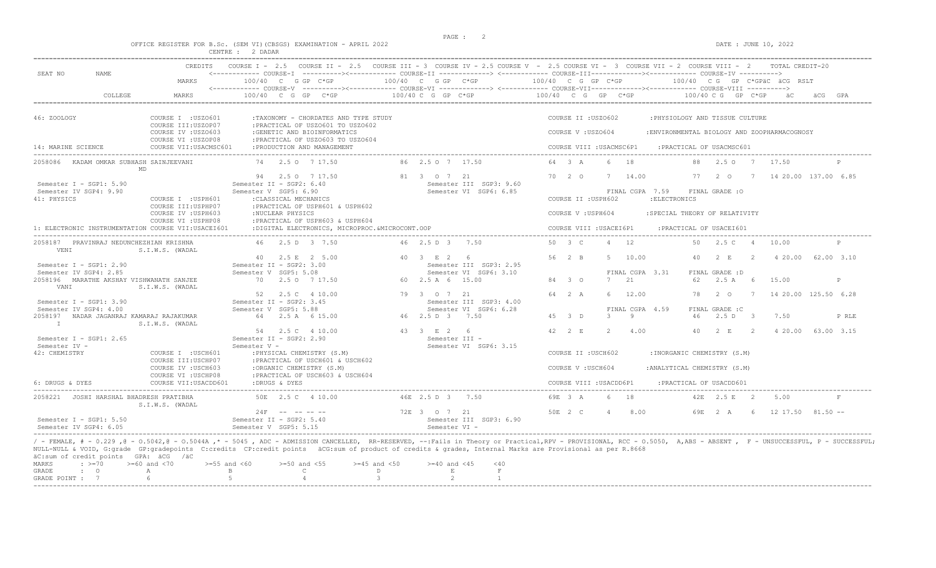DATE : JUNE 10, 2022

|                                                                  |                                                                                         | OFFICE REGISTER FOR B.Sc. (SEM VI)(CBSGS) EXAMINATION - APRIL 2022<br>CENTRE : 2 DADAR                                                                                                    |                                                                  | DATE : JUNE 10, 2022                                                                                                                                                                                                                                                                                              |
|------------------------------------------------------------------|-----------------------------------------------------------------------------------------|-------------------------------------------------------------------------------------------------------------------------------------------------------------------------------------------|------------------------------------------------------------------|-------------------------------------------------------------------------------------------------------------------------------------------------------------------------------------------------------------------------------------------------------------------------------------------------------------------|
| SEAT NO<br>NAME                                                  | CREDITS<br>MARKS                                                                        | COURSE $T = 2.5$<br>$100/40$ C G GP C*GP                                                                                                                                                  | $100/40$ C G GP C*GP $100/40$ C G GP C*GP                        | COURSE II - 2.5 COURSE III - 3 COURSE IV - 2.5 COURSE V - 2.5 COURSE VI - 3 COURSE VII - 2 COURSE VIII - 2<br>TOTAL CREDIT-20<br><------------ COURSE-I ----------><----------- COURSE-II -------------> <------------ COURSE-III-----------><------------ COURSE-IV ---------->><br>100/40 CG GP C*GPÄC ÄCG RSLT |
| COLLEGE                                                          | MARKS                                                                                   | $100/40$ C G GP C*GP                                                                                                                                                                      | $100/40$ C G GP C*GP                                             | 100/40 C G GP C*GP<br>$100/40$ C G GP C*GP<br>GPA                                                                                                                                                                                                                                                                 |
| 46: ZOOLOGY                                                      | COURSE I : USZO601<br>COURSE III: USZOP07                                               | :TAXONOMY - CHORDATES AND TYPE STUDY<br>:PRACTICAL OF USZO601 TO USZO602                                                                                                                  |                                                                  | COURSE II :USZO602<br>: PHYSIOLOGY AND TISSUE CULTURE                                                                                                                                                                                                                                                             |
| 14: MARINE SCIENCE                                               | COURSE IV : USZ0603<br>COURSE VI : USZOP08<br>COURSE VII: USACMSC601                    | : GENETIC AND BIOINFORMATICS<br>:PRACTICAL OF USZO603 TO USZO604<br>: PRODUCTION AND MANAGEMENT                                                                                           |                                                                  | COURSE V : USZ0604<br>:ENVIRONMENTAL BIOLOGY AND ZOOPHARMACOGNOSY<br>: PRACTICAL OF USACMSC601<br>COURSE VIII : USACMSC6P1                                                                                                                                                                                        |
| 2058086<br>KADAM OMKAR SUBHASH SAINJEEVANI                       | MD                                                                                      | 74 2.5 0 7 17.50                                                                                                                                                                          | 86 2.5 0 7 17.50                                                 | 64 3 A 6 18<br>88<br>17.50<br>$\mathbb{P}$<br>2.50 7                                                                                                                                                                                                                                                              |
| Semester I - SGP1: 5.90<br>Semester IV SGP4: 9.90<br>41: PHYSICS | COURSE I : USPH601<br>COURSE III: USPHP07<br>COURSE IV : USPH603<br>COURSE VI : USPHP08 | 94 2.5 0 7 17.50<br>Semester II - SGP2: 6.40<br>Semester V SGP5: 6.90<br>: CLASSICAL MECHANICS<br>:PRACTICAL OF USPH601 & USPH602<br>:NUCLEAR PHYSICS<br>: PRACTICAL OF USPH603 & USPH604 | 81 3 0 7 21<br>Semester III SGP3: 9.60<br>Semester VI SGP6: 6.85 | 77 2 0 7<br>14 20.00 137.00 6.85<br>70    2    0    7   14.00<br>FINAL CGPA 7.59<br>FINAL GRADE : O<br>: ELECTRONICS<br>COURSE II :USPH602<br>COURSE V: USPH604<br>:SPECIAL THEORY OF RELATIVITY                                                                                                                  |

|                                                     | COURSE III:USPHP07<br>COURSE IV : USPH603<br>COURSE VI : USPHP08 |              | :NUCLEAR PHYSICS             | :PRACTICAL OF USPH601 & USPH602<br>: PRACTICAL OF USPH603 & USPH604                                                                                                                                                                                        |  |                               |                         |  |         | COURSE V: USPH604       |               |                 | :SPECIAL THEORY OF RELATIVITY |    |                  |                       |            |
|-----------------------------------------------------|------------------------------------------------------------------|--------------|------------------------------|------------------------------------------------------------------------------------------------------------------------------------------------------------------------------------------------------------------------------------------------------------|--|-------------------------------|-------------------------|--|---------|-------------------------|---------------|-----------------|-------------------------------|----|------------------|-----------------------|------------|
| 1: ELECTRONIC INSTRUMENTATION COURSE VII:USACEI601  |                                                                  |              |                              | :DIGITAL ELECTRONICS, MICROPROC.&MICROCONT.OOP                                                                                                                                                                                                             |  |                               |                         |  |         | COURSE VIII : USACEI6P1 |               |                 | : PRACTICAL OF USACEI601      |    |                  |                       |            |
| PRAVINRAJ NEDUNCHEZHIAN KRISHNA<br>2058187<br>VENI  | S.I.W.S. (WADAL                                                  |              |                              | 46 2.5 D 3 7.50                                                                                                                                                                                                                                            |  | 46 2.5 D 3 7.50               |                         |  | 50 3 C  |                         |               | 12              |                               | 50 | 2.5 C            | 10.00                 | P          |
| Semester I - SGP1: 2.90                             |                                                                  |              | 40                           | 2.5 E 2 5.00<br>Semester II - SGP2: 3.00                                                                                                                                                                                                                   |  | 40 3 E 2 6                    | Semester III SGP3: 2.95 |  | 56 2 B  | .5                      |               | 10.00           |                               | 40 | 2 E              | 4 20.00               | 62.00 3.10 |
| Semester IV SGP4: 2.85                              |                                                                  |              | Semester V SGP5: 5.08        |                                                                                                                                                                                                                                                            |  |                               | Semester VI SGP6: 3.10  |  |         |                         |               | FINAL CGPA 3.31 |                               |    | FINAL GRADE : D  |                       |            |
| 2058196 MARATHE AKSHAY VISHWANATH SANJEE<br>VANI    | S.I.W.S. (WADAL                                                  | 70           |                              | 2.5 0 7 17.50                                                                                                                                                                                                                                              |  | 60 2.5 A 6 15.00              |                         |  | 84 3 0  |                         | 7 21          |                 |                               | 62 | $2.5 A$ 6        | 15.00                 | P          |
| Semester I - SGP1: $3.90$                           |                                                                  |              | 52                           | 2.5 C 4 10.00<br>Semester II - SGP2: 3.45                                                                                                                                                                                                                  |  | 79 3 0 7 21                   | Semester III SGP3: 4.00 |  | 64 2 A  |                         |               | 12.00           |                               | 78 | 2 O              | 14 20.00 125.50 6.28  |            |
| Semester IV SGP4: 4.00                              |                                                                  |              | Semester V SGP5: 5.88        |                                                                                                                                                                                                                                                            |  |                               | Semester VI SGP6: 6.28  |  |         |                         |               | FINAL CGPA 4.59 |                               |    | FINAL GRADE : C  |                       |            |
| 2058197<br>NADAR JAGANRAJ KAMARAJ RAJAKUMAR         | S.I.W.S. (WADAL                                                  | 64           |                              | 2.5 A 6 15.00                                                                                                                                                                                                                                              |  | 46 2.5 D 3                    | 7.50                    |  | 45 3 D  |                         | $\mathcal{S}$ | -9              |                               | 46 | 2.5 D 3          | 7.50                  | P RLE      |
| Semester I - SGP1: 2.65                             |                                                                  |              |                              | 54 2.5 C 4 10.00<br>Semester II - SGP2: 2.90                                                                                                                                                                                                               |  | 43 3 E 2 6<br>Semester III -  |                         |  | 42 2 E  |                         |               | 4.00            |                               |    | $2 - E$          | 4 20.00               | 63.00 3.15 |
| Semester IV -                                       |                                                                  | Semester V - |                              |                                                                                                                                                                                                                                                            |  |                               | Semester VI SGP6: 3.15  |  |         |                         |               |                 |                               |    |                  |                       |            |
| 42: CHEMISTRY                                       | COURSE I : USCH601<br>COURSE III: USCHP07                        |              |                              | : PHYSICAL CHEMISTRY (S.M)<br>: PRACTICAL OF USCH601 & USCH602                                                                                                                                                                                             |  |                               |                         |  |         | COURSE II : USCH602     |               |                 | : INORGANIC CHEMISTRY (S.M)   |    |                  |                       |            |
|                                                     | COURSE IV : USCH603<br>COURSE VI : USCHP08                       |              |                              | :ORGANIC CHEMISTRY (S.M)<br>: PRACTICAL OF USCH603 & USCH604                                                                                                                                                                                               |  |                               |                         |  |         | COURSE V: USCH604       |               |                 | : ANALYTICAL CHEMISTRY (S.M)  |    |                  |                       |            |
| 6: DRUGS & DYES                                     | COURSE VII: USACDD601                                            |              | :DRUGS & DYES                |                                                                                                                                                                                                                                                            |  |                               |                         |  |         | COURSE VIII : USACDD6P1 |               |                 | :PRACTICAL OF USACDD601       |    |                  |                       |            |
| 2058221<br>JOSHI HARSHAL BHADRESH PRATIBHA          | S.I.W.S. (WADAL                                                  |              |                              | 50E 2.5 C 4 10.00                                                                                                                                                                                                                                          |  | 46E 2.5 D 3 7.50              |                         |  | 69E 3 A |                         |               | 18              |                               |    | $42E$ $2.5E$ $2$ | 5.00                  |            |
| Semester I - SGP1: $5.50$<br>Semester IV SGP4: 6.05 |                                                                  |              | 24F<br>Semester V SGP5: 5.15 | and the second state of the second state of the second state of the second state of the second state of the second state of the second state of the second state of the second state of the second state of the second state o<br>Semester II - SGP2: 5.40 |  | 72E 3 0 7 21<br>Semester VT - | Semester III SGP3: 6.90 |  | 50E 2 C | 4                       |               | 8.00            |                               |    | 69E 2 A          | $12, 17.50$ $81.50 -$ |            |

/ - FEMALE, # - 0.229 ,@ - 0.5042,@ - 0.5044A ,\* - 5045 , ADC - ADMISSION CANCELLED, RR-RESERVED, --:Fails in Theory or Practical,RPV - PROVISIONAL, RCC - 0.5050, A,ABS - ABSENT , F - UNSUCCESSFUL, P - SUCCESSFUL; NULL-NULL & VOID, G:grade GP:gradepoints C:credits CP:credit points äCG:sum of product of credits & grades, Internal Marks are Provisional as per R.8668 äC:sum of credit points GPA: äCG /äC MARKS :  $>=70$   $>=60$  and <70  $>=55$  and <60  $>=50$  and <55  $>=45$  and <50  $>=40$  and <45 <40  $>$  E  $>$  F B C D

| ------        |  |  |  |  |
|---------------|--|--|--|--|
| GRADE POINT : |  |  |  |  |
|               |  |  |  |  |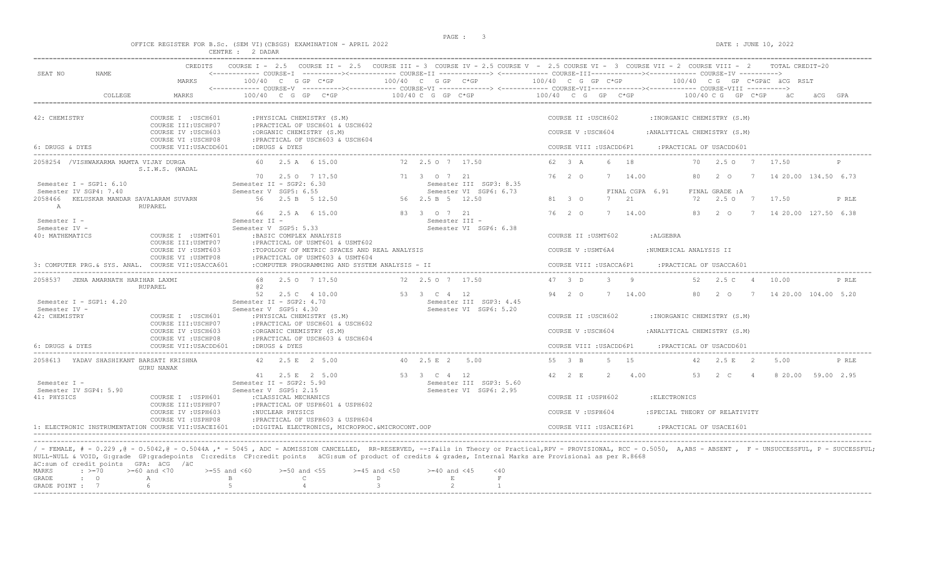|                                                                                               |                                                                                         | OFFICE REGISTER FOR B.Sc. (SEM VI) (CBSGS) EXAMINATION - APRIL 2022<br>CENTRE : 2 DADAR                                                                                                                    |                                                                                      | DATE : JUNE 10, 2022                                                                                                                                                                                                                                                                                                                                                                                                                                                                                   |
|-----------------------------------------------------------------------------------------------|-----------------------------------------------------------------------------------------|------------------------------------------------------------------------------------------------------------------------------------------------------------------------------------------------------------|--------------------------------------------------------------------------------------|--------------------------------------------------------------------------------------------------------------------------------------------------------------------------------------------------------------------------------------------------------------------------------------------------------------------------------------------------------------------------------------------------------------------------------------------------------------------------------------------------------|
| SEAT NO<br><b>NAME</b>                                                                        | CREDITS<br>MARKS                                                                        | $100/40$ C G GP C*GP                                                                                                                                                                                       | $100/40$ C G GP $C*GP$                                                               | COURSE I - 2.5 COURSE II - 2.5 COURSE III - 3 COURSE IV - 2.5 COURSE V - 2.5 COURSE VI - 3 COURSE VII - 2 COURSE VIII - 2<br>TOTAL CREDIT-20<br><------------ COURSE-T ----------><----------- COURSE-TT -------------> <------------ COURSE-TTT--------------><----------- COURSE-TV ----------><br>$100/40$ C G GP C*GP<br>$100/40$ CG GP C*GPAC ACG RSLT<br><------------ COURSE-V -----------><----------- COURSE-VI -------------> <------------ COURSE-VII-------------> COURSE-VIII ----------> |
| COLLEGE                                                                                       | MARKS                                                                                   | $100/40$ C G GP C*GP                                                                                                                                                                                       | $100/40$ C G GP C*GP                                                                 | $100/40$ C G GP C*GP $100/40$ C G GP C*GP<br>GPA                                                                                                                                                                                                                                                                                                                                                                                                                                                       |
| 42: CHEMISTRY                                                                                 | COURSE I : USCH601<br>COURSE III: USCHP07<br>COURSE IV : USCH603<br>COURSE VI : USCHP08 | : PHYSICAL CHEMISTRY (S.M)<br>: PRACTICAL OF USCH601 & USCH602<br>:ORGANIC CHEMISTRY (S.M)<br>: PRACTICAL OF USCH603 & USCH604                                                                             |                                                                                      | COURSE II : USCH602<br>: INORGANIC CHEMISTRY (S.M)<br>COURSE V: USCH604<br>: ANALYTICAL CHEMISTRY (S.M)                                                                                                                                                                                                                                                                                                                                                                                                |
| 6: DRUGS & DYES                                                                               | COURSE VII: USACDD601                                                                   | :DRUGS & DYES                                                                                                                                                                                              |                                                                                      | COURSE VIII : USACDD6P1<br>: PRACTICAL OF USACDD601                                                                                                                                                                                                                                                                                                                                                                                                                                                    |
| 2058254 /VISHWAKARMA MAMTA VIJAY DURGA                                                        | S.I.W.S. (WADAL                                                                         | 60 2.5 A 6 15.00                                                                                                                                                                                           | 72 2.5 0 7 17.50                                                                     | 62 3 A<br>6 18<br>2.50 7<br>70<br>17.50                                                                                                                                                                                                                                                                                                                                                                                                                                                                |
| Semester I - SGP1: 6.10<br>Semester IV SGP4: 7.40<br>2058466 KELUSKAR MANDAR SAVALARAM SUVARN |                                                                                         | 70 2.5 0 7 17.50<br>Semester II - SGP2: 6.30<br>Semester V SGP5: 6.55<br>2.5 B 5 12.50<br>56                                                                                                               | 71 3 0 7 21<br>Semester III SGP3: 8.35<br>Semester VI SGP6: 6.73<br>56 2.5 B 5 12.50 | 76 2 0<br>80<br>$2\degree$ 0<br>14 20.00 134.50 6.73<br>7<br>14.00<br>7<br>FINAL CGPA 6.91<br>FINAL GRADE : A<br>7 21<br>81 3 0<br>72 2.50 7<br>17.50<br>P RLE                                                                                                                                                                                                                                                                                                                                         |
| A<br>Semester I -<br>Semester IV -<br>40: MATHEMATICS                                         | RUPAREL<br>COURSE I : USMT601                                                           | 66 2.5 A 6 15.00<br>Semester II -<br>Semester V SGP5: 5.33<br>:BASIC COMPLEX ANALYSIS                                                                                                                      | 83 3 0 7 21<br>Semester III -<br>Semester VI SGP6: 6.38                              | 76 2 0<br>7 14.00<br>14 20.00 127.50 6.38<br>83<br>2 O<br>$7^{\circ}$<br>COURSE II : USMT602<br>: ALGEBRA                                                                                                                                                                                                                                                                                                                                                                                              |
|                                                                                               | COURSE III: USMTP07<br>COURSE IV : USMT603<br>COURSE VI : USMTP08                       | :PRACTICAL OF USMT601 & USMT602<br>:TOPOLOGY OF METRIC SPACES AND REAL ANALYSIS<br>: PRACTICAL OF USMT603 & USMT604                                                                                        |                                                                                      | :NUMERICAL ANALYSIS II<br>COURSE V: USMT6A4                                                                                                                                                                                                                                                                                                                                                                                                                                                            |
| 3: COMPUTER PRG. & SYS. ANAL. COURSE VII:USACCA601                                            |                                                                                         | :COMPUTER PROGRAMMING AND SYSTEM ANALYSIS - II                                                                                                                                                             |                                                                                      | COURSE VIII : USACCA6P1<br>PRACTICAL OF USACCA601:                                                                                                                                                                                                                                                                                                                                                                                                                                                     |
| 2058537 JENA AMARNATH HARIHAR LAXMI                                                           | <b>RUPAREL</b>                                                                          | 2.5 0 7 17.50<br>68.<br>a2                                                                                                                                                                                 | 72 2.5 0 7 17.50                                                                     | 47 3 D<br>$\overline{3}$ $\overline{9}$<br>52 2.5 C 4<br>P RLE<br>10.00                                                                                                                                                                                                                                                                                                                                                                                                                                |
| Semester I - SGP1: 4.20<br>Semester IV -<br>42: CHEMISTRY                                     | COURSE I : USCH601<br>COURSE III: USCHP07<br>COURSE IV : USCH603<br>COURSE VI : USCHP08 | 52<br>2.5 C 4 10.00<br>Semester II - SGP2: 4.70<br>Semester V SGP5: 4.30<br>: PHYSICAL CHEMISTRY (S.M)<br>: PRACTICAL OF USCH601 & USCH602<br>:ORGANIC CHEMISTRY (S.M)<br>: PRACTICAL OF USCH603 & USCH604 | 53 3 C 4 12<br>Semester III SGP3: 4.45<br>Semester VI SGP6: 5.20                     | 94 2 0<br>7 14.00<br>80<br>20<br>14 20.00 104.00 5.20<br>$7\phantom{0}$<br>COURSE II : USCH602<br>: INORGANIC CHEMISTRY (S.M)<br>COURSE V: USCH604<br>: ANALYTICAL CHEMISTRY (S.M)                                                                                                                                                                                                                                                                                                                     |
| 6: DRUGS & DYES                                                                               | COURSE VII: USACDD601                                                                   | :DRUGS & DYES                                                                                                                                                                                              |                                                                                      | COURSE VIII : USACDD6P1<br>: PRACTICAL OF USACDD601                                                                                                                                                                                                                                                                                                                                                                                                                                                    |
| 2058613 YADAV SHASHIKANT BARSATI KRISHNA                                                      |                                                                                         | 42 2.5 E 2 5.00                                                                                                                                                                                            | 40 2.5 E 2 5.00                                                                      | 55 3 B 5 15 42 2.5 E 2 5.00                                                                                                                                                                                                                                                                                                                                                                                                                                                                            |

41: PHYSICS COURSE I :USPH601 :CLASSICAL MECHANICS COURSE II :USPH602 :ELECTRONICS

Semester IV SGP4: 5.90 Semester V SGP5: 2.15 Semester VI SGP6: 2.95

COURSE III:USPHP07 :PRACTICAL OF USPH601 & USPH602

GURU NANAK

COURSE IV :USPH603 : NUCLEAR PHYSICS<br>COURSE VI :USPHP08 : PRACTICAL OF USPH603 & USPH604 :PRACTICAL OF USPH603 & USPH604 1: ELECTRONIC INSTRUMENTATION COURSE VII:USACEI601 :DIGITAL ELECTRONICS, MICROPROC.&MICROCONT.OOP COURSE VIII :USACEI6P1 :PRACTICAL OF USACEI601 ----------------------------------------------------------------------------------------------------------------------------------------------------------------------------------------------------------------------- ----------------------------------------------------------------------------------------------------------------------------------------------------------------------------------------------------------------------- / - FEMALE, # - 0.229 ,@ - O.5042,@ - O.5044A ,\* - 5045 , ADC - ADMISSION CANCELLED, RR-RESERVED, --:Fails in Theory or Practical,RPV - PROVISIONAL, RCC - O.5050, A,ABS - ABSENT , F - UNSUCCESSFUL, P - SUCCESSFUL; NULL-NULL & VOID, G:grade GP:gradepoints C:credits CP:credit points äCG:sum of product of credits & grades, Internal Marks are Provisional as per R.8668 äC:sum of credit points GPA: äCG /äC MARKS : >=70 >=60 and <70 >=55 and <60 >=50 and <55 >=45 and <50 >=40 and <45 <40

| MARKS         | ->= / ! ! | >=bu and < /u | >=ɔɔ anɑ <bu< th=""><th>רכ&gt; and טכ=&lt;</th><th>&gt;=45 and &lt;50</th><th>ano &lt;45</th><th>≦4 U</th><th></th></bu<>                                                                                                                                                         | רכ> and טכ=< | >=45 and <50 | ano <45 | ≦4 U |  |
|---------------|-----------|---------------|-----------------------------------------------------------------------------------------------------------------------------------------------------------------------------------------------------------------------------------------------------------------------------------|--------------|--------------|---------|------|--|
| GRADE : O     |           | $\mathbb A$   | $\mathbb{R}$ and $\mathbb{R}$ are the set of $\mathbb{R}$ and $\mathbb{R}$ and $\mathbb{R}$ are the set of $\mathbb{R}$ and $\mathbb{R}$ are the set of $\mathbb{R}$ and $\mathbb{R}$ are the set of $\mathbb{R}$ and $\mathbb{R}$ are the set of $\mathbb{R}$ and $\mathbb{R}$ a |              |              |         |      |  |
| GRADE POINT : |           |               | $\sim$ 4                                                                                                                                                                                                                                                                          |              |              |         |      |  |
|               |           |               |                                                                                                                                                                                                                                                                                   |              |              |         |      |  |

41 2.5 E 2 5.00 53 3 C 4 12 42 2 E 2 4.00 53 2 C 4 8 20.00 59.00 2.95<br>Semester II - SGP2: 5.90 Semester III SGP3: 5.60 Semester III SGP3: 5.60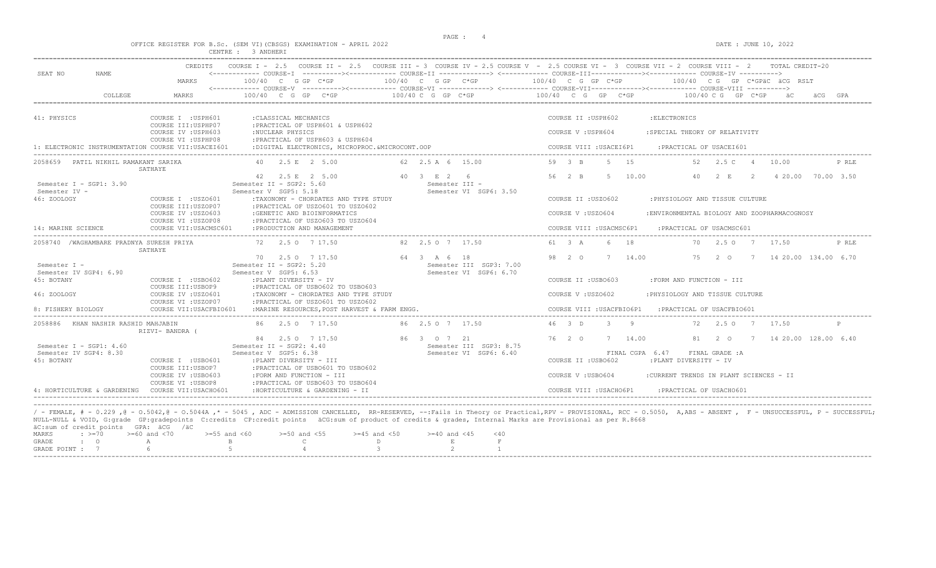|                                                                                                                       |                                                                                                                              | OFFICE REGISTER FOR B.Sc. (SEM VI) (CBSGS) EXAMINATION - APRIL 2022<br>CENTRE : 3 ANDHERI                                                                                                                                                                        |                                                                  | DATE : JUNE 10, 2022                                                                                                                                                                                                                                                                                                                                                                                    |
|-----------------------------------------------------------------------------------------------------------------------|------------------------------------------------------------------------------------------------------------------------------|------------------------------------------------------------------------------------------------------------------------------------------------------------------------------------------------------------------------------------------------------------------|------------------------------------------------------------------|---------------------------------------------------------------------------------------------------------------------------------------------------------------------------------------------------------------------------------------------------------------------------------------------------------------------------------------------------------------------------------------------------------|
| SEAT NO<br>NAME<br>COLLEGE                                                                                            | CREDITS<br>MARKS<br><b>MARKS</b>                                                                                             | $100/40$ C G GP C*GP<br>$100/40$ C G GP C*GP                                                                                                                                                                                                                     | 100/40 C G GP C*GP<br>$100/40$ C G GP C*GP                       | COURSE I - 2.5 COURSE II - 2.5 COURSE III - 3 COURSE IV - 2.5 COURSE V - 2.5 COURSE VI - 3 COURSE VII - 2 COURSE VIII - 2<br>TOTAL CREDIT-20<br>100/40 C G GP C*GP<br>100/40 CG GP C*GPÄC ÄCG RSLT<br><------------ COURSE-V -----------><----------- COURSE-VI -------------> <------------ COURSE-VIII------------- COURSE-VIII ----------><br>100/40 C G GP C*GP<br>100/40 C G GP C*GP<br>äCG<br>GPA |
| 41: PHYSICS<br>1: ELECTRONIC INSTRUMENTATION COURSE VII:USACEI601                                                     | COURSE I : USPH601<br>COURSE III: USPHP07<br>COURSE IV : USPH603<br>COURSE VI : USPHP08                                      | : CLASSICAL MECHANICS<br>:PRACTICAL OF USPH601 & USPH602<br>:NUCLEAR PHYSICS<br>: PRACTICAL OF USPH603 & USPH604<br>:DIGITAL ELECTRONICS, MICROPROC. &MICROCONT. OOP                                                                                             |                                                                  | COURSE II : USPH602<br>: ELECTRONICS<br>COURSE V: USPH604<br>:SPECIAL THEORY OF RELATIVITY<br>COURSE VIII : USACEI6P1<br>: PRACTICAL OF USACEI601                                                                                                                                                                                                                                                       |
| 2058659 PATIL NIKHIL RAMAKANT SARIKA                                                                                  | SATHAYE                                                                                                                      | 40 2.5 E 2 5.00                                                                                                                                                                                                                                                  | 62 2.5 A 6 15.00                                                 | 59 3 B<br>5 15<br>52   2.5   C   4   10.00<br>P RLE                                                                                                                                                                                                                                                                                                                                                     |
| Semester I - SGP1: 3.90<br>Semester IV -<br>46: ZOOLOGY<br>14: MARINE SCIENCE                                         | COURSE I : USZO601<br>COURSE III: USZOP07<br>COURSE IV : USZO603<br>COURSE VI : USZOP08<br>COURSE VII: USACMSC601            | 42 2.5 E 2 5.00<br>Semester II - SGP2: 5.60<br>Semester V SGP5: 5.18<br>:TAXONOMY - CHORDATES AND TYPE STUDY<br>: PRACTICAL OF USZO601 TO USZO602<br>:GENETIC AND BIOINFORMATICS<br>: PRACTICAL OF USZO603 TO USZO604<br>: PRODUCTION AND MANAGEMENT             | 40 3 E 2 6<br>Semester III -<br>Semester VI SGP6: 3.50           | 5 <sup>5</sup><br>56 2 B<br>10.00<br>40<br>2 E<br>2 4 20.00 70.00 3.50<br>COURSE II : USZ0602<br>: PHYSIOLOGY AND TISSUE CULTURE<br>COURSE V: USZ0604<br>:ENVIRONMENTAL BIOLOGY AND ZOOPHARMACOGNOSY<br>COURSE VIII : USACMSC6P1<br>:PRACTICAL OF USACMSC601                                                                                                                                            |
| 2058740 /WAGHAMBARE PRADNYA SURESH PRIYA                                                                              |                                                                                                                              | 72 2.5 0 7 17.50                                                                                                                                                                                                                                                 | 82 2.5 0 7 17.50                                                 | 18<br>61 3 A<br>- 6<br>2.50 7 17.50<br>P RLE<br>70                                                                                                                                                                                                                                                                                                                                                      |
| Semester I -<br>Semester IV SGP4: 6.90<br>45: BOTANY<br>46: ZOOLOGY<br>8: FISHERY BIOLOGY                             | SATHAYE<br>COURSE I : USBO602<br>COURSE III: USBOP9<br>COURSE IV : USZO601<br>COURSE VI : USZOP07<br>COURSE VII: USACFBIO601 | 70 2.5 0 7 17.50<br>Semester II - SGP2: 5.20<br>Semester V SGP5: 6.53<br>:PLANT DIVERSITY - IV<br>: PRACTICAL OF USBO602 TO USBO603<br>:TAXONOMY - CHORDATES AND TYPE STUDY<br>: PRACTICAL OF USZO601 TO USZO602<br>:MARINE RESOURCES. POST HARVEST & FARM ENGG. | 64 3 A 6 18<br>Semester III SGP3: 7.00<br>Semester VI SGP6: 6.70 | 98 2 0<br>7 14.00<br>75 2 0 7 14 20.00 134.00 6.70<br>COURSE II : USB0603<br>:FORM AND FUNCTION - III<br>COURSE V: USZ0602<br>: PHYSIOLOGY AND TISSUE CULTURE<br>COURSE VIII : USACFBIO6P1<br>: PRACTICAL OF USACFBIO601                                                                                                                                                                                |
| 2058886 KHAN NASHIR RASHID MAHJABIN                                                                                   | RIZVI- BANDRA (                                                                                                              | 86 2.5 0 7 17.50                                                                                                                                                                                                                                                 | 86 2.5 0 7 17.50                                                 | 46 3 D<br>$\mathcal{S}$<br>Q<br>$2.5 \Omega$<br>72<br>$7\phantom{0}$<br>17.50<br>P                                                                                                                                                                                                                                                                                                                      |
| Semester I - SGP1: $4.60$<br>Semester IV SGP4: 8.30<br>45: BOTANY<br>4: HORTICULTURE & GARDENING COURSE VII:USACHO601 | COURSE I : USBO601<br>COURSE III:USBOP7<br>COURSE IV : USB0603<br>COURSE VI : USBOP8                                         | 84 2.5 0 7 17.50<br>Semester II - SGP2: 4.40<br>Semester V SGP5: 6.38<br>:PLANT DIVERSITY - III<br>: PRACTICAL OF USBO601 TO USBO602<br>:FORM AND FUNCTION - III<br>: PRACTICAL OF USBO603 TO USBO604<br>:HORTICULTURE & GARDENING - II                          | 86 3 0 7 21<br>Semester III SGP3: 8.75<br>Semester VI SGP6: 6.40 | 76 2 0<br>7 14.00<br>81 2 0<br>7 14 20.00 128.00 6.40<br>FINAL CGPA 6.47<br>FINAL GRADE : A<br>COURSE II : USB0602<br>:PLANT DIVERSITY - IV<br>COURSE V: USBO604<br>:CURRENT TRENDS IN PLANT SCIENCES - II<br>COURSE VIII : USACHO6P1<br>:PRACTICAL OF USACHO601                                                                                                                                        |

|  | actually control pointed the act fact |                                                                                   |  |  |  |  |
|--|---------------------------------------|-----------------------------------------------------------------------------------|--|--|--|--|
|  |                                       | MARKS : >=70 >=60 and <70 >=55 and <60 >=50 and <55 >=45 and <50 >=40 and <45 <40 |  |  |  |  |
|  |                                       | GRADE : O A B C D                                                                 |  |  |  |  |
|  |                                       | GRADE POINT : $7$ 6 6 5 5 4 5 3 3 2 2                                             |  |  |  |  |
|  |                                       |                                                                                   |  |  |  |  |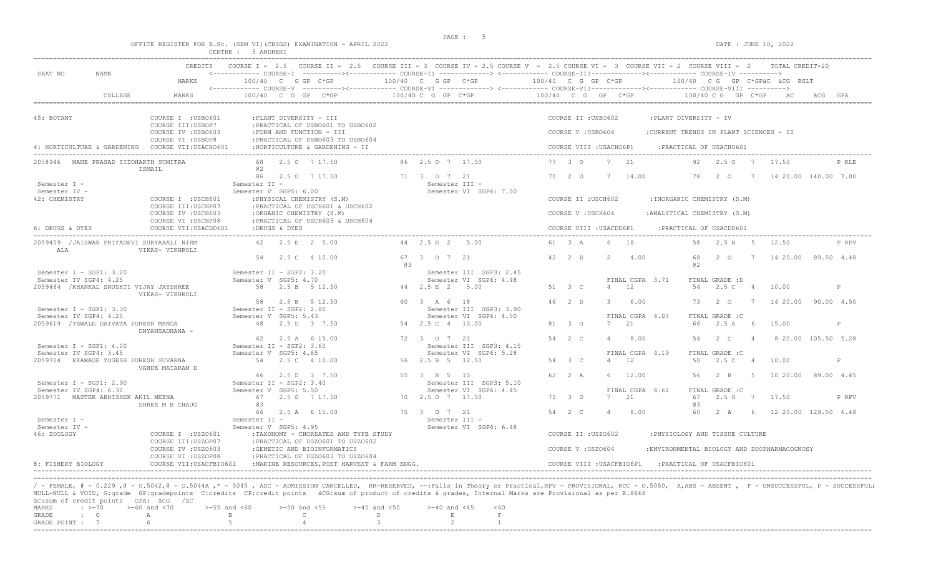$\begin{array}{l} \texttt{DATE : JUNE 10, 202} \end{array}$ 

|  |  |  |                    | OFFICE REGISTER FOR B.SC. (SEM VI)(CBSGS) EXAMINATION - APRIL 2021 |  |  |
|--|--|--|--------------------|--------------------------------------------------------------------|--|--|
|  |  |  | CENTRE : 3 ANDHERI |                                                                    |  |  |

| CREDITS                                                                           |                                                                                                    |                                                         | COURSE I - 2.5 COURSE II - 2.5 COURSE III - 3 COURSE IV - 2.5 COURSE V - 2.5 COURSE VI - 3 COURSE VII - 2 COURSE VIII - 2<br>TOTAL CREDIT-20                                                                   |
|-----------------------------------------------------------------------------------|----------------------------------------------------------------------------------------------------|---------------------------------------------------------|----------------------------------------------------------------------------------------------------------------------------------------------------------------------------------------------------------------|
| SEAT NO<br>NAME.<br>MARKS                                                         | 100/40 C G GP C*GP                                                                                 | $100/40$ C G GP $C*GP$                                  | <------------ COURSE-I ----------><----------- COURSE-II -------------> <------------ COURSE-III-----------><--------><---------- COURSE-IV ---------->><br>100/40 C G GP C*GP<br>100/40 CG GP C*GPÄC ÄCG RSLT |
| COLLEGE<br>MARKS                                                                  | $100/40$ C G GP C*GP                                                                               | $100/40 C G$ GP $C*GP$                                  | $100/40$ C G GP C*GP<br>$100/40 \,$ C G GP C*GP<br>GPA                                                                                                                                                         |
| 45: BOTANY<br>COURSE I : USBO601                                                  | :PLANT DIVERSITY - III                                                                             |                                                         | COURSE II : USBO602<br>:PLANT DIVERSITY - IV                                                                                                                                                                   |
| COURSE III:USBOP7<br>COURSE IV : USBO603<br>COURSE VI : USBOP8                    | :PRACTICAL OF USBO601 TO USBO602<br>:FORM AND FUNCTION - III<br>:PRACTICAL OF USBO603 TO USBO604   |                                                         | COURSE V: USB0604<br>:CURRENT TRENDS IN PLANT SCIENCES - II                                                                                                                                                    |
| 4: HORTICULTURE & GARDENING COURSE VII:USACHO601                                  | : HORTICULTURE & GARDENING - II                                                                    |                                                         | COURSE VIII : USACHO6P1<br>: PRACTICAL OF USACHO601                                                                                                                                                            |
| 2058946 MANE PRASAD SIDDHARTH SUMITRA<br>ISMAIL                                   | 2.5 0 7 17.50<br>68<br>0.2                                                                         | 86 2.5 0 7 17.50                                        | 77 3 0<br>7 21<br>2.50 7<br>P RLE<br>92.<br>17.50                                                                                                                                                              |
| Semester I -<br>Semester IV -                                                     | 86 2.5 0 7 17.50<br>Semester II -<br>Semester V SGP5: 6.00                                         | 71 3 0 7 21<br>Semester III -<br>Semester VI SGP6: 7.00 | 70 2 0<br>7 14.00<br>78<br>20<br>14 20.00 140.00 7.00<br>$7\phantom{0}$                                                                                                                                        |
| 42: CHEMISTRY<br>COURSE I : USCH601<br>COURSE III: USCHP07                        | : PHYSICAL CHEMISTRY (S.M)<br>:PRACTICAL OF USCH601 & USCH602                                      |                                                         | COURSE II : USCH602<br>: INORGANIC CHEMISTRY (S.M)                                                                                                                                                             |
| COURSE IV : USCH603<br>COURSE VI : USCHP08                                        | :ORGANIC CHEMISTRY (S.M)<br>: PRACTICAL OF USCH603 & USCH604                                       |                                                         | COURSE V: USCH604<br>: ANALYTICAL CHEMISTRY (S.M)                                                                                                                                                              |
| 6: DRUGS & DYES<br>COURSE VII:USACDD601                                           | :DRUGS & DYES                                                                                      |                                                         | : PRACTICAL OF USACDD601<br>COURSE VIII : USACDD6P1                                                                                                                                                            |
| 2059459 / JAISWAR PRIYADEVI SURYABALI NIRM<br>VIKAS- VIKHROLI<br>ALA              | 42 2.5 E 2 5.00                                                                                    | 44 2.5 E 2 5.00                                         | 61 3 A<br>6 18<br>58<br>2.5 B 5<br>12.50<br>P RPV                                                                                                                                                              |
|                                                                                   | 54<br>2.5 C 4 10.00                                                                                | 67 3 0 7 21<br>63                                       | 42 2 E<br>4.00<br>68<br>2 0<br>14 20.00 89.50 4.48<br>7<br>a2                                                                                                                                                  |
| Semester I - SGP1: 3.20<br>Semester IV SGP4: 4.25                                 | Semester II - SGP2: 3.20<br>Semester V SGP5: 4.70                                                  | Semester III SGP3: 2.45<br>Semester VI SGP6: 4.48       | FINAL CGPA 3.71<br>FINAL GRADE : D                                                                                                                                                                             |
| 2059464 / KHANKAL SRUSHTI VIJAY JAYSHREE<br>VIKAS- VIKHROLI                       | 58 2.5 B 5 12.50                                                                                   | 44 2.5 E 2 5.00                                         | 51 3 C<br>$4 \t 12$<br>2.5 C 4<br>54<br>10.00<br>P                                                                                                                                                             |
| Semester $I - SGP1: 3.30$                                                         | 58<br>2.5 B 5 12.50<br>Semester II - SGP2: 2.80                                                    | 60 3 A 6 18<br>Semester III SGP3: 3.90                  | $46 \t 2 \t D$<br>6.00<br>14 20.00 90.00 4.50<br>$\mathcal{L}$<br>73<br>2 O<br>$\overline{7}$                                                                                                                  |
| Semester IV SGP4: 4.25<br>2059619 / YEWALE DAIVATA SURESH MANDA<br>DNYANSADHANA - | Semester V SGP5: 5.43<br>48 2.5 D 3 7.50                                                           | Semester VI SGP6: 4.50<br>54 2.5 C 4 10.00              | FINAL CGPA 4.03<br>FINAL GRADE : C<br>81 3 0<br>21<br>66<br>2.5A<br>- 6<br>15.00<br>P<br>7                                                                                                                     |
| Semester I - SGP1: $4.00$                                                         | 62<br>2.5 A 6 15.00<br>Semester II - SGP2: 3.60                                                    | 72 3 0 7 21<br>Semester III SGP3: 4.15                  | 54 2 C<br>8 20.00 105.50 5.28<br>$\overline{4}$<br>8.00<br>54<br>2 C<br>$\overline{4}$                                                                                                                         |
| Semester IV SGP4: 3.45<br>2059704 EKAWADE YOGESH SURESH SUVARNA                   | Semester V SGP5: 4.65<br>54 2.5 C 4 10.00                                                          | Semester VI SGP6: 5.28<br>56 2.5 B 5 12.50              | FINAL CGPA 4.19<br>FINAL GRADE : C<br>54 3 C<br>12<br>50<br>2.5C<br>10.00<br>$\overline{4}$<br>$\overline{4}$<br>P                                                                                             |
| VANDE MATARAM D                                                                   | 2.5 D 3 7.50<br>46                                                                                 | 55 3 B 5 15                                             | $62 \t 2 \t A$<br>12.00<br>56<br>2 R<br>$-5$<br>10 20.00 89.00 4.45                                                                                                                                            |
| Semester $I - SGP1: 2.90$<br>Semester IV SGP4: 6.30                               | Semester II - SGP2: 3.40<br>Semester V SGP5: 5.50                                                  | Semester III SGP3: 5.10<br>Semester VI SGP6: 4.45       | FINAL CGPA 4.61<br>FINAL GRADE : C                                                                                                                                                                             |
| 2059771 MASTER ABHISHEK ANIL MEENA<br>SHREE M B CHAUG                             | 67<br>2.5 0 7 17.50<br>eз                                                                          | 70 2.5 0 7 17.50                                        | 21<br>67<br>2.50 7<br>70 3 0<br>7<br>17.50<br>P RPV<br>63                                                                                                                                                      |
| Semester I -                                                                      | 66<br>2.5 A 6 15.00<br>Semester II -                                                               | 75 3 0 7 21<br>Semester III -                           | 54 2 C<br>8.00<br>60<br>2 A<br>6<br>12 20.00 129.50 6.48<br>$\overline{4}$                                                                                                                                     |
| Semester IV -<br>46: ZOOLOGY<br>COURSE I : USZO601<br>COURSE III:USZOP07          | Semester V SGP5: 4.95<br>:TAXONOMY - CHORDATES AND TYPE STUDY<br>: PRACTICAL OF USZO601 TO USZO602 | Semester VI SGP6: 6.48                                  | COURSE II : USZO602<br>: PHYSIOLOGY AND TISSUE CULTURE                                                                                                                                                         |
| COURSE IV : USZO603<br>COURSE VI : USZOP08                                        | :GENETIC AND BIOINFORMATICS                                                                        |                                                         | COURSE V: USZ0604<br>:ENVIRONMENTAL BIOLOGY AND ZOOPHARMACOGNOSY                                                                                                                                               |
| 8: FISHERY BIOLOGY<br>COURSE VII: USACFBIO601                                     | : PRACTICAL OF USZ0603 TO USZ0604<br>:MARINE RESOURCES. POST HARVEST & FARM ENGG.                  |                                                         | COURSE VIII : USACFBIO6P1<br>: PRACTICAL OF USACFBIO601                                                                                                                                                        |

----------------------------------------------------------------------------------------------------------------------------------------------------------------------------------------------------------------------- / - FEMALE, # - 0.229 ,@ - 0.5042,@ - 0.5044A ,\* - 5045 , ADC - ADMISSION CANCELLED, RR-RESERVED, --:Fails in Theory or Practical,RPV - PROVISIONAL, RCC - 0.5050, A,ABS - ABSENT , F - UNSUCCESSFUL, P - SUCCESSFUL; NULL-NULL & VOID, G:grade GP:gradepoints C:credits CP:credit points äCG:sum of product of credits & grades, Internal Marks are Provisional as per R.8668  $\text{aC: sum of credit points}$  GPA:  $\text{aCG}$  / $\text{aC}$ <br>MARKS :  $\text{>=}70$   $\text{>=}60$  and <70  $\begin{array}{lllllllll} \texttt{MARKS} & & \texttt{:=}\; 5 & \texttt{=60} & \texttt{and} & \texttt{<70} & & \texttt{>=55} & \texttt{and} & \texttt{<60} & & \texttt{>=50} & \texttt{and} & \texttt{<55} & & \texttt{>=45} & \texttt{and} & \texttt{<50} & & \texttt{=40} & \texttt{and} & \texttt{<45} & & \texttt{<40} \\ \texttt{GRADE} & & \texttt{:=}\; & & \texttt{A} & & \texttt{B} & & \texttt{C} & & \texttt{D} & & \$ A B C D E F<br>
6 5 4 3 2 1 GRADE POINT : 7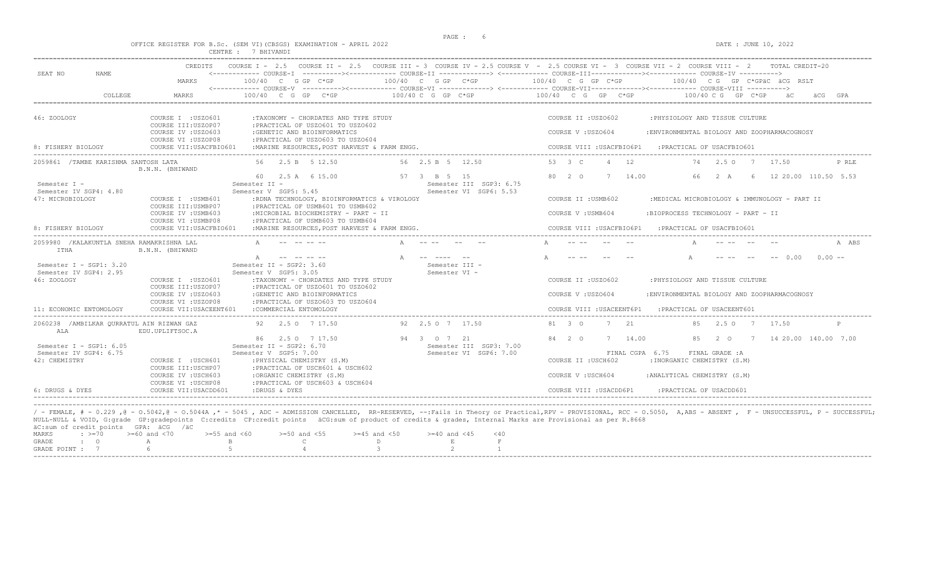| OFFICE REGISTER FOR B.Sc. (SEM VI) (CBSGS) EXAMINATION - APRIL 2022                                                                                                                                                                                                                                                                              | DATE : JUNE 10, 2022                                                                                                                                                                                                                                                                                                                                                                                                                                                                                                                                     |
|--------------------------------------------------------------------------------------------------------------------------------------------------------------------------------------------------------------------------------------------------------------------------------------------------------------------------------------------------|----------------------------------------------------------------------------------------------------------------------------------------------------------------------------------------------------------------------------------------------------------------------------------------------------------------------------------------------------------------------------------------------------------------------------------------------------------------------------------------------------------------------------------------------------------|
| $100/40$ C G GP $C*GP$<br>$100/40$ C G GP C*GP<br>$100/40 \, C \, G \, G$ $F \, C*GP$<br>$100/40$ C G GP C*GP                                                                                                                                                                                                                                    | TOTAL CREDIT-20<br>100/40 CG GP C*GPäC äCG RSLT<br>$100/40$ C G GP C*GP $-100/40$ C G GP C*GP $\frac{100}{20}$<br>GPA                                                                                                                                                                                                                                                                                                                                                                                                                                    |
| :TAXONOMY - CHORDATES AND TYPE STUDY<br>: PRACTICAL OF USZ0601 TO USZ0602<br>:GENETIC AND BIOINFORMATICS<br>: PRACTICAL OF USZO603 TO USZO604<br>:MARINE RESOURCES. POST HARVEST & FARM ENGG.                                                                                                                                                    | : PHYSIOLOGY AND TISSUE CULTURE<br>:ENVIRONMENTAL BIOLOGY AND ZOOPHARMACOGNOSY<br>COURSE VIII : USACFBIO6P1<br>PRACTICAL OF USACFBIO601:                                                                                                                                                                                                                                                                                                                                                                                                                 |
| 56 2.5 B 5 12.50<br>56 2.5 B 5 12.50                                                                                                                                                                                                                                                                                                             | 4 12<br>74 2.50 7<br>17.50<br>P RLE<br>7 14.00<br>66<br>6 12 20 00 110 50 5.53<br>2 A                                                                                                                                                                                                                                                                                                                                                                                                                                                                    |
| Semester II -<br>Semester III SGP3: 6.75<br>Semester V SGP5: 5.45<br>Semester VI SGP6: 5.53<br>:RDNA TECHNOLOGY, BIOINFORMATICS & VIROLOGY<br>:PRACTICAL OF USMB601 TO USMB602<br>:MICROBIAL BIOCHEMISTRY - PART - II<br>:PRACTICAL OF USMB603 TO USMB604<br>: MARINE RESOURCES, POST HARVEST & FARM ENGG.                                       | :MEDICAL MICROBIOLOGY & IMMUNOLOGY - PART II<br>:BIOPROCESS TECHNOLOGY - PART - II<br>COURSE VIII : USACFBIO6P1<br>: PRACTICAL OF USACFBIO601                                                                                                                                                                                                                                                                                                                                                                                                            |
|                                                                                                                                                                                                                                                                                                                                                  | A ABS                                                                                                                                                                                                                                                                                                                                                                                                                                                                                                                                                    |
| Semester II - SGP2: 3.60<br>Semester III -<br>Semester V SGP5: 3.05<br>Semester VI -<br>:TAXONOMY - CHORDATES AND TYPE STUDY<br>: PRACTICAL OF USZO601 TO USZO602<br>: GENETIC AND BIOINFORMATICS<br>: PRACTICAL OF USZ0603 TO USZ0604<br>:COMMERCIAL ENTOMOLOGY                                                                                 | $- - 0.00$<br>$0.00 -$<br>: PHYSIOLOGY AND TISSUE CULTURE<br>: ENVIRONMENTAL BIOLOGY AND ZOOPHARMACOGNOSY<br>COURSE VIII : USACEENT6P1<br>: PRACTICAL OF USACEENT601                                                                                                                                                                                                                                                                                                                                                                                     |
| 92 2.5 0 7 17.50<br>92 2.5 0 7 17.50                                                                                                                                                                                                                                                                                                             | 7 21<br>85 2.5 0 7 17.50<br>P<br>7 14.00<br>85 2 0 7 14 20.00 140.00 7.00                                                                                                                                                                                                                                                                                                                                                                                                                                                                                |
| Semester II - SGP2: 6.70<br>Semester III SGP3: 7.00<br>Semester V SGP5: 7.00<br>Semester VI SGP6: 7.00<br>: PHYSICAL CHEMISTRY (S.M)<br>: PRACTICAL OF USCH601 & USCH602<br>:ORGANIC CHEMISTRY (S.M)<br>COURSE V: USCH604                                                                                                                        | FINAL CGPA 6.75<br>FINAL GRADE : A<br>: INORGANIC CHEMISTRY (S.M)<br>: ANALYTICAL CHEMISTRY (S.M)                                                                                                                                                                                                                                                                                                                                                                                                                                                        |
| COURSE I : USZO601<br>COURSE III:USZOP07<br>COURSE IV : USZO603<br>COURSE VI : USZOP08<br>COURSE I : USMB601<br>COURSE III: USMBP07<br>COURSE IV : USMB603<br>COURSE VI : USMBP08<br>COURSE I : USZO601<br>COURSE III: USZOP07<br>COURSE IV : USZ0603<br>COURSE VI : USZOP08<br>COURSE I : USCH601<br>COURSE III: USCHP07<br>COURSE IV : USCH603 | CENTRE : 7 BHIVANDI<br>COURSE I - 2.5 COURSE II - 2.5 COURSE III - 3 COURSE IV - 2.5 COURSE V - 2.5 COURSE VI - 3 COURSE VII - 2 COURSE VIII - 2<br>$100/40$ C G GP C*GP<br>COURSE II : USZO602<br>COURSE V: USZ0604<br>COURSE VII: USACFBIO601<br>53 3 C<br>60 2.5 A 6 15.00<br>57 3 B 5 15<br>80 2 0<br>COURSE II : USMB602<br>COURSE V: USMB604<br>COURSE VII: USACFBIO601<br>A -- -- -- --<br>A<br>COURSE II : USZO602<br>COURSE V: USZ0604<br>COURSE VII: USACEENT601<br>81 3 0<br>84 2 0<br>86 2.5 0 7 17.50<br>94 3 0 7 21<br>COURSE II : USCH602 |

/ - FEMALE, # - 0.229 ,@ - O.5042,@ - O.5044A ,\* - 5045 , ADC - ADMISSION CANCELLED, RR-RESERVED, --:Fails in Theory or Practical,RPV - PROVISIONAL, RCC - O.5050, A,ABS - ABSENT , F - UNSUCCESSFUL, P - SUCCESSFUL; NULL-NULL & VOID, G:grade GP:gradepoints C:credits CP:credit points äCG:sum of product of credits & grades, Internal Marks are Provisional as per R.8668 äC:sum of credit points GPA: äCG /äC  $\begin{array}{lllllllll} \texttt{MARKS} & & \texttt{:=}\texttt{--0} & & \texttt{>=60} \text{ and } & \texttt{<70} & & \texttt{>=55} \text{ and } & \texttt{<60} & & \texttt{>=50} \text{ and } & \texttt{<55} & & \texttt{>=45} \text{ and } & \texttt{<50} & & \texttt{=40} \text{ and } & \texttt{<45} & & \texttt{<40} \\ \texttt{GRADE} & & \texttt{:=}\texttt{0} & & \texttt{A} & & \texttt{B} & & \texttt{C} & & \texttt{D} & & \texttt$ GRADE : O A B C D E F GRADE POINT : 7 6 5 5 4 3 2 1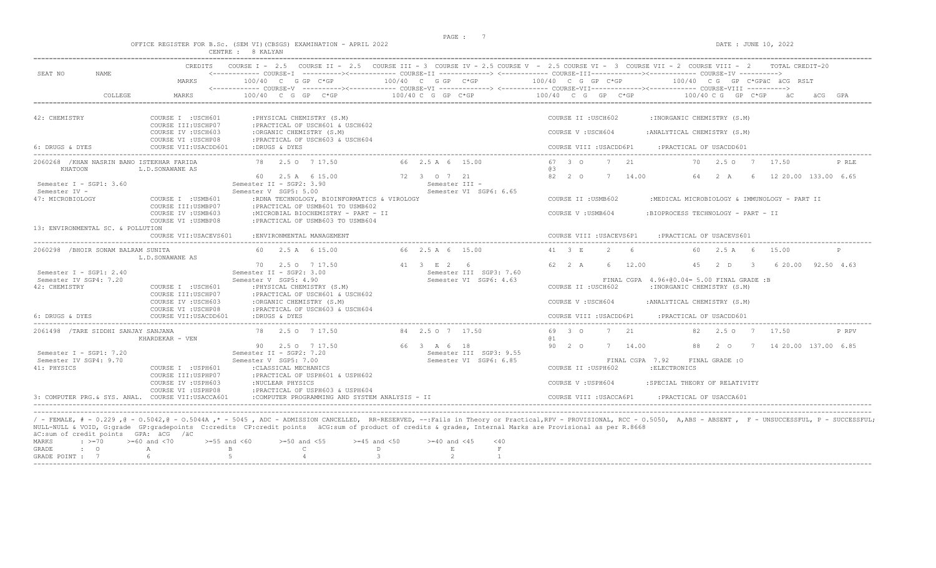OFFICE REGISTER FOR B.Sc. (SEM VI)(CBSGS) EXAMINATION - APRIL 2022 DATE : JUNE 10, 2022

|                                                       |                                            | CENTRE : 8 KALYAN                                                                                         |                                                   |                                                                                                                                                                                                                                                                                                                                               |
|-------------------------------------------------------|--------------------------------------------|-----------------------------------------------------------------------------------------------------------|---------------------------------------------------|-----------------------------------------------------------------------------------------------------------------------------------------------------------------------------------------------------------------------------------------------------------------------------------------------------------------------------------------------|
| SEAT NO<br>NAME                                       | CREDITS<br>MARKS                           | 100/40 C G GP C*GP                                                                                        | 100/40 C G GP C*GP                                | COURSE I - 2.5 COURSE II - 2.5 COURSE III - 3 COURSE IV - 2.5 COURSE V - 2.5 COURSE VI - 3 COURSE VII - 2 COURSE VIII - 2 TOTAL CREDIT-20<br><------------ COURSE-T ----------><----------- COURSE-TT -------------> <------------ COURSE-TTT----------><--------><---------- COURSE-TY<br>100/40 C G GP C*GP<br>100/40 CG GP C*GPÄC ÄCG RSLT |
| COLLEGE                                               | MARKS                                      | $100/40$ C G GP C*GP                                                                                      | $100/40 C G$ PC $KSP$                             | <------------ COURSE-V ----------><----------- COURSE-VI -------------> <------------ COURSE-VIII------------- COURSE-VIII ----------><br>$100/40$ C G GP C*GP<br>$100/40 \, C \, G$ GP $C*GP$                                                                                                                                                |
| 42: CHEMISTRY                                         | COURSE I : USCH601<br>COURSE III: USCHP07  | : PHYSICAL CHEMISTRY (S.M)<br>: PRACTICAL OF USCH601 & USCH602                                            |                                                   | COURSE II : USCH602<br>: INORGANIC CHEMISTRY (S.M)                                                                                                                                                                                                                                                                                            |
|                                                       | COURSE IV : USCH603<br>COURSE VI : USCHP08 | :ORGANIC CHEMISTRY (S.M)<br>: PRACTICAL OF USCH603 & USCH604                                              |                                                   | COURSE V: USCH604<br>: ANALYTICAL CHEMISTRY (S.M)                                                                                                                                                                                                                                                                                             |
| 6: DRUGS & DYES                                       | COURSE VII: USACDD601                      | :DRUGS & DYES                                                                                             |                                                   | COURSE VIII : USACDD6P1<br>: PRACTICAL OF USACDD601                                                                                                                                                                                                                                                                                           |
| 2060268 / KHAN NASRIN BANO ISTEKHAR FARIDA<br>KHATOON | L.D.SONAWANE AS                            | 78 2.5 0 7 17.50                                                                                          | 66 2.5 A 6 15.00                                  | 67 3 0<br>7 21<br>70<br>2.50<br>17.50<br>P RLE<br>a3                                                                                                                                                                                                                                                                                          |
| Semester I - SGP1: 3.60                               |                                            | 60 2.5 A 6 15.00<br>Semester II - SGP2: 3.90                                                              | 72 3 0 7 21<br>Semester III -                     | 82 2 0<br>14.00<br>12 20.00 133.00 6.65<br>7<br>64<br>2 A                                                                                                                                                                                                                                                                                     |
| Semester IV -<br>47: MICROBIOLOGY                     | COURSE I : USMB601<br>COURSE III: USMBP07  | Semester V SGP5: 5.00<br>:RDNA TECHNOLOGY, BIOINFORMATICS & VIROLOGY<br>: PRACTICAL OF USMB601 TO USMB602 | Semester VI SGP6: 6.65                            | COURSE II : USMB602<br>:MEDICAL MICROBIOLOGY & IMMUNOLOGY - PART II                                                                                                                                                                                                                                                                           |
|                                                       | COURSE IV : USMB603<br>COURSE VI : USMBP08 | :MICROBIAL BIOCHEMISTRY - PART - II<br>: PRACTICAL OF USMB603 TO USMB604                                  |                                                   | COURSE V: USMB604<br>:BIOPROCESS TECHNOLOGY - PART - II                                                                                                                                                                                                                                                                                       |
| 13: ENVIRONMENTAL SC. & POLLUTION                     | COURSE VII: USACEVS601                     | : ENVIRONMENTAL MANAGEMENT                                                                                |                                                   | COURSE VIII : USACEVS6P1<br>: PRACTICAL OF USACEVS601                                                                                                                                                                                                                                                                                         |
| 2060298 / BHOIR SONAM BALRAM SUNITA                   | L.D.SONAWANE AS                            | 60 2.5 A 6 15.00                                                                                          | 66 2.5 A 6 15.00                                  | 41 3 E<br>$\mathcal{P}$<br>- 6<br>$2.5A$ 6<br>60.<br>15.00<br>P                                                                                                                                                                                                                                                                               |
| Semester I - SGP1: $2.40$                             |                                            | 70 2.5 0 7 17.50<br>Semester II - SGP2: 3.00                                                              | 41 3 F 2 6<br>Semester III SGP3: 7.60             | 62 2 A<br>12.00<br>45<br>6 20 00 92 50 4 63<br>-6<br>2 D<br>$\mathcal{R}$                                                                                                                                                                                                                                                                     |
| Semester IV SGP4: 7.20<br>42: CHEMISTRY               | COURSE I : USCH601<br>COURSE III: USCHP07  | Semester V SGP5: 4.90<br>: PHYSICAL CHEMISTRY (S.M)<br>: PRACTICAL OF USCH601 & USCH602                   | Semester VI SGP6: 4.63                            | FINAL CGPA 4.96+00.04= 5.00 FINAL GRADE: B<br>: INORGANIC CHEMISTRY (S.M)<br>COURSE II : USCH602                                                                                                                                                                                                                                              |
|                                                       | COURSE IV : USCH603<br>COURSE VI : USCHP08 | :ORGANIC CHEMISTRY (S.M)<br>: PRACTICAL OF USCH603 & USCH604                                              |                                                   | COURSE V: USCH604<br>: ANALYTICAL CHEMISTRY (S.M)                                                                                                                                                                                                                                                                                             |
| 6: DRUGS & DYES                                       | COURSE VII: USACDD601                      | :DRUGS & DYES                                                                                             |                                                   | COURSE VIII : USACDD6P1<br>: PRACTICAL OF USACDD601                                                                                                                                                                                                                                                                                           |
| 2061498 / TARE SIDDHI SANJAY SANJANA                  | KHARDEKAR - VEN                            | 78 2.5 0 7 17.50                                                                                          | 84 2.5 0 7 17.50                                  | 69 3 0<br>2.1<br>7<br>2.50<br>17.50<br>P RPV<br>01                                                                                                                                                                                                                                                                                            |
|                                                       |                                            | 90 2.5 0 7 17.50                                                                                          | 66 3 A 6 18                                       | $90 \t 20$<br>7 14.00<br>14 20.00 137.00 6.85<br>88<br>20<br>- 7                                                                                                                                                                                                                                                                              |
| Semester I - SGP1: 7.20<br>Semester IV SGP4: 9.70     |                                            | Semester II - SGP2: 7.20<br>Semester V SGP5: 7.00                                                         | Semester III SGP3: 9.55<br>Semester VI SGP6: 6.85 | FINAL CGPA 7.92                                                                                                                                                                                                                                                                                                                               |
| 41: PHYSICS                                           | COURSE I : USPH601<br>COURSE III:USPHP07   | : CLASSICAL MECHANICS<br>:PRACTICAL OF USPH601 & USPH602                                                  |                                                   | FINAL GRADE : O<br>COURSE II : USPH602<br>: ELECTRONICS                                                                                                                                                                                                                                                                                       |
|                                                       | COURSE IV : USPH603<br>COURSE VI : USPHP08 | :NUCLEAR PHYSICS<br>:PRACTICAL OF USPH603 & USPH604                                                       |                                                   | COURSE V: USPH604<br>: SPECIAL THEORY OF RELATIVITY                                                                                                                                                                                                                                                                                           |
| 3: COMPUTER PRG & SYS. ANAL. COURSE VII:USACCA601     |                                            | :COMPUTER PROGRAMMING AND SYSTEM ANALYSIS - II                                                            |                                                   | COURSE VIII : USACCA6P1<br>: PRACTICAL OF USACCA601                                                                                                                                                                                                                                                                                           |

/ - FEMALE, # - 0.229 ,@ - 0.5042,@ - 0.5044A ,\* - 5045 , ADC - ADMISSION CANCELLED, RR-RESERVED, --:Fails in Theory or Practical,RPV - PROVISIONAL, RCC - 0.5050, A,ABS - ABSENT , F - UNSUCCESSFUL, P - SUCCESSFUL;<br>NULL-NUL äC:sum of credit points GPA: äCG /äC MARKS : >=70 >=60 and <70 >=55 and <60 >=50 and <55 >=45 and <50 >=40 and <45 <40 GRADE : O A B C D E F

| _____         |  |  |  |  |
|---------------|--|--|--|--|
| GRADE POINT : |  |  |  |  |
|               |  |  |  |  |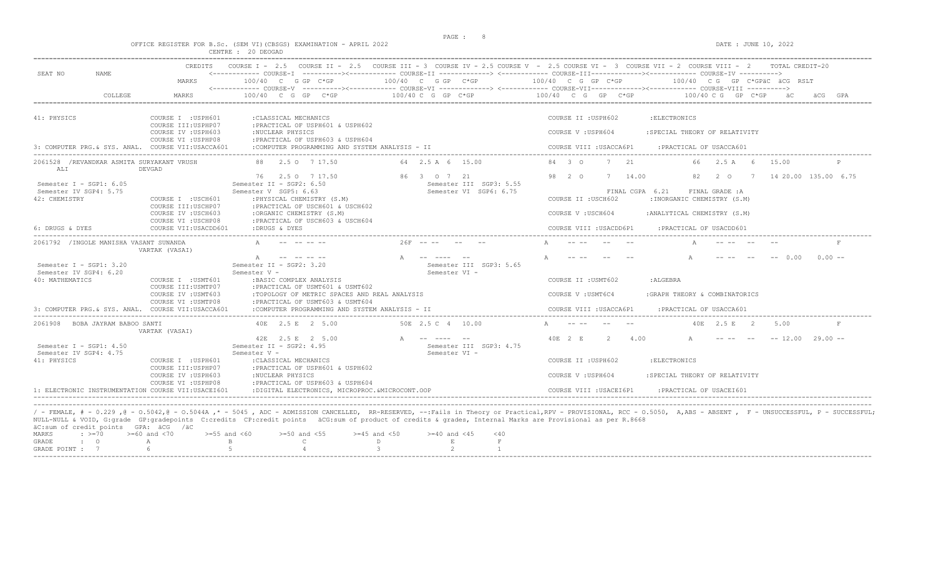$DATA: JUNE 10, 2022$ 

|  |  |  |                    | OFFICE REGISTER FOR B.SC. (SEM VI)(CBSGS) EXAMINATION - APRIL 2022 |  |  |
|--|--|--|--------------------|--------------------------------------------------------------------|--|--|
|  |  |  | CENTRE : 20 DEOGAD |                                                                    |  |  |

|                                                    | CREDITS                                            |                                                                                   |                                           | COURSE I = 2.5 COURSE II = 2.5 COURSE III = 3 COURSE IV = 2.5 COURSE V = 2.5 COURSE VI = 3 COURSE VII = 2 COURSE VIII = 2<br>TOTAL CREDIT-20 |
|----------------------------------------------------|----------------------------------------------------|-----------------------------------------------------------------------------------|-------------------------------------------|----------------------------------------------------------------------------------------------------------------------------------------------|
| SEAT NO<br>NAME.                                   | MARKS                                              | $100/40$ C G GP C*GP                                                              | $100/40$ C G GP C*GP $100/40$ C G GP C*GP | $100/40$ C G GP C*GPäC äCG RSLT                                                                                                              |
|                                                    |                                                    |                                                                                   |                                           | <------------ COURSE-V -----------><----------- COURSE-VI -------------> <------------ COURSE-VIII------------- COURSE-VIII ---------->      |
| COLLEGE                                            | MARKS                                              | $100/40$ C G GP C*GP                                                              | $100/40 C$ G GP $C*GP$                    | $100/40$ C G GP C*GP<br>$100/40 \, C \, G$ GP $C*GP$                                                                                         |
| 41: PHYSICS                                        | COURSE I : USPH601                                 | : CLASSICAL MECHANICS                                                             |                                           | COURSE II : USPH602<br>: ELECTRONICS                                                                                                         |
|                                                    | COURSE III: USPHP07                                | :PRACTICAL OF USPH601 & USPH602                                                   |                                           |                                                                                                                                              |
|                                                    | COURSE IV : USPH603                                | :NUCLEAR PHYSICS                                                                  |                                           | COURSE V: USPH604<br>: SPECIAL THEORY OF RELATIVITY                                                                                          |
|                                                    | COURSE VI : USPHP08                                | :PRACTICAL OF USPH603 & USPH604                                                   |                                           |                                                                                                                                              |
| 3: COMPUTER PRG. & SYS. ANAL. COURSE VII:USACCA601 |                                                    | :COMPUTER PROGRAMMING AND SYSTEM ANALYSIS - II                                    |                                           | COURSE VIII : USACCA6P1<br>: PRACTICAL OF USACCA601                                                                                          |
| 2061528 /REVANDKAR ASMITA SURYAKANT VRUSH<br>ALI   | DEVGAD                                             | 2.5 0 7 17.50                                                                     | 64 2.5 A 6 15.00                          | 84 3 0<br>7<br>2.1<br>2.5 A<br>- 6<br>15.00<br>66.                                                                                           |
| Semester I - SGP1: 6.05                            |                                                    | 76 2.5 0 7 17.50<br>Semester II - SGP2: 6.50                                      | 86 3 0 7 21<br>Semester III SGP3: 5.55    | 98 2 0<br>7 14.00<br>82<br>$2\degree$ 0<br>14 20.00 135.00 6.75<br>7                                                                         |
| Semester IV SGP4: 5.75                             |                                                    | Semester V SGP5: 6.63                                                             | Semester VI SGP6: 6.75                    | FINAL CGPA 6.21<br>FINAL GRADE : A                                                                                                           |
| 42: CHEMISTRY                                      | COURSE I : USCH601                                 | : PHYSICAL CHEMISTRY (S.M)                                                        |                                           | COURSE II : USCH602<br>: INORGANIC CHEMISTRY (S.M)                                                                                           |
|                                                    | COURSE III: USCHP07                                | : PRACTICAL OF USCH601 & USCH602                                                  |                                           |                                                                                                                                              |
|                                                    | COURSE IV : USCH603<br>COURSE VI : USCHP08         | :ORGANIC CHEMISTRY (S.M)<br>: PRACTICAL OF USCH603 & USCH604                      |                                           | : ANALYTICAL CHEMISTRY (S.M)<br>COURSE V: USCH604                                                                                            |
| 6: DRUGS & DYES                                    | COURSE VII: USACDD601                              | :DRUGS & DYES                                                                     |                                           | COURSE VIII : USACDD6P1<br>: PRACTICAL OF USACDD601                                                                                          |
| 2061792 / INGOLE MANISHA VASANT SUNANDA            |                                                    |                                                                                   | $26F$ -- -- --                            |                                                                                                                                              |
|                                                    | VARTAK (VASAI)                                     |                                                                                   |                                           |                                                                                                                                              |
|                                                    |                                                    | -- -- -- --                                                                       | $\Delta$ $=$ $=$ $=$ $=$ $=$              | $-- 0.00$<br>$0.00 -$                                                                                                                        |
| Semester I - SGP1: 3.20<br>Semester IV SGP4: 6.20  |                                                    | Semester II - SGP2: 3.20<br>Semester V -                                          | Semester III SGP3: 5.65                   |                                                                                                                                              |
| 40: MATHEMATICS                                    | COURSE I : USMT601                                 | : BASIC COMPLEX ANALYSIS                                                          | Semester VI -                             | COURSE II : USMT602<br>: ALGEBRA                                                                                                             |
|                                                    | COURSE III: USMTP07                                | : PRACTICAL OF USMT601 & USMT602                                                  |                                           |                                                                                                                                              |
|                                                    | COURSE IV : USMT603                                | :TOPOLOGY OF METRIC SPACES AND REAL ANALYSIS                                      |                                           | COURSE V : USMT6C4<br>: GRAPH THEORY & COMBINATORICS                                                                                         |
| 3: COMPUTER PRG & SYS. ANAL. COURSE VII: USACCA601 | COURSE VI : USMTP08                                | :PRACTICAL OF USMT603 & USMT604<br>:COMPUTER PROGRAMMING AND SYSTEM ANALYSIS - II |                                           | COURSE VIII : USACCA6P1<br>: PRACTICAL OF USACCA601                                                                                          |
|                                                    |                                                    |                                                                                   |                                           |                                                                                                                                              |
| 2061908 BOBA JAYRAM BABOO SANTI                    | VARTAK (VASAI)                                     | 40E 2.5 E 2 5.00                                                                  | 50E 2.5 C 4<br>10.00                      | $\mathbb{A}$<br>40 F.<br>2.5 E<br>$\overline{2}$<br>5.00                                                                                     |
|                                                    |                                                    | 42E 2.5 E 2 5.00                                                                  | A -- ---- --                              | $40F$ , $2F$<br>$\overline{2}$<br>4.00<br>$-- 12.00$<br>$29.00 -$                                                                            |
| Semester I - SGP1: $4.50$                          |                                                    | Semester II - SGP2: 4.95                                                          | Semester III SGP3: 4.75                   |                                                                                                                                              |
| Semester IV SGP4: 4.75<br>41: PHYSICS              | COURSE I : USPH601                                 | Semester V -<br>: CLASSICAL MECHANICS                                             | Semester VI -                             | COURSE II : USPH602<br>: ELECTRONICS                                                                                                         |
|                                                    | COURSE III:USPHP07                                 | :PRACTICAL OF USPH601 & USPH602                                                   |                                           |                                                                                                                                              |
|                                                    | COURSE IV : USPH603                                | :NUCLEAR PHYSICS                                                                  |                                           | COURSE V: USPH604<br>: SPECIAL THEORY OF RELATIVITY                                                                                          |
|                                                    | COURSE VI : USPHP08                                | :PRACTICAL OF USPH603 & USPH604                                                   |                                           |                                                                                                                                              |
|                                                    | 1: ELECTRONIC INSTRUMENTATION COURSE VII:USACEI601 | : DIGITAL ELECTRONICS, MICROPROC.&MICROCONT.OOP                                   |                                           | COURSE VIII : USACEI6P1<br>PRACTICAL OF USACEI601                                                                                            |

|           |                                                                                                               |  |  | wome wome a solid and an distriction of created and cannot borned accedim at broader at areated a dragged incrime management as bet whole |
|-----------|---------------------------------------------------------------------------------------------------------------|--|--|-------------------------------------------------------------------------------------------------------------------------------------------|
|           | äC:sum of credit points GPA: äCG /äC                                                                          |  |  |                                                                                                                                           |
|           | MARKS : >=70 >=60 and <70 >=55 and <60 >=50 and <55 >=45 and <50 >=40 and <45 <40                             |  |  |                                                                                                                                           |
| GRADE : O | A RESERVED BY CONTRACT IN RESERVED BY A RESERVED BY A RESERVED BY A RESERVED BY A RESERVED BY A RESERVED BY A |  |  |                                                                                                                                           |
|           | GRADE POINT : $7$ 6 5 5 4 5 3 3 2 1                                                                           |  |  |                                                                                                                                           |
|           |                                                                                                               |  |  |                                                                                                                                           |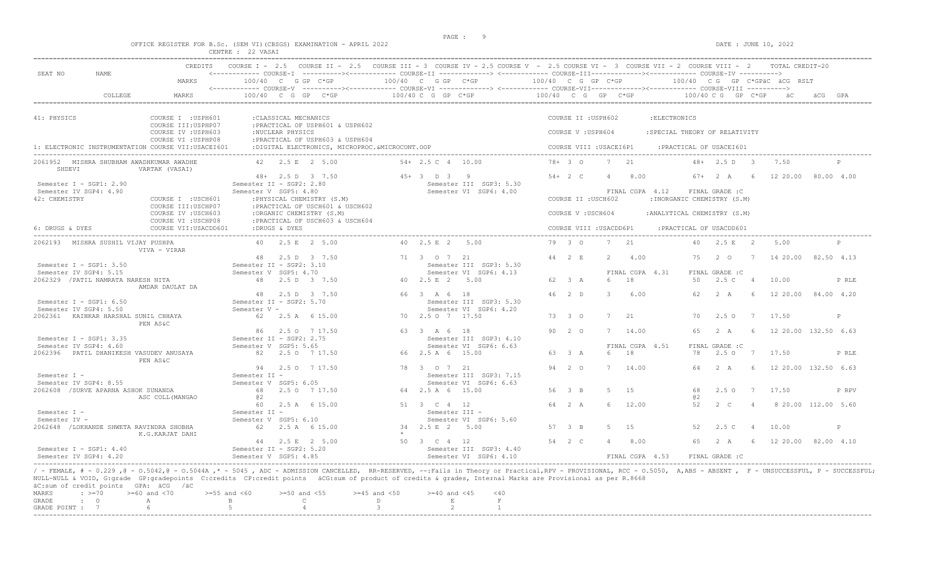|                                                                     | PAGE : |  |                      |
|---------------------------------------------------------------------|--------|--|----------------------|
| OFFICE REGISTER FOR B.Sc. (SEM VI) (CBSGS) EXAMINATION - APRIL 2022 |        |  | DATE : JUNE 10, 2022 |
| CENTRE : 22 VASAI                                                   |        |  |                      |

| SEAT NO                                             | <b>CREDITS</b><br>NAME.                                           | <------------ COURSE-I ----------><----------- COURSE-II -------------> <------------ COURSE-III-----------><----------- COURSE-IV ----------> |                                                                  | COURSE I - 2.5 COURSE II - 2.5 COURSE III - 3 COURSE IV - 2.5 COURSE V - 2.5 COURSE VI - 3 COURSE VII - 2 COURSE VIII - 2 | TOTAL CREDIT-20                                                    |
|-----------------------------------------------------|-------------------------------------------------------------------|------------------------------------------------------------------------------------------------------------------------------------------------|------------------------------------------------------------------|---------------------------------------------------------------------------------------------------------------------------|--------------------------------------------------------------------|
|                                                     | MARKS                                                             | $100/40$ C G GP C*GP                                                                                                                           | $100/40$ C G GP $C*GP$                                           | $100/40$ C G GP C*GP                                                                                                      | 100/40 CG GP C*GPäC äCG RSLT                                       |
|                                                     | COLLEGE<br>MARKS                                                  | $100/40$ C G GP C*GP                                                                                                                           | $100/40$ C G GP C*GP                                             | 100/40 C G GP C*GP                                                                                                        | 100/40 C G GP C*GP äC                                              |
| 41: PHYSICS                                         | COURSE I : USPH601                                                | : CLASSICAL MECHANICS                                                                                                                          |                                                                  | COURSE II : USPH602                                                                                                       | : ELECTRONICS                                                      |
|                                                     | COURSE III: USPHP07<br>COURSE IV : USPH603<br>COURSE VI : USPHP08 | : PRACTICAL OF USPH601 & USPH602<br>:NUCLEAR PHYSICS<br>: PRACTICAL OF USPH603 & USPH604                                                       |                                                                  | COURSE V: USPH604                                                                                                         | : SPECIAL THEORY OF RELATIVITY                                     |
|                                                     | 1: ELECTRONIC INSTRUMENTATION COURSE VII:USACEI601                | :DIGITAL ELECTRONICS, MICROPROC. &MICROCONT. OOP                                                                                               |                                                                  | COURSE VIII : USACEI6P1                                                                                                   | :PRACTICAL OF USACEI601                                            |
| SHDEVI                                              | 2061952 MISHRA SHUBHAM AWADHKUMAR AWADHE<br>VARTAK (VASAI)        | $42 \t 2.5 \t E \t 2.5.00$                                                                                                                     | $54 + 2.5$ C 4 10.00                                             | $78+30$<br>7 21                                                                                                           | $48 + 2.5$ D 3<br>7.50                                             |
| Semester I - SGP1: 2.90                             |                                                                   | $48 + 2.5$ D 3 7.50<br>Semester II - SGP2: 2.80                                                                                                | $45+3$ D 3 9<br>Semester III SGP3: 5.30                          | $54 + 2 C$<br>8.00                                                                                                        | 67+<br>2A<br>6<br>12 20.00<br>80.00 4.00                           |
| Semester IV SGP4: 4.90<br>42: CHEMISTRY             | COURSE I : USCH601                                                | Semester V SGP5: 4.80<br>: PHYSICAL CHEMISTRY (S.M)                                                                                            | Semester VI SGP6: 4.00                                           | FINAL CGPA 4.12<br>COURSE II : USCH602                                                                                    | FINAL GRADE : C<br>: INORGANIC CHEMISTRY (S.M)                     |
|                                                     | COURSE III: USCHP07<br>COURSE IV : USCH603                        | : PRACTICAL OF USCH601 & USCH602<br>:ORGANIC CHEMISTRY (S.M)                                                                                   |                                                                  | COURSE V: USCH604                                                                                                         | : ANALYTICAL CHEMISTRY (S.M)                                       |
| 6: DRUGS & DYES                                     | COURSE VI : USCHP08<br>COURSE VII:USACDD601                       | : PRACTICAL OF USCH603 & USCH604<br>:DRUGS & DYES                                                                                              |                                                                  | COURSE VIII : USACDD6P1                                                                                                   | : PRACTICAL OF USACDD601                                           |
|                                                     | 2062193 MISHRA SUSHIL VIJAY PUSHPA<br>VIVA - VIRAR                | 40 2.5 E 2 5.00                                                                                                                                | 40 2.5 E 2 5.00                                                  | 79 3 0<br>7 21                                                                                                            | 2.5 E 2<br>40<br>5.00<br>P                                         |
| Semester $T - SGP1: 3.50$                           |                                                                   | 48 2.5 D 3 7.50<br>Semester $IT - sGP2: 3.10$                                                                                                  | 71 3 0 7 21<br>Semester TTT SGP3: 5.30                           | 44 2 E<br>4.00<br>2                                                                                                       | 75<br>2 0<br>14 20.00 82.50 4.13<br>$\overline{7}$                 |
| Semester IV SGP4: 5.15                              | 2062329 / PATIL NAMRATA NARESH NITA                               | Semester V SGP5: 4.70<br>2.5 D 3 7.50<br>48                                                                                                    | Semester VI SGP6: 4.13<br>40 2.5 E 2 5.00                        | FINAL CGPA 4.31<br>62 3 A<br>18<br>$\kappa$                                                                               | FINAL GRADE : C<br>2.5 C<br>50<br>$\overline{4}$<br>10.00<br>P RLE |
|                                                     | AMDAR DAULAT DA                                                   | 48 2.5 D 3 7.50                                                                                                                                | 66 3 A 6 18                                                      | $46 \t 2 \t D$<br>6.00                                                                                                    | 62<br>2A<br>12 20.00<br>84.00 4.20                                 |
| Semester I - SGP1: $6.50$<br>Semester IV SGP4: 5.50 |                                                                   | Semester II - SGP2: 5.70<br>Semester V -                                                                                                       | Semester III SGP3: 5.30<br>Semester VI SGP6: 4.20                |                                                                                                                           |                                                                    |
|                                                     | 2062361 KAINKAR HARSHAL SUNIL CHHAYA<br>PEN AS&C                  | 62 2.5 A 6 15.00                                                                                                                               | 70 2.5 0 7 17.50                                                 | 73 3 0<br>$\overline{7}$<br>21                                                                                            | 70<br>2.50<br>17.50<br>7<br>P                                      |
| Semester $I - SGP1: 3.35$                           |                                                                   | 2.5 0 7 17.50<br>86<br>Semester II - SGP2: 2.75                                                                                                | 63 3 A 6 18<br>Semester III SGP3: 4.10                           | $90 \t 20$<br>14.00<br>7                                                                                                  | 65<br>2 A<br>6<br>12 20.00 132.50 6.63                             |
| Semester IV SGP4: 4.60                              |                                                                   | Semester V SGP5: 5.65                                                                                                                          | Semester VI SGP6: 6.63                                           | FINAL CGPA 4.51                                                                                                           | FINAL GRADE : C<br>78                                              |
|                                                     | 2062396 PATIL DHANIKESH VASUDEV ANUSAYA<br>PEN AS&C               | 82 2.5 0 7 17.50                                                                                                                               | 66 2.5 A 6 15.00                                                 | 63 3 A<br>18<br>6                                                                                                         | $2.5 \circ 7$<br>17.50<br>P RLE                                    |
| Semester I -<br>Semester IV SGP4: 8.55              |                                                                   | 94 2.5 0 7 17.50<br>Semester II -<br>Semester V SGP5: 6.05                                                                                     | 78 3 0 7 21<br>Semester III SGP3: 7.15<br>Semester VI SGP6: 6.63 | 94 2 0<br>7 14.00                                                                                                         | 2 A<br>- 6<br>12 20.00 132.50 6.63<br>64                           |
|                                                     | 2062608 / SURVE APARNA ASHOK SUNANDA<br>ASC COLL (MANGAO          | 68<br>2.5 0 7 17.50<br>02                                                                                                                      | 64 2.5 A 6 15.00                                                 | 56 3 B<br>5<br>1.5                                                                                                        | 68<br>$2.5^\circ$<br>17.50<br>7<br>P RPV<br>@2                     |
| Semester I -                                        |                                                                   | 60<br>2.5 A 6 15.00<br>Semester II -                                                                                                           | 51 3 C 4 12<br>Semester III -                                    | 64 2 A<br>12.00                                                                                                           | 52<br>$2 \, \text{C}$<br>8 20.00 112.00 5.60                       |
| Semester IV -                                       |                                                                   | Semester V SGP5: 6.10                                                                                                                          | Semester VI SGP6: 5.60                                           |                                                                                                                           |                                                                    |
|                                                     | 2062648 /LOKHANDE SHWETA RAVINDRA SHOBHA<br>K.G.KARJAT DAHI       | 62.<br>2.5 A 6 15.00                                                                                                                           | 34 2.5 E 2 5.00                                                  | 57 3 B<br>1.5                                                                                                             | 52<br>2.5 <sub>c</sub><br>10.00<br>P                               |
| Semester I - SGP1: $4.40$                           |                                                                   | 44 2.5 E 2 5.00<br>Semester II - SGP2: 5.20                                                                                                    | 50 3 C 4 12<br>Semester III SGP3: 4.40                           | 54 2 C<br>8.00                                                                                                            | 2 A<br>12 20.00 82.00 4.10<br>65<br>- 6                            |
| Semester IV SGP4: 4.20                              |                                                                   | Semester V SGP5: 4.85                                                                                                                          | Semester VI SGP6: 4.10                                           | FINAL CGPA 4.53                                                                                                           | FINAL GRADE : C                                                    |

/ - FEMALE, # - 0.229 ,@ - O.5042,@ - O.5044A ,\* - 5045 , ADC - ADMISSION CANCELLED, RR-RESERVED, --:Fails in Theory or Practical,RPV - PROVISIONAL, RCC - O.5050, A,ABS - ABSENT , F - UNSUCCESSFUL, P - SUCCESSFUL; NULL-NULL & VOID, G:grade GP:gradepoints C:credits CP:credit points äCG:sum of product of credits & grades, Internal Marks are Provisional as per R.8668<br>äC:sum of credit points GPA: äCG /äC

|           | actom of create points chile acc |                                                                                   |  |  |  |  |
|-----------|----------------------------------|-----------------------------------------------------------------------------------|--|--|--|--|
|           |                                  | MARKS : >=70 >=60 and <70 >=55 and <60 >=50 and <55 >=45 and <50 >=40 and <45 <40 |  |  |  |  |
| GRADE : O |                                  | A B C D                                                                           |  |  |  |  |
|           |                                  | GRADE POTNT : 7 6 5 5 4 3 3 2 2                                                   |  |  |  |  |
|           |                                  |                                                                                   |  |  |  |  |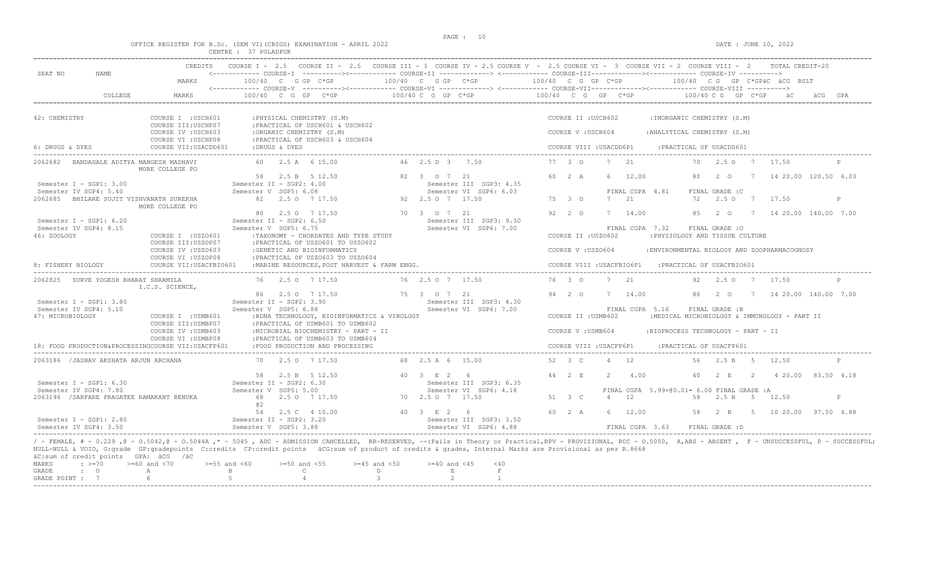$DATA: JUNE 10, 2022$ 

|  |  |  |                      | OFFICE REGISTER FOR B.SC. (SEM VI)(CBSGS) EXAMINATION - APRIL 202 |  |  |
|--|--|--|----------------------|-------------------------------------------------------------------|--|--|
|  |  |  | CENTRE : 37 POLADPUR |                                                                   |  |  |

GRADE POINT :  $7$  6 5 5 4 3 3 2 1

| SEAT NO<br>NAME                                                                                                                                                                                                                                                                                                                                                                                                                                  | MARKS                                          | 100/40 C G GP C*GP                                                       |                                               | 100/40 C G GP C*GP |                                                   | 100/40 C G GP C*GP                        |                           |                |                 |                                            |     |                            |               | 100/40 CG GP C*GPäC äCG RSLT                 |              |
|--------------------------------------------------------------------------------------------------------------------------------------------------------------------------------------------------------------------------------------------------------------------------------------------------------------------------------------------------------------------------------------------------------------------------------------------------|------------------------------------------------|--------------------------------------------------------------------------|-----------------------------------------------|--------------------|---------------------------------------------------|-------------------------------------------|---------------------------|----------------|-----------------|--------------------------------------------|-----|----------------------------|---------------|----------------------------------------------|--------------|
| COLLEGE                                                                                                                                                                                                                                                                                                                                                                                                                                          | MARKS                                          | $100/40$ C G GP C*GP                                                     | $100/40 \text{ C}$ G GP $C*GP$                |                    |                                                   | $100/40$ C G GP C*GP $100/40$ C G GP C*GP |                           |                |                 |                                            |     |                            |               |                                              |              |
|                                                                                                                                                                                                                                                                                                                                                                                                                                                  |                                                |                                                                          |                                               |                    |                                                   |                                           |                           |                |                 |                                            |     |                            |               |                                              |              |
| 42: CHEMISTRY                                                                                                                                                                                                                                                                                                                                                                                                                                    | COURSE I : USCH601<br>COURSE III: USCHP07      | : PHYSICAL CHEMISTRY (S.M)<br>:PRACTICAL OF USCH601 & USCH602            |                                               |                    |                                                   |                                           | COURSE II : USCH602       |                |                 | : INORGANIC CHEMISTRY (S.M)                |     |                            |               |                                              |              |
|                                                                                                                                                                                                                                                                                                                                                                                                                                                  | COURSE IV : USCH603<br>COURSE VI : USCHP08     | :ORGANIC CHEMISTRY (S.M)<br>:PRACTICAL OF USCH603 & USCH604              |                                               |                    |                                                   |                                           | COURSE V: USCH604         |                |                 | : ANALYTICAL CHEMISTRY (S.M)               |     |                            |               |                                              |              |
| 6: DRUGS & DYES                                                                                                                                                                                                                                                                                                                                                                                                                                  | COURSE VII: USACDD601                          | :DRUGS & DYES                                                            |                                               |                    |                                                   |                                           | COURSE VIII : USACDD6P1   |                |                 |                                            |     | : PRACTICAL OF USACDD601   |               |                                              |              |
| 2062682<br>BANDAGALE ADITYA MANGESH MADHAVI                                                                                                                                                                                                                                                                                                                                                                                                      | MORE COLLEGE PO                                | 60 2.5 A 6 15.00                                                         |                                               | 46 2.5 D 3 7.50    |                                                   | 77 3 0                                    |                           |                | 7 21            |                                            | 70  | 2.507                      |               | 17.50                                        |              |
| Semester I - SGP1: 3.00                                                                                                                                                                                                                                                                                                                                                                                                                          |                                                | 2.5 B 5 12.50<br>58<br>Semester II - SGP2: 4.00                          |                                               | 82 3 0 7 21        | Semester III SGP3: 4.35                           | 60 2 A                                    |                           | 6              | 12.00           |                                            | 80  | $2\degree$ 0               |               | 7 14 20.00 120.50 6.03                       |              |
| Semester IV SGP4: 5.40                                                                                                                                                                                                                                                                                                                                                                                                                           |                                                | Semester V SGP5: 6.08                                                    |                                               |                    | Semester VI SGP6: 6.03                            |                                           |                           |                | FINAL CGPA 4.81 |                                            |     | FINAL GRADE : C            |               |                                              |              |
| 2062685 BHILARE SUJIT VISHVANATH SUREKHA                                                                                                                                                                                                                                                                                                                                                                                                         | MORE COLLEGE PO                                | 82 2.5 0 7 17.50                                                         |                                               | 92 2.5 0 7 17.50   |                                                   | 75 3 0                                    |                           | 7              | 2.1             |                                            | 72  | 2.5 0 7 17.50              |               |                                              | P            |
| Semester I - SGP1: 6.20                                                                                                                                                                                                                                                                                                                                                                                                                          |                                                | 80 2.5 0 7 17.50<br>Semester II - SGP2: 6.50                             |                                               | 70 3 0 7 21        | Semester III SGP3: 9.30                           | 92 2 0                                    |                           |                | 7 14.00         |                                            |     |                            |               | 85 2 0 7 14 20 00 140 00 7 00                |              |
| Semester IV SGP4: 8.15<br>46: ZOOLOGY                                                                                                                                                                                                                                                                                                                                                                                                            | COURSE I : USZ0601                             | Semester V SGP5: 6.75<br>:TAXONOMY - CHORDATES AND TYPE STUDY            |                                               |                    | Semester VI SGP6: 7.00                            |                                           | COURSE II : USZ0602       |                | FINAL CGPA 7.32 | : PHYSIOLOGY AND TISSUE CULTURE            |     | FINAL GRADE : O            |               |                                              |              |
|                                                                                                                                                                                                                                                                                                                                                                                                                                                  | COURSE III:USZOP07<br>COURSE IV : USZO603      | : PRACTICAL OF USZO601 TO USZO602<br>:GENETIC AND BIOINFORMATICS         |                                               |                    |                                                   |                                           | COURSE V: USZ0604         |                |                 |                                            |     |                            |               | :ENVIRONMENTAL BIOLOGY AND ZOOPHARMACOGNOSY  |              |
| 8: FISHERY BIOLOGY                                                                                                                                                                                                                                                                                                                                                                                                                               | COURSE VI : USZOP08<br>COURSE VII: USACFBIO601 | : PRACTICAL OF USZ0603 TO USZ0604                                        | : MARINE RESOURCES, POST HARVEST & FARM ENGG. |                    |                                                   |                                           | COURSE VIII : USACFBIO6P1 |                |                 |                                            |     | : PRACTICAL OF USACFBIO601 |               |                                              |              |
| 2062825 SURVE YOGESH BHARAT SHARMILA                                                                                                                                                                                                                                                                                                                                                                                                             |                                                | 76 2.5 0 7 17.50                                                         |                                               | 76 2.5 0 7 17.50   |                                                   | 76 3 0                                    |                           | 7              | 2.1             |                                            | 92. | 2.5 0 7 17.50              |               |                                              | P            |
|                                                                                                                                                                                                                                                                                                                                                                                                                                                  | I.C.S. SCIENCE,                                | 86 2.5 0 7 17.50                                                         |                                               | 75 3 0 7 21        |                                                   | 94 2 0                                    |                           |                | 7 14.00         |                                            | 86  | $2^{\circ}$ 0              |               | 7 14 20.00 140.00 7.00                       |              |
| Semester I - SGP1: 3.80<br>Semester IV SGP4: 5.10<br>47: MICROBIOLOGY                                                                                                                                                                                                                                                                                                                                                                            | COURSE I : USMB601                             | Semester II - SGP2: 3.90<br>Semester V SGP5: 6.88                        | :RDNA TECHNOLOGY, BIOINFORMATICS & VIROLOGY   |                    | Semester III SGP3: 4.30<br>Semester VI SGP6: 7.00 |                                           | COURSE II : USMB602       |                | FINAL CGPA 5.16 |                                            |     | FINAL GRADE :B             |               | :MEDICAL MICROBIOLOGY & IMMUNOLOGY - PART II |              |
|                                                                                                                                                                                                                                                                                                                                                                                                                                                  | COURSE III: USMBP07<br>COURSE IV : USMB603     | : PRACTICAL OF USMB601 TO USMB602<br>:MICROBIAL BIOCHEMISTRY - PART - II |                                               |                    |                                                   |                                           | COURSE V: USMB604         |                |                 | :BIOPROCESS TECHNOLOGY - PART - II         |     |                            |               |                                              |              |
| 18: FOOD PRODUCTION&PROCESSINGCOURSE VII:USACFP601                                                                                                                                                                                                                                                                                                                                                                                               | COURSE VI : USMBP08                            | :PRACTICAL OF USMB603 TO USMB604<br>:FOOD PRODUCTION AND PROCESSING      |                                               |                    |                                                   |                                           | COURSE VIII : USACFP6P1   |                |                 |                                            |     | : PRACTICAL OF USACFP601   |               |                                              |              |
| 2063186 / JADHAV AKSHATA ARJUN ARCHANA                                                                                                                                                                                                                                                                                                                                                                                                           |                                                | 70 2.5 0 7 17.50                                                         |                                               | 68 2.5 A 6 15.00   |                                                   | 52 3 C                                    |                           | $4 \t12$       |                 |                                            | 56  | 2.5 B                      | $5^{\circ}$   | 12.50                                        | P            |
| Semester I - SGP1: 6.30                                                                                                                                                                                                                                                                                                                                                                                                                          |                                                | 58 2.5 B 5 12.50<br>Semester II - SGP2: 6.30                             |                                               | 40 3 F 2 6         | Semester III SGP3: 6.35                           | 44 2 F                                    |                           | $\mathcal{P}$  | 4.00            |                                            | 40  | $2 - E$                    | $\mathcal{P}$ | 4 20.00 83.50 4.18                           |              |
| Semester IV SGP4: 7.80<br>2063196 / SARFARE PRAGATEE RAMAKANT RENUKA                                                                                                                                                                                                                                                                                                                                                                             |                                                | Semester V SGP5: 5.00<br>68<br>2.5 0 7 17.50                             |                                               | 70 2.5 0 7 17.50   | Semester VI SGP6: 4.18                            | 51 3 C                                    |                           | $\overline{4}$ | 12              | FINAL CGPA 5.99+00.01= 6.00 FINAL GRADE: A | 58  | 2.5 B                      | $-5$          | 12.50                                        | $\mathbb{P}$ |
|                                                                                                                                                                                                                                                                                                                                                                                                                                                  |                                                | @ 2                                                                      |                                               |                    |                                                   |                                           |                           |                |                 |                                            |     |                            |               |                                              |              |
| Semester I - SGP1: 2.80                                                                                                                                                                                                                                                                                                                                                                                                                          |                                                | 2.5 C 4 10.00<br>54<br>Semester II - SGP2: 3.20                          |                                               | 40 3 E 2 6         | Semester III SGP3: 3.50                           | 60 2 A                                    |                           |                | 6 12.00         |                                            | 58  | $2 \quad B$                |               | 5 10 20.00 97.50 4.88                        |              |
| Semester IV SGP4: 3.50                                                                                                                                                                                                                                                                                                                                                                                                                           |                                                | Semester V SGP5: 3.88                                                    |                                               |                    | Semester VI SGP6: 4.88                            |                                           |                           |                | FINAL CGPA 3.63 |                                            |     | FINAL GRADE : D            |               |                                              |              |
| / - FEMALE, # - 0.229, @ - 0.5042, @ - 0.5044A, * - 5045, ADC - ADMISSION CANCELLED, RR-RESERVED, --:Fails in Theory or Practical,RPV - PROVISIONAL, RCC - 0.5050, A,ABS - ABSENT, F - UNSUCCESSFUL, P - SUCCESSFUL;<br>NULL-NULL & VOID, G:grade GP:gradepoints C:credits CP:credit points äCG:sum of product of credits & grades, Internal Marks are Provisional as per R.8668<br>äC:sum of credit points GPA: äCG /äC<br>$\div$ >=70<br>MARKS | $>=60$ and $<70$<br>$>=55$ and $<60$           | $>=50$ and $<55$                                                         | $>=45$ and $<50$                              | $>= 40$ and $< 45$ | $<$ 40                                            |                                           |                           |                |                 |                                            |     |                            |               |                                              |              |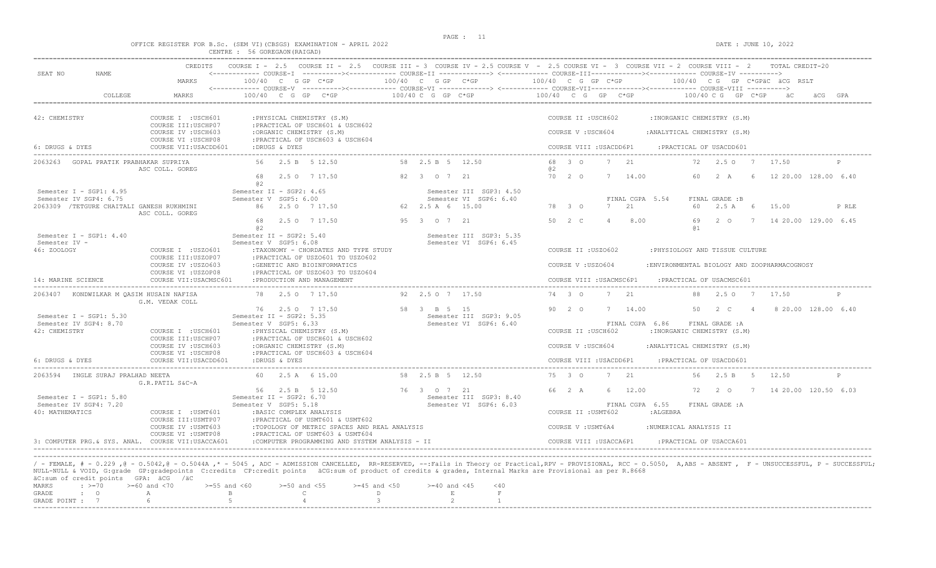# OFFICE REGISTER FOR B.Sc. (SEM VI)(CBSGS) EXAMINATION - APRIL 2022<br>CENTRE : 56 GOREGAON(RAIGAD)<br>CENTRE : 56 GOREGAON(RAIGAD)

| COLLEGE<br>MARKS<br>42: CHEMISTRY<br>COURSE I : USCH601<br>COURSE III: USCHP07<br>COURSE IV : USCH603<br>COURSE VI : USCHP08<br>6: DRUGS & DYES<br>COURSE VII: USACDD601<br>2063263 GOPAL PRATIK PRABHAKAR SUPRIYA<br>56<br>ASC COLL. GOREG<br>68<br>02<br>Semester I - SGP1: $4.95$<br>Semester IV SGP4: 6.75<br>2063309 / TETGURE CHAITALI GANESH RUKHMINI<br>ASC COLL. GOREG<br>68<br>02<br>Semester I - SGP1: $4.40$<br>Semester IV -<br>46: ZOOLOGY<br>COURSE I : USZO601<br>COURSE III:USZOP07<br>COURSE IV : USZO603<br>COURSE VI : USZOP08<br>14: MARINE SCIENCE<br>COURSE VII: USACMSC601<br>2063407 KONDWILKAR M QASIM HUSAIN NAFISA<br>G.M. VEDAK COLL<br>Semester I - SGP1: 5.30<br>Semester IV SGP4: 8.70<br>42: CHEMISTRY<br>COURSE I : USCH601<br>COURSE III:USCHP07<br>COURSE IV : USCH603<br>COURSE VI : USCHP08<br>6: DRUGS & DYES<br>COURSE VII: USACDD601 | <------------ COURSE-V -----------><----------- COURSE-VI --------------> <------------ COURSE-VIII-------------- COURSE-VIII ----------><br>$100/40$ C G GP C*GP<br>: PHYSICAL CHEMISTRY (S.M)<br>: PRACTICAL OF USCH601 & USCH602<br>:ORGANIC CHEMISTRY (S.M)<br>: PRACTICAL OF USCH603 & USCH604<br>:DRUGS & DYES<br>2.5 B 5 12.50<br>2.5 0 7 17.50<br>Semester II - SGP2: 4.65<br>Semester V SGP5: 6.00<br>86 2.5 0 7 17.50<br>2.5 0 7 17.50<br>Semester II - SGP2: 5.40<br>Semester V SGP5: 6.08<br>:TAXONOMY - CHORDATES AND TYPE STUDY<br>: PRACTICAL OF USZO601 TO USZO602<br>:GENETIC AND BIOINFORMATICS<br>: PRACTICAL OF USZO603 TO USZO604<br>: PRODUCTION AND MANAGEMENT<br>78 2.5 0 7 17.50<br>76 2.5 0 7 17.50 | $100/40 C G$ GP $C*GP$<br>58 2.5 B 5 12.50<br>82 3 0 7 21<br>62 2.5 A 6 15.00<br>95 3 0 7 21<br>92 2.5 0 7 17.50 | Semester III SGP3: 4.50<br>Semester VI SGP6: 6.40<br>Semester III SGP3: 5.35<br>Semester VI SGP6: 6.45 | $100/40$ C G GP C*GP<br>68 3 0<br>02<br>70 2 0<br>78 3 0<br>50 2 C | COURSE II : USCH602<br>COURSE V: USCH604<br>COURSE II : USZO602<br>COURSE V: USZ0604 | COURSE VIII : USACDD6P1<br>$7^{2}$<br>14.00<br>7<br>7<br>21<br>$\overline{4}$<br>COURSE VIII : USACMSC6P1 | FINAL CGPA 5.54<br>8.00      | : INORGANIC CHEMISTRY (S.M)<br>: ANALYTICAL CHEMISTRY (S.M)<br>: PRACTICAL OF USACDD601<br>72<br>60<br>60<br>69<br>01<br>: PHYSIOLOGY AND TISSUE CULTURE<br>: PRACTICAL OF USACMSC601 | 100/40 C G GP C*GP<br>2.50 7<br>2 A<br>FINAL GRADE :B<br>2.5A<br>$2^{\circ}$ | 6<br>6         | 17.50<br>15.00<br>:ENVIRONMENTAL BIOLOGY AND ZOOPHARMACOGNOSY | äCG GPA<br>12 20.00 128.00 6.40<br>P RLE<br>7 14 20.00 129.00 6.45 |
|-------------------------------------------------------------------------------------------------------------------------------------------------------------------------------------------------------------------------------------------------------------------------------------------------------------------------------------------------------------------------------------------------------------------------------------------------------------------------------------------------------------------------------------------------------------------------------------------------------------------------------------------------------------------------------------------------------------------------------------------------------------------------------------------------------------------------------------------------------------------------------|-------------------------------------------------------------------------------------------------------------------------------------------------------------------------------------------------------------------------------------------------------------------------------------------------------------------------------------------------------------------------------------------------------------------------------------------------------------------------------------------------------------------------------------------------------------------------------------------------------------------------------------------------------------------------------------------------------------------------------|------------------------------------------------------------------------------------------------------------------|--------------------------------------------------------------------------------------------------------|--------------------------------------------------------------------|--------------------------------------------------------------------------------------|-----------------------------------------------------------------------------------------------------------|------------------------------|---------------------------------------------------------------------------------------------------------------------------------------------------------------------------------------|------------------------------------------------------------------------------|----------------|---------------------------------------------------------------|--------------------------------------------------------------------|
|                                                                                                                                                                                                                                                                                                                                                                                                                                                                                                                                                                                                                                                                                                                                                                                                                                                                               |                                                                                                                                                                                                                                                                                                                                                                                                                                                                                                                                                                                                                                                                                                                               |                                                                                                                  |                                                                                                        |                                                                    |                                                                                      |                                                                                                           |                              |                                                                                                                                                                                       |                                                                              |                |                                                               |                                                                    |
|                                                                                                                                                                                                                                                                                                                                                                                                                                                                                                                                                                                                                                                                                                                                                                                                                                                                               |                                                                                                                                                                                                                                                                                                                                                                                                                                                                                                                                                                                                                                                                                                                               |                                                                                                                  |                                                                                                        |                                                                    |                                                                                      |                                                                                                           |                              |                                                                                                                                                                                       |                                                                              |                |                                                               |                                                                    |
|                                                                                                                                                                                                                                                                                                                                                                                                                                                                                                                                                                                                                                                                                                                                                                                                                                                                               |                                                                                                                                                                                                                                                                                                                                                                                                                                                                                                                                                                                                                                                                                                                               |                                                                                                                  |                                                                                                        |                                                                    |                                                                                      |                                                                                                           |                              |                                                                                                                                                                                       |                                                                              |                |                                                               |                                                                    |
|                                                                                                                                                                                                                                                                                                                                                                                                                                                                                                                                                                                                                                                                                                                                                                                                                                                                               |                                                                                                                                                                                                                                                                                                                                                                                                                                                                                                                                                                                                                                                                                                                               |                                                                                                                  |                                                                                                        |                                                                    |                                                                                      |                                                                                                           |                              |                                                                                                                                                                                       |                                                                              |                |                                                               |                                                                    |
|                                                                                                                                                                                                                                                                                                                                                                                                                                                                                                                                                                                                                                                                                                                                                                                                                                                                               |                                                                                                                                                                                                                                                                                                                                                                                                                                                                                                                                                                                                                                                                                                                               |                                                                                                                  |                                                                                                        |                                                                    |                                                                                      |                                                                                                           |                              |                                                                                                                                                                                       |                                                                              |                |                                                               |                                                                    |
|                                                                                                                                                                                                                                                                                                                                                                                                                                                                                                                                                                                                                                                                                                                                                                                                                                                                               |                                                                                                                                                                                                                                                                                                                                                                                                                                                                                                                                                                                                                                                                                                                               |                                                                                                                  |                                                                                                        |                                                                    |                                                                                      |                                                                                                           |                              |                                                                                                                                                                                       |                                                                              |                |                                                               |                                                                    |
|                                                                                                                                                                                                                                                                                                                                                                                                                                                                                                                                                                                                                                                                                                                                                                                                                                                                               |                                                                                                                                                                                                                                                                                                                                                                                                                                                                                                                                                                                                                                                                                                                               |                                                                                                                  |                                                                                                        |                                                                    |                                                                                      |                                                                                                           |                              |                                                                                                                                                                                       |                                                                              |                |                                                               |                                                                    |
|                                                                                                                                                                                                                                                                                                                                                                                                                                                                                                                                                                                                                                                                                                                                                                                                                                                                               |                                                                                                                                                                                                                                                                                                                                                                                                                                                                                                                                                                                                                                                                                                                               |                                                                                                                  |                                                                                                        |                                                                    |                                                                                      |                                                                                                           |                              |                                                                                                                                                                                       |                                                                              |                |                                                               |                                                                    |
|                                                                                                                                                                                                                                                                                                                                                                                                                                                                                                                                                                                                                                                                                                                                                                                                                                                                               |                                                                                                                                                                                                                                                                                                                                                                                                                                                                                                                                                                                                                                                                                                                               |                                                                                                                  |                                                                                                        |                                                                    |                                                                                      |                                                                                                           |                              |                                                                                                                                                                                       |                                                                              |                |                                                               |                                                                    |
|                                                                                                                                                                                                                                                                                                                                                                                                                                                                                                                                                                                                                                                                                                                                                                                                                                                                               |                                                                                                                                                                                                                                                                                                                                                                                                                                                                                                                                                                                                                                                                                                                               |                                                                                                                  |                                                                                                        |                                                                    |                                                                                      |                                                                                                           |                              |                                                                                                                                                                                       |                                                                              |                |                                                               |                                                                    |
|                                                                                                                                                                                                                                                                                                                                                                                                                                                                                                                                                                                                                                                                                                                                                                                                                                                                               |                                                                                                                                                                                                                                                                                                                                                                                                                                                                                                                                                                                                                                                                                                                               |                                                                                                                  |                                                                                                        |                                                                    |                                                                                      |                                                                                                           |                              |                                                                                                                                                                                       |                                                                              |                |                                                               |                                                                    |
|                                                                                                                                                                                                                                                                                                                                                                                                                                                                                                                                                                                                                                                                                                                                                                                                                                                                               |                                                                                                                                                                                                                                                                                                                                                                                                                                                                                                                                                                                                                                                                                                                               |                                                                                                                  |                                                                                                        |                                                                    |                                                                                      |                                                                                                           |                              |                                                                                                                                                                                       |                                                                              |                |                                                               |                                                                    |
|                                                                                                                                                                                                                                                                                                                                                                                                                                                                                                                                                                                                                                                                                                                                                                                                                                                                               |                                                                                                                                                                                                                                                                                                                                                                                                                                                                                                                                                                                                                                                                                                                               |                                                                                                                  |                                                                                                        |                                                                    |                                                                                      |                                                                                                           |                              |                                                                                                                                                                                       |                                                                              |                |                                                               |                                                                    |
|                                                                                                                                                                                                                                                                                                                                                                                                                                                                                                                                                                                                                                                                                                                                                                                                                                                                               |                                                                                                                                                                                                                                                                                                                                                                                                                                                                                                                                                                                                                                                                                                                               |                                                                                                                  |                                                                                                        |                                                                    |                                                                                      |                                                                                                           |                              |                                                                                                                                                                                       |                                                                              |                |                                                               |                                                                    |
|                                                                                                                                                                                                                                                                                                                                                                                                                                                                                                                                                                                                                                                                                                                                                                                                                                                                               |                                                                                                                                                                                                                                                                                                                                                                                                                                                                                                                                                                                                                                                                                                                               |                                                                                                                  |                                                                                                        |                                                                    |                                                                                      |                                                                                                           |                              |                                                                                                                                                                                       |                                                                              |                |                                                               |                                                                    |
|                                                                                                                                                                                                                                                                                                                                                                                                                                                                                                                                                                                                                                                                                                                                                                                                                                                                               |                                                                                                                                                                                                                                                                                                                                                                                                                                                                                                                                                                                                                                                                                                                               |                                                                                                                  |                                                                                                        |                                                                    |                                                                                      |                                                                                                           |                              |                                                                                                                                                                                       |                                                                              |                |                                                               |                                                                    |
|                                                                                                                                                                                                                                                                                                                                                                                                                                                                                                                                                                                                                                                                                                                                                                                                                                                                               |                                                                                                                                                                                                                                                                                                                                                                                                                                                                                                                                                                                                                                                                                                                               |                                                                                                                  |                                                                                                        | 74 3 0                                                             |                                                                                      | 7 21                                                                                                      |                              | 88                                                                                                                                                                                    | 2.5 0 7 17.50                                                                |                |                                                               | P                                                                  |
|                                                                                                                                                                                                                                                                                                                                                                                                                                                                                                                                                                                                                                                                                                                                                                                                                                                                               |                                                                                                                                                                                                                                                                                                                                                                                                                                                                                                                                                                                                                                                                                                                               | 58 3 B 5 15                                                                                                      |                                                                                                        | $90 \quad 20$                                                      |                                                                                      | 7 14.00                                                                                                   |                              | 50                                                                                                                                                                                    | $2 \quad C$                                                                  | $\overline{4}$ |                                                               | 8 20.00 128.00 6.40                                                |
|                                                                                                                                                                                                                                                                                                                                                                                                                                                                                                                                                                                                                                                                                                                                                                                                                                                                               | Semester II - SGP2: 5.35<br>Semester V SGP5: 6.33                                                                                                                                                                                                                                                                                                                                                                                                                                                                                                                                                                                                                                                                             |                                                                                                                  | Semester III SGP3: 9.05<br>Semester VI SGP6: 6.40                                                      |                                                                    |                                                                                      |                                                                                                           | FINAL CGPA 6.86              |                                                                                                                                                                                       | FINAL GRADE : A                                                              |                |                                                               |                                                                    |
|                                                                                                                                                                                                                                                                                                                                                                                                                                                                                                                                                                                                                                                                                                                                                                                                                                                                               | : PHYSICAL CHEMISTRY (S.M)                                                                                                                                                                                                                                                                                                                                                                                                                                                                                                                                                                                                                                                                                                    |                                                                                                                  |                                                                                                        |                                                                    | COURSE II : USCH602                                                                  |                                                                                                           |                              | : INORGANIC CHEMISTRY (S.M)                                                                                                                                                           |                                                                              |                |                                                               |                                                                    |
|                                                                                                                                                                                                                                                                                                                                                                                                                                                                                                                                                                                                                                                                                                                                                                                                                                                                               | :PRACTICAL OF USCH601 & USCH602                                                                                                                                                                                                                                                                                                                                                                                                                                                                                                                                                                                                                                                                                               |                                                                                                                  |                                                                                                        |                                                                    |                                                                                      |                                                                                                           |                              |                                                                                                                                                                                       |                                                                              |                |                                                               |                                                                    |
|                                                                                                                                                                                                                                                                                                                                                                                                                                                                                                                                                                                                                                                                                                                                                                                                                                                                               | :ORGANIC CHEMISTRY (S.M)                                                                                                                                                                                                                                                                                                                                                                                                                                                                                                                                                                                                                                                                                                      |                                                                                                                  |                                                                                                        |                                                                    | COURSE V: USCH604                                                                    |                                                                                                           | : ANALYTICAL CHEMISTRY (S.M) |                                                                                                                                                                                       |                                                                              |                |                                                               |                                                                    |
|                                                                                                                                                                                                                                                                                                                                                                                                                                                                                                                                                                                                                                                                                                                                                                                                                                                                               | : PRACTICAL OF USCH603 & USCH604<br>:DRUGS & DYES                                                                                                                                                                                                                                                                                                                                                                                                                                                                                                                                                                                                                                                                             |                                                                                                                  |                                                                                                        |                                                                    |                                                                                      | COURSE VIII : USACDD6P1                                                                                   |                              | : PRACTICAL OF USACDD601                                                                                                                                                              |                                                                              |                |                                                               |                                                                    |
|                                                                                                                                                                                                                                                                                                                                                                                                                                                                                                                                                                                                                                                                                                                                                                                                                                                                               |                                                                                                                                                                                                                                                                                                                                                                                                                                                                                                                                                                                                                                                                                                                               |                                                                                                                  |                                                                                                        |                                                                    |                                                                                      |                                                                                                           |                              |                                                                                                                                                                                       |                                                                              |                |                                                               |                                                                    |
| 2063594 INGLE SURAJ PRALHAD NEETA                                                                                                                                                                                                                                                                                                                                                                                                                                                                                                                                                                                                                                                                                                                                                                                                                                             | 60 2.5 A 6 15.00                                                                                                                                                                                                                                                                                                                                                                                                                                                                                                                                                                                                                                                                                                              | 58 2.5 B 5 12.50                                                                                                 |                                                                                                        | 75 3 0                                                             |                                                                                      | 7 21                                                                                                      |                              | 56                                                                                                                                                                                    | 2.5 B 5                                                                      |                | 12.50                                                         | P                                                                  |
| G.R.PATIL S&C-A                                                                                                                                                                                                                                                                                                                                                                                                                                                                                                                                                                                                                                                                                                                                                                                                                                                               |                                                                                                                                                                                                                                                                                                                                                                                                                                                                                                                                                                                                                                                                                                                               | 76 3 0 7 21                                                                                                      |                                                                                                        | 66 2 A                                                             |                                                                                      | 6 12.00                                                                                                   |                              | 72                                                                                                                                                                                    |                                                                              |                |                                                               | 2 0 7 14 20.00 120.50 6.03                                         |
| Semester I - SGP1: 5.80                                                                                                                                                                                                                                                                                                                                                                                                                                                                                                                                                                                                                                                                                                                                                                                                                                                       | 56 2.5 B 5 12.50<br>Semester II - SGP2: 6.70                                                                                                                                                                                                                                                                                                                                                                                                                                                                                                                                                                                                                                                                                  |                                                                                                                  | Semester III SGP3: 8.40                                                                                |                                                                    |                                                                                      |                                                                                                           |                              |                                                                                                                                                                                       |                                                                              |                |                                                               |                                                                    |
| Semester IV SGP4: 7.20                                                                                                                                                                                                                                                                                                                                                                                                                                                                                                                                                                                                                                                                                                                                                                                                                                                        | Semester V SGP5: 5.18                                                                                                                                                                                                                                                                                                                                                                                                                                                                                                                                                                                                                                                                                                         |                                                                                                                  | Semester VI SGP6: 6.03                                                                                 |                                                                    |                                                                                      |                                                                                                           | FINAL CGPA 6.55              |                                                                                                                                                                                       | FINAL GRADE : A                                                              |                |                                                               |                                                                    |
| 40: MATHEMATICS<br>COURSE I : USMT601                                                                                                                                                                                                                                                                                                                                                                                                                                                                                                                                                                                                                                                                                                                                                                                                                                         | : BASIC COMPLEX ANALYSIS                                                                                                                                                                                                                                                                                                                                                                                                                                                                                                                                                                                                                                                                                                      |                                                                                                                  |                                                                                                        |                                                                    | COURSE II : USMT602                                                                  |                                                                                                           | :ALGEBRA                     |                                                                                                                                                                                       |                                                                              |                |                                                               |                                                                    |
| COURSE III: USMTP07                                                                                                                                                                                                                                                                                                                                                                                                                                                                                                                                                                                                                                                                                                                                                                                                                                                           | : PRACTICAL OF USMT601 & USMT602                                                                                                                                                                                                                                                                                                                                                                                                                                                                                                                                                                                                                                                                                              |                                                                                                                  |                                                                                                        |                                                                    |                                                                                      |                                                                                                           |                              |                                                                                                                                                                                       |                                                                              |                |                                                               |                                                                    |
| COURSE IV : USMT603                                                                                                                                                                                                                                                                                                                                                                                                                                                                                                                                                                                                                                                                                                                                                                                                                                                           | :TOPOLOGY OF METRIC SPACES AND REAL ANALYSIS                                                                                                                                                                                                                                                                                                                                                                                                                                                                                                                                                                                                                                                                                  |                                                                                                                  |                                                                                                        |                                                                    | COURSE V : USMT6A4                                                                   |                                                                                                           | :NUMERICAL ANALYSIS II       |                                                                                                                                                                                       |                                                                              |                |                                                               |                                                                    |
| COURSE VI : USMTP08                                                                                                                                                                                                                                                                                                                                                                                                                                                                                                                                                                                                                                                                                                                                                                                                                                                           | : PRACTICAL OF USMT603 & USMT604                                                                                                                                                                                                                                                                                                                                                                                                                                                                                                                                                                                                                                                                                              |                                                                                                                  |                                                                                                        |                                                                    |                                                                                      |                                                                                                           |                              |                                                                                                                                                                                       |                                                                              |                |                                                               |                                                                    |
| 3: COMPUTER PRG. & SYS. ANAL. COURSE VII:USACCA601                                                                                                                                                                                                                                                                                                                                                                                                                                                                                                                                                                                                                                                                                                                                                                                                                            | :COMPUTER PROGRAMMING AND SYSTEM ANALYSIS - II                                                                                                                                                                                                                                                                                                                                                                                                                                                                                                                                                                                                                                                                                |                                                                                                                  |                                                                                                        |                                                                    |                                                                                      | COURSE VIII : USACCA6P1                                                                                   |                              | PRACTICAL OF USACCA601:                                                                                                                                                               |                                                                              |                |                                                               |                                                                    |
|                                                                                                                                                                                                                                                                                                                                                                                                                                                                                                                                                                                                                                                                                                                                                                                                                                                                               |                                                                                                                                                                                                                                                                                                                                                                                                                                                                                                                                                                                                                                                                                                                               |                                                                                                                  |                                                                                                        |                                                                    |                                                                                      |                                                                                                           |                              |                                                                                                                                                                                       |                                                                              |                |                                                               |                                                                    |

|  |  | $\alpha$ is the second form of $\alpha$ and $\alpha$ |                                                                                   |  |  |
|--|--|------------------------------------------------------|-----------------------------------------------------------------------------------|--|--|
|  |  |                                                      | MARKS : >=70 >=60 and <70 >=55 and <60 >=50 and <55 >=45 and <50 >=40 and <45 <40 |  |  |
|  |  |                                                      | GRADE : O A B C D E I                                                             |  |  |
|  |  |                                                      | GRADE POINT : $7$ 6 6 5 5 4 5 3 3 2 1                                             |  |  |
|  |  |                                                      |                                                                                   |  |  |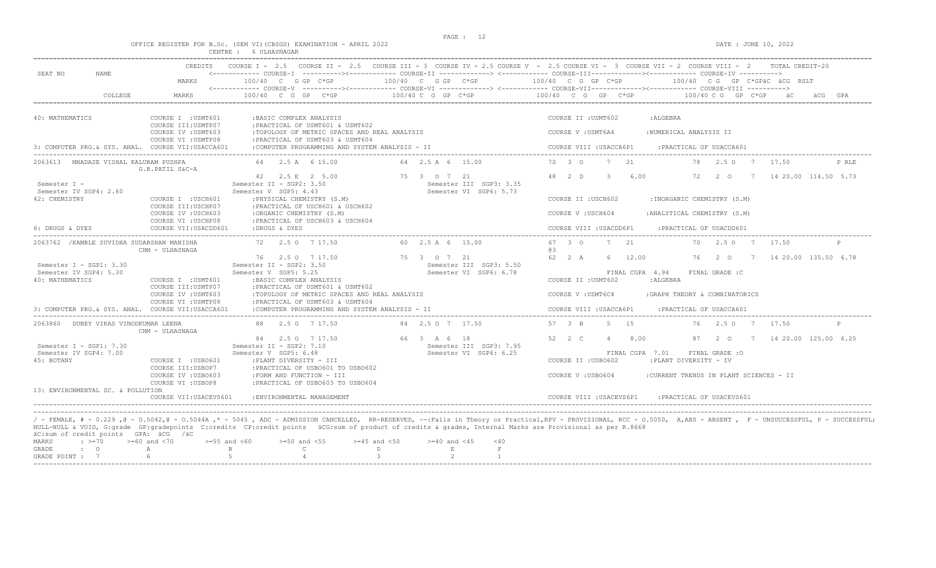$DATA: JUNE 10, 2022$ 

|  |  |          |              | OFFICE REGISTER FOR B.Sc. (SEM VI)(CBSGS) EXAMINATION - APRIL 2022 |  |
|--|--|----------|--------------|--------------------------------------------------------------------|--|
|  |  | CENTRE : | 6 ULHASNAGAR |                                                                    |  |

| SEAT NO<br>NAME                                                        | CREDITS                                                           |                                                                                                                     |                                                                  | COURSE I - 2.5 COURSE II - 2.5 COURSE III - 3 COURSE IV - 2.5 COURSE V - 2.5 COURSE VI - 3 COURSE VII - 2 COURSE VIII - 2<br>TOTAL CREDIT-20<br><------------ COURSE-I ----------><----------- COURSE-II -------------> <------------ COURSE-III-----------><---------><---------- COURSE-IV ---------->> |
|------------------------------------------------------------------------|-------------------------------------------------------------------|---------------------------------------------------------------------------------------------------------------------|------------------------------------------------------------------|-----------------------------------------------------------------------------------------------------------------------------------------------------------------------------------------------------------------------------------------------------------------------------------------------------------|
|                                                                        | MARKS                                                             | 100/40 C G GP C*GP                                                                                                  | 100/40 C G GP C*GP                                               | $100/40$ C G GP C*GP<br>100/40 CG GP C*GPäC äCG RSLT                                                                                                                                                                                                                                                      |
| COLLEGE                                                                | MARKS                                                             | 100/40 C G GP C*GP                                                                                                  | 100/40 C G GP C*GP                                               | 100/40 C G GP C*GP<br>$100/40$ C G GP C*GP<br>GPA                                                                                                                                                                                                                                                         |
| 40: MATHEMATICS                                                        | COURSE I : USMT601<br>COURSE III: USMTP07                         | : BASIC COMPLEX ANALYSIS<br>: PRACTICAL OF USMT601 & USMT602                                                        |                                                                  | COURSE II : USMT602<br>:ALGEBRA                                                                                                                                                                                                                                                                           |
|                                                                        | COURSE IV : USMT603<br>COURSE VI : USMTP08                        | :TOPOLOGY OF METRIC SPACES AND REAL ANALYSIS<br>: PRACTICAL OF USMT603 & USMT604                                    |                                                                  | COURSE V : USMT6A4<br>:NUMERICAL ANALYSIS II                                                                                                                                                                                                                                                              |
| 3: COMPUTER PRG. & SYS. ANAL. COURSE VII:USACCA601                     |                                                                   | :COMPUTER PROGRAMMING AND SYSTEM ANALYSIS - II                                                                      |                                                                  | COURSE VIII : USACCA6P1<br>: PRACTICAL OF USACCA601                                                                                                                                                                                                                                                       |
| 2063613 MHADASE VISHAL KALURAM PUSHPA                                  | G.R.PATIL S&C-A                                                   | 64 2.5 A 6 15.00                                                                                                    | 64 2.5 A 6 15.00                                                 | 70 3 0<br>7 21<br>78 2.50 7<br>17.50<br>P RLE                                                                                                                                                                                                                                                             |
| Semester I -<br>Semester IV SGP4: 2.60                                 |                                                                   | 42 2.5 E 2 5.00<br>Semester II - SGP2: 3.50<br>Semester V SGP5: 4.43                                                | 75 3 0 7 21<br>Semester III SGP3: 3.35<br>Semester VI SGP6: 5.73 | 48 2 D<br>$\mathbf{3}$<br>6.00<br>7 14 20.00 114.50 5.73<br>72<br>20                                                                                                                                                                                                                                      |
| 42: CHEMISTRY                                                          | COURSE I : USCH601<br>COURSE III: USCHP07                         | : PHYSICAL CHEMISTRY (S.M)<br>: PRACTICAL OF USCH601 & USCH602                                                      |                                                                  | COURSE II : USCH602<br>: INORGANIC CHEMISTRY (S.M)                                                                                                                                                                                                                                                        |
|                                                                        | COURSE IV : USCH603<br>COURSE VI : USCHP08                        | :ORGANIC CHEMISTRY (S.M)<br>: PRACTICAL OF USCH603 & USCH604                                                        |                                                                  | COURSE V: USCH604<br>: ANALYTICAL CHEMISTRY (S.M)                                                                                                                                                                                                                                                         |
| 6: DRUGS & DYES                                                        | COURSE VII: USACDD601                                             | :DRUGS & DYES                                                                                                       |                                                                  | COURSE VIII : USACDD6P1<br>:PRACTICAL OF USACDD601                                                                                                                                                                                                                                                        |
| 2063762 / KAMBLE SUVIDHA SUDARSHAN MANISHA                             | CHM - ULHASNAGA                                                   | 72 2.5 0 7 17.50                                                                                                    | 60 2.5 A 6 15.00                                                 | 67 3 0<br>7 21<br>70<br>2.50 7<br>17.50<br>@3                                                                                                                                                                                                                                                             |
| Semester $I - SGP1: 3.30$<br>Semester IV SGP4: 5.30<br>40: MATHEMATICS | COURSE I : USMT601                                                | 76 2.5 0 7 17.50<br>Semester II - SGP2: 3.50<br>Semester V SGP5: 5.25<br>: BASIC COMPLEX ANALYSIS                   | 75 3 0 7 21<br>Semester III SGP3: 5.50<br>Semester VI SGP6: 6.78 | 62 2 A<br>12.00<br>76<br>2 0<br>7 14 20.00 135.50 6.78<br>6 -<br>FINAL CGPA 4.94<br>FINAL GRADE : C<br>COURSE II : USMT602<br>:ALGEBRA                                                                                                                                                                    |
|                                                                        | COURSE III: USMTP07<br>COURSE IV : USMT603<br>COURSE VI : USMTP08 | :PRACTICAL OF USMT601 & USMT602<br>:TOPOLOGY OF METRIC SPACES AND REAL ANALYSIS<br>: PRACTICAL OF USMT603 & USMT604 |                                                                  | COURSE V: USMT6C4<br>:GRAPH THEORY & COMBINATORICS                                                                                                                                                                                                                                                        |
| 3: COMPUTER PRG. & SYS. ANAL. COURSE VII:USACCA601                     |                                                                   | :COMPUTER PROGRAMMING AND SYSTEM ANALYSIS - II                                                                      |                                                                  | COURSE VIII : USACCA6P1<br>: PRACTICAL OF USACCA601                                                                                                                                                                                                                                                       |
| 2063860 DUBEY VIKAS VINODKUMAR LEENA                                   | CHM - ULHASNAGA                                                   | 88 2.5 0 7 17.50                                                                                                    | 84 2.5 0 7 17.50                                                 | 57 3 B<br>5 15<br>76 2.5 0 7 17.50                                                                                                                                                                                                                                                                        |
| Semester I - SGP1: $7.30$<br>Semester IV SGP4: 7.00<br>45: BOTANY      | COURSE I : USBO601                                                | 84 2.5 0 7 17.50<br>Semester II - SGP2: 7.10<br>Semester V SGP5: 6.48<br>: PLANT DIVERSITY - III                    | 66 3 A 6 18<br>Semester III SGP3: 7.95<br>Semester VI SGP6: 6.25 | 52 2 C<br>8.00<br>7 14 20.00 125.00 6.25<br>$\overline{4}$<br>87<br>2 0<br>FINAL CGPA 7.01<br>FINAL GRADE : 0<br>COURSE II : USBO602<br>:PLANT DIVERSITY - IV                                                                                                                                             |
| 13: ENVIRONMENTAL SC. & POLLUTION                                      | COURSE III:USBOP7<br>COURSE IV : USBO603<br>COURSE VI : USBOP8    | : PRACTICAL OF USBO601 TO USBO602<br>:FORM AND FUNCTION - III<br>: PRACTICAL OF USBO603 TO USBO604                  |                                                                  | COURSE V: USB0604<br>:CURRENT TRENDS IN PLANT SCIENCES - II                                                                                                                                                                                                                                               |
|                                                                        | COURSE VII: USACEVS601                                            | : ENVIRONMENTAL MANAGEMENT                                                                                          |                                                                  | COURSE VIII : USACEVS6P1<br>:PRACTICAL OF USACEVS601                                                                                                                                                                                                                                                      |

|  | ac:sum or credit points - GPA: acG - /ac |                                                                                                     |  |  |  |
|--|------------------------------------------|-----------------------------------------------------------------------------------------------------|--|--|--|
|  |                                          | MARKS : $>= 70$ $>= 60$ and <70 $>= 55$ and <60 $>= 50$ and <55 $>= 45$ and <50 $>= 40$ and <45 <40 |  |  |  |
|  |                                          | GRADE : O A B C D E                                                                                 |  |  |  |
|  |                                          | GRADE POTNT : 7 6 5 5 4 3 2                                                                         |  |  |  |
|  |                                          |                                                                                                     |  |  |  |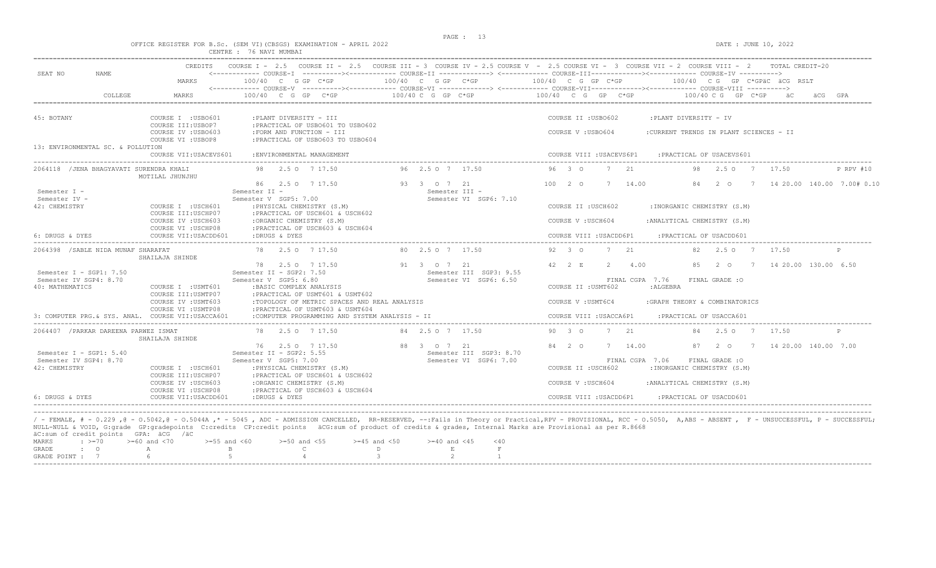$\begin{array}{l} \texttt{DATE}:\texttt{JUNE 10, 2022} \end{array}$ 

|  |  |                         |  |  | OFFICE REGISTER FOR B.Sc. (SEM VI)(CBSGS) EXAMINATION - APRIL 202 |  |  |
|--|--|-------------------------|--|--|-------------------------------------------------------------------|--|--|
|  |  | CENTRE : 76 NAVI MUMBAI |  |  |                                                                   |  |  |

|                                                                        | <b>CREDITS</b>                                                                          |                                                                                                                                                                                                         |                                                                  | COURSE I = 2.5 COURSE II = 2.5 COURSE III = 3 COURSE IV = 2.5 COURSE V = 2.5 COURSE VI = 3 COURSE VII = 2 COURSE VIII = 2<br>TOTAL CREDIT-20<br><------------ COURSE-I ----------><----------- COURSE-II -------------> <------------ COURSE-III-----------><------------ COURSE-IV -----------> |
|------------------------------------------------------------------------|-----------------------------------------------------------------------------------------|---------------------------------------------------------------------------------------------------------------------------------------------------------------------------------------------------------|------------------------------------------------------------------|--------------------------------------------------------------------------------------------------------------------------------------------------------------------------------------------------------------------------------------------------------------------------------------------------|
| SEAT NO<br>NAME                                                        | MARKS                                                                                   | 100/40 C G GP C*GP                                                                                                                                                                                      | $100/40$ C G GP $C*GP$                                           | $100/40$ C G GP C*GP<br>100/40 CG GP C*GPäC äCG RSLT                                                                                                                                                                                                                                             |
| COLLEGE                                                                | MARKS                                                                                   | 100/40 C G GP C*GP                                                                                                                                                                                      | $100/40$ C G GP C*GP                                             | <------------ COURSE-V ----------><----------- COURSE-VI -------------> <------------ COURSE-VIII------------- COURSE-VIII ----------><br>100/40 C G GP C*GP<br>$100/40$ C G GP C*GP                                                                                                             |
| 45: BOTANY                                                             | COURSE I : USBO601                                                                      | :PLANT DIVERSITY - III                                                                                                                                                                                  |                                                                  | COURSE II : USB0602<br>:PLANT DIVERSITY - IV                                                                                                                                                                                                                                                     |
|                                                                        | COURSE III:USBOP7<br>COURSE IV : USB0603<br>COURSE VI : USBOP8                          | : PRACTICAL OF USBO601 TO USBO602<br>:FORM AND FUNCTION - III<br>: PRACTICAL OF USBO603 TO USBO604                                                                                                      |                                                                  | COURSE V: USBO604<br>:CURRENT TRENDS IN PLANT SCIENCES - II                                                                                                                                                                                                                                      |
| 13: ENVIRONMENTAL SC. & POLLUTION                                      | COURSE VII: USACEVS601                                                                  | : ENVIRONMENTAL MANAGEMENT                                                                                                                                                                              |                                                                  | COURSE VIII : USACEVS6P1<br>: PRACTICAL OF USACEVS601                                                                                                                                                                                                                                            |
| 2064118 / JENA BHAGYAVATI SURENDRA KHALI                               | MOTILAL JHUNJHU                                                                         | 2.5 0 7 17.50                                                                                                                                                                                           | 96 2.5 0 7 17.50                                                 | 2.1<br>96 3 0<br>$2.5^\circ$<br>7<br>17.50<br>P RPV #10<br>98.                                                                                                                                                                                                                                   |
| Semester I -                                                           |                                                                                         | 86 2.5 0 7 17.50<br>Semester II -                                                                                                                                                                       | 93 3 0 7 21<br>Semester III -                                    | 10020<br>14.00<br>14 20.00 140.00 7.00# 0.10<br>7<br>84<br>20<br>$\overline{7}$                                                                                                                                                                                                                  |
| Semester IV -<br>42: CHEMISTRY                                         | COURSE I : USCH601<br>COURSE III: USCHP07                                               | Semester V SGP5: 7.00<br>: PHYSICAL CHEMISTRY (S.M)<br>: PRACTICAL OF USCH601 & USCH602                                                                                                                 | Semester VI SGP6: 7.10                                           | COURSE II : USCH602<br>: INORGANIC CHEMISTRY (S.M)                                                                                                                                                                                                                                               |
|                                                                        | COURSE IV : USCH603<br>COURSE VI : USCHP08                                              | :ORGANIC CHEMISTRY (S.M)<br>: PRACTICAL OF USCH603 & USCH604                                                                                                                                            |                                                                  | COURSE V: USCH604<br>: ANALYTICAL CHEMISTRY (S.M)                                                                                                                                                                                                                                                |
| 6: DRUGS & DYES                                                        | COURSE VII: USACDD601                                                                   | :DRUGS & DYES                                                                                                                                                                                           |                                                                  | COURSE VIII : USACDD6P1<br>: PRACTICAL OF USACDD601                                                                                                                                                                                                                                              |
| 2064398 / SABLE NIDA MUNAF SHARAFAT                                    | SHAILAJA SHINDE                                                                         | 78 2.5 0 7 17.50                                                                                                                                                                                        | 80 2.5 0 7 17.50                                                 | 92 3 0<br>7 21<br>2.50<br>17.50<br>82.<br>7<br>P                                                                                                                                                                                                                                                 |
| Semester I - SGP1: $7.50$<br>Semester IV SGP4: 8.70<br>40: MATHEMATICS | COURSE I : USMT601<br>COURSE III: USMTP07<br>COURSE IV : USMT603                        | 78<br>2.50 7 17.50<br>Semester II - SGP2: 7.50<br>Semester V SGP5: 6.80<br>:BASIC COMPLEX ANALYSIS<br>: PRACTICAL OF USMT601 & USMT602<br>:TOPOLOGY OF METRIC SPACES AND REAL ANALYSIS                  | 91 3 0 7 21<br>Semester III SGP3: 9.55<br>Semester VI SGP6: 6.50 | 4.00<br>42 2 E<br>$2^{\circ}$<br>85<br>$2^{\circ}$ 0<br>14 20.00 130.00 6.50<br>7<br>FINAL CGPA 7.76<br>FINAL GRADE : 0<br>COURSE II : USMT602<br>: ALGEBRA<br>:GRAPH THEORY & COMBINATORICS<br>COURSE V: USMT6C4                                                                                |
| 3: COMPUTER PRG. & SYS. ANAL. COURSE VII:USACCA601                     | COURSE VI : USMTP08                                                                     | : PRACTICAL OF USMT603 & USMT604<br>:COMPUTER PROGRAMMING AND SYSTEM ANALYSIS - II                                                                                                                      |                                                                  | COURSE VIII : USACCA6P1<br>: PRACTICAL OF USACCA601                                                                                                                                                                                                                                              |
| 2064407 / PARKAR DAREENA PARWEZ ISMAT                                  | SHAILAJA SHINDE                                                                         | 78 2.5 0 7 17.50                                                                                                                                                                                        | 84 2.5 0 7 17.50                                                 | 90 3 0<br>7 21<br>2.50 7<br>17.50<br>$\mathbb{P}$<br>84                                                                                                                                                                                                                                          |
| Semester I - SGP1: 5.40<br>Semester IV SGP4: 8.70<br>42: CHEMISTRY     | COURSE I : USCH601<br>COURSE III: USCHP07<br>COURSE IV : USCH603<br>COURSE VI : USCHP08 | 76 2.5 0 7 17.50<br>Semester II - SGP2: 5.55<br>Semester V SGP5: 7.00<br>: PHYSICAL CHEMISTRY (S.M)<br>: PRACTICAL OF USCH601 & USCH602<br>:ORGANIC CHEMISTRY (S.M)<br>: PRACTICAL OF USCH603 & USCH604 | 88 3 0 7 21<br>Semester III SGP3: 8.70<br>Semester VI SGP6: 7.00 | 7 14.00<br>14 20.00 140.00 7.00<br>84 2 0<br>87<br>2 O<br>7<br>FINAL CGPA 7.06<br>FINAL GRADE : O<br>COURSE II : USCH602<br>: INORGANIC CHEMISTRY (S.M)<br>COURSE V: USCH604<br>: ANALYTICAL CHEMISTRY (S.M)                                                                                     |
|                                                                        | COURSE VII: USACDD601                                                                   | :DRUGS & DYES                                                                                                                                                                                           |                                                                  | COURSE VIII : USACDD6P1<br>PRACTICAL OF USACDD601:                                                                                                                                                                                                                                               |

----------------------------------------------------------------------------------------------------------------------------------------------------------------------------------------------------------------------- / - FEMALE, # - 0.229 ,@ - O.5042,@ - O.5044A ,\* - 5045 , ADC - ADMISSION CANCELLED, RR-RESERVED, --:Fails in Theory or Practical,RPV - PROVISIONAL, RCC - O.5050, A,ABS - ABSENT , F - UNSUCCESSFUL, P - SUCCESSFUL; NULL-NULL & VOID, G:grade GP:gradepoints C:credits CP:credit points äCG:sum of product of credits & grades, Internal Marks are Provisional as per R.8668 äC:sum of credit points GPA: äCG /äC MARKS : >=70 >=60 and <70 >=55 and <60 >=50 and <55 >=45 and <50 >=40 and <45 <40

|  | GRADE : O A B C D E                 |  |  |  |
|--|-------------------------------------|--|--|--|
|  | GRADE POINT : $7$ 6 5 5 4 5 3 3 2 1 |  |  |  |
|  |                                     |  |  |  |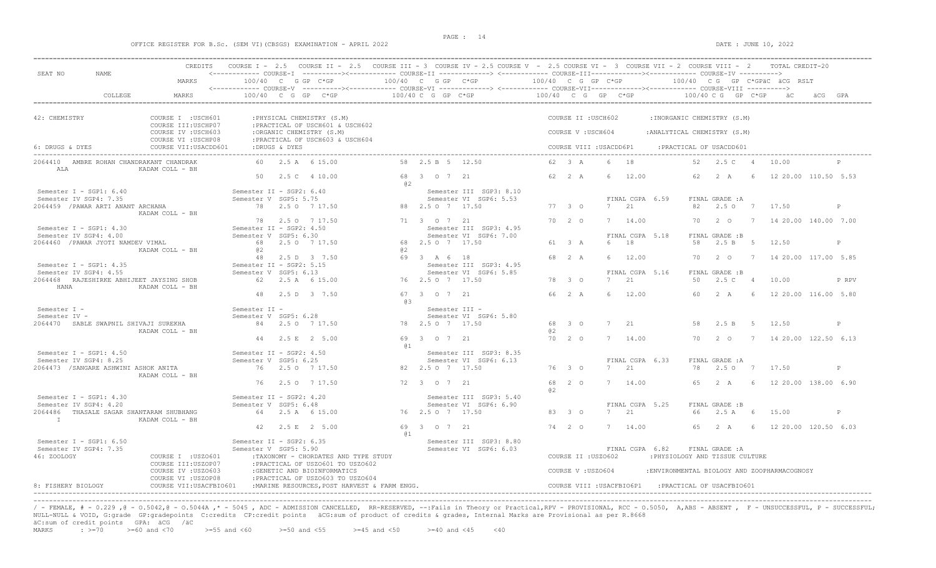### OFFICE REGISTER FOR B.Sc. (SEM VI)(CBSGS) EXAMINATION - APRIL 2022 DATE : JUNE 10, 2022

| SEAT NO<br>NAME.                                                                              | CREDITS                                                               |                                                   |                                     | COURSE I - 2.5 COURSE II - 2.5 COURSE III - 3 COURSE IV - 2.5 COURSE V - 2.5 COURSE VI - 3 COURSE VII - 2 COURSE VIII - 2<br><------------ COURSE-I ----------><----------- COURSE-II -------------> <------------ COURSE-III-----------><------------ COURSE-IV ----------> |     |                                 |                                                   |        |                  |                                              |             |                               |                                                      |          |                                  |             | TOTAL CREDIT-20                              |         |              |
|-----------------------------------------------------------------------------------------------|-----------------------------------------------------------------------|---------------------------------------------------|-------------------------------------|------------------------------------------------------------------------------------------------------------------------------------------------------------------------------------------------------------------------------------------------------------------------------|-----|---------------------------------|---------------------------------------------------|--------|------------------|----------------------------------------------|-------------|-------------------------------|------------------------------------------------------|----------|----------------------------------|-------------|----------------------------------------------|---------|--------------|
|                                                                                               | MARKS                                                                 |                                                   | 100/40 C G GP C*GP                  |                                                                                                                                                                                                                                                                              |     | 100/40 C G GP C*GP              | $100/40$ C G GP C*GP                              |        |                  |                                              |             |                               |                                                      |          |                                  |             | 100/40 CG GP C*GPÄC ÄCG RSLT                 |         |              |
| COLLEGE                                                                                       | MARKS                                                                 |                                                   |                                     | $100/40$ C G GP C*GP                                                                                                                                                                                                                                                         |     | 100/40 C G GP C*GP              |                                                   |        |                  |                                              |             |                               | $100/40$ C G GP C*GP $100/40$ C G GP C*GP            |          |                                  |             | äC                                           | äCG GPA |              |
| 42: CHEMISTRY                                                                                 | COURSE I : USCH601<br>COURSE III: USCHP07                             |                                                   |                                     | : PHYSICAL CHEMISTRY (S.M)<br>: PRACTICAL OF USCH601 & USCH602                                                                                                                                                                                                               |     |                                 |                                                   |        |                  | COURSE II : USCH602                          |             |                               | :INORGANIC CHEMISTRY (S.M)                           |          |                                  |             |                                              |         |              |
| 6: DRUGS & DYES                                                                               | COURSE IV : USCH603<br>COURSE VI : USCHP08<br>COURSE VII:USACDD601    |                                                   | :DRUGS & DYES                       | :ORGANIC CHEMISTRY (S.M)<br>: PRACTICAL OF USCH603 & USCH604                                                                                                                                                                                                                 |     |                                 |                                                   |        |                  | COURSE V: USCH604<br>COURSE VIII : USACDD6P1 |             |                               | : ANALYTICAL CHEMISTRY (S.M)                         |          | : PRACTICAL OF USACDD601         |             |                                              |         |              |
| 2064410 AMBRE ROHAN CHANDRAKANT CHANDRAK<br>ALA                                               | KADAM COLL - BH                                                       |                                                   | 60 2.5 A 6 15.00                    |                                                                                                                                                                                                                                                                              |     | 58 2.5 B 5 12.50                |                                                   |        | 62 3 A           |                                              | 6           | 18                            |                                                      |          | 52 2.5 C 4                       |             | 10.00                                        |         |              |
|                                                                                               |                                                                       |                                                   | 50 2.5 C 4 10.00                    |                                                                                                                                                                                                                                                                              | @ 2 | 68 3 0 7 21                     |                                                   | 62 2 A |                  |                                              | 6           | 12.00                         |                                                      | 62       | 2 A                              | - 6         | 12 20.00 110.50 5.53                         |         |              |
| Semester I - SGP1: $6.40$<br>Semester IV SGP4: 7.35<br>2064459 / PAWAR ARTI ANANT ARCHANA     |                                                                       | Semester II - SGP2: 6.40<br>Semester V SGP5: 5.75 | 78 2.5 0 7 17.50                    |                                                                                                                                                                                                                                                                              |     | 88 2.5 0 7 17.50                | Semester III SGP3: 8.10<br>Semester VI SGP6: 5.53 |        | 77 3 0           |                                              |             | FINAL CGPA 6.59<br>7 21       |                                                      | 82       | FINAL GRADE : A<br>2.5 0 7 17.50 |             |                                              |         | P            |
|                                                                                               | KADAM COLL - BH                                                       |                                                   | 78 2.5 0 7 17.50                    |                                                                                                                                                                                                                                                                              |     | 71 3 0 7 21                     |                                                   |        | 7020             |                                              |             | 7 14.00                       |                                                      | 70       | $2\degree$ 0                     |             | 7 14 20.00 140.00 7.00                       |         |              |
| Semester I - SGP1: 4.30<br>Semester IV SGP4: 4.00                                             |                                                                       | Semester II - SGP2: 4.50<br>Semester V SGP5: 6.30 |                                     |                                                                                                                                                                                                                                                                              |     |                                 | Semester III SGP3: 4.95<br>Semester VI SGP6: 7.00 |        |                  |                                              |             | FINAL CGPA 5.18               |                                                      |          | FINAL GRADE :B                   |             |                                              |         |              |
| 2064460 / PAWAR JYOTI NAMDEV VIMAL                                                            | KADAM COLL - BH                                                       | @ 2                                               | 68 2.5 0 7 17.50<br>48 2.5 D 3 7.50 |                                                                                                                                                                                                                                                                              | a2  | 68 2.5 0 7 17.50<br>69 3 A 6 18 |                                                   |        | 61 3 A<br>68 2 A |                                              |             | 6 18<br>6 12.00               |                                                      | 58<br>70 | 2.5 B<br>$2\degree$ 0            | $5^{\circ}$ | 12.50<br>7 14 20.00 117.00 5.85              |         | P            |
| Semester I - SGP1: $4.35$<br>Semester IV SGP4: 4.55                                           |                                                                       | Semester II - SGP2: 5.15<br>Semester V SGP5: 6.13 |                                     |                                                                                                                                                                                                                                                                              |     |                                 | Semester III SGP3: 4.95<br>Semester VI SGP6: 5.85 |        |                  |                                              |             | FINAL CGPA 5.16               |                                                      |          | FINAL GRADE :B                   |             |                                              |         |              |
| 2064468 RAJESHIRKE ABHIJEET JAYSING SHOB<br>HANA                                              | KADAM COLL - BH                                                       |                                                   | 62 2.5 A 6 15.00                    |                                                                                                                                                                                                                                                                              |     | 76 2.5 0 7 17.50                |                                                   |        | 78 3 0           |                                              | 7           | 21                            |                                                      | 50       | 2.5C                             | 4           | 10.00                                        |         | P RPV        |
| Semester I -                                                                                  |                                                                       | Semester II -                                     | 48 2.5 D 3 7.50                     |                                                                                                                                                                                                                                                                              | 63  | 67 3 0 7 21                     | Semester III -                                    |        | 66 2 A           |                                              | -6          | 12.00                         |                                                      | 60       | 2A                               | 6           | 12 20.00 116.00 5.80                         |         |              |
| Semester IV -<br>2064470 SABLE SWAPNIL SHIVAJI SUREKHA                                        | KADAM COLL - BH                                                       | Semester V SGP5: 6.28                             | 84 2.5 0 7 17.50                    |                                                                                                                                                                                                                                                                              |     | 78 2.5 0 7 17.50                | Semester VI SGP6: 5.80                            | @2     | 68 3 0           |                                              | $7^{\circ}$ | 21                            |                                                      | 58       | 2.5 B                            | $5^{\circ}$ | 12.50                                        |         | P            |
|                                                                                               |                                                                       |                                                   | 44 2.5 E 2 5.00                     |                                                                                                                                                                                                                                                                              | @ 1 | 69 3 0 7 21                     |                                                   |        | 70 2 0           |                                              |             | 7 14.00                       |                                                      |          | 70 2 0                           |             | 7 14 20.00 122.50 6.13                       |         |              |
| Semester I - SGP1: $4.50$<br>Semester IV SGP4: 8.25<br>2064473 / SANGARE ASHWINI ASHOK ANITA  | KADAM COLL - BH                                                       | Semester II - SGP2: 4.50<br>Semester V SGP5: 6.25 | 76 2.5 0 7 17.50                    |                                                                                                                                                                                                                                                                              |     | 82  2.5  0  7  17.50            | Semester III SGP3: 8.35<br>Semester VI SGP6: 6.13 |        | 76 3 0           |                                              |             | FINAL CGPA 6.33<br>$7^{2}$ 21 |                                                      | 78       | FINAL GRADE : A<br>2.5 0 7 17.50 |             |                                              |         | $\mathbb{P}$ |
|                                                                                               |                                                                       |                                                   | 76 2.50 7 17.50                     |                                                                                                                                                                                                                                                                              |     | 72 3 0 7 21                     |                                                   | a2     | 68 2 0           |                                              |             | 7 14.00                       |                                                      | 65       | 2 A                              |             | 6 12 20.00 138.00 6.90                       |         |              |
| Semester I - SGP1: 4.30<br>Semester IV SGP4: 4.20<br>2064486 THASALE SAGAR SHANTARAM SHUBHANG |                                                                       | Semester II - SGP2: 4.20<br>Semester V SGP5: 6.48 | 64 2.5 A 6 15.00                    |                                                                                                                                                                                                                                                                              |     | 76 2.5 0 7 17.50                | Semester III SGP3: 5.40<br>Semester VI SGP6: 6.90 |        | 83 3 0           |                                              |             | FINAL CGPA 5.25<br>7 21       |                                                      | 66       | FINAL GRADE :B<br>2.5 A          | 6           | 15.00                                        |         | $\mathbb{P}$ |
| $\mathbf{I}$ and $\mathbf{I}$ and $\mathbf{I}$ and $\mathbf{I}$                               | KADAM COLL - BH                                                       |                                                   | 42 2.5 E 2 5.00                     |                                                                                                                                                                                                                                                                              |     | 69 3 0 7 21                     |                                                   | 74 2 0 |                  |                                              |             | 7 14.00                       |                                                      | 65       | 2 A                              |             | 6 12 20.00 120.50 6.03                       |         |              |
| Semester I - SGP1: $6.50$<br>Semester IV SGP4: 7.35<br>46: ZOOLOGY                            | COURSE I : USZO601<br>COURSE III:USZOP07                              | Semester II - SGP2: 6.35<br>Semester V SGP5: 5.90 |                                     | :TAXONOMY - CHORDATES AND TYPE STUDY<br>: PRACTICAL OF USZO601 TO USZO602                                                                                                                                                                                                    | @ 1 |                                 | Semester III SGP3: 8.80<br>Semester VI SGP6: 6.03 |        |                  | COURSE II : USZ0602                          |             | FINAL CGPA 6.82               | : PHYSIOLOGY AND TISSUE CULTURE                      |          | FINAL GRADE : A                  |             |                                              |         |              |
| 8: FISHERY BIOLOGY                                                                            | COURSE IV : USZO603<br>COURSE VI : USZOP08<br>COURSE VII: USACFBIO601 |                                                   |                                     | :GENETIC AND BIOINFORMATICS<br>: PRACTICAL OF USZO603 TO USZO604<br>: MARINE RESOURCES, POST HARVEST & FARM ENGG.                                                                                                                                                            |     |                                 |                                                   |        |                  | COURSE V: USZ0604                            |             |                               | COURSE VIII : USACFBIO6P1 : PRACTICAL OF USACFBIO601 |          |                                  |             | : ENVIRONMENTAL BIOLOGY AND ZOOPHARMACOGNOSY |         |              |

----------------------------------------------------------------------------------------------------------------------------------------------------------------------------------------------------------------------- / - FEMALE, # - 0.229 ,@ - 0.5042,@ - 0.5044A ,\* - 5045 , ADC - ADMISSION CANCELLED, RR-RESERVED, --:Fails in Theory or Practical,RPV - PROVISIONAL, RCC - 0.5050, A,ABS - ABSENT , F - UNSUCCESSFUL, P - SUCCESSFUL; NULL-NULL & VOID, G:grade GP:gradepoints C:credits CP:credit points äCG:sum of product of credits & grades, Internal Marks are Provisional as per R.8668  $\text{ad}$ :sum of credit points GPA:  $\text{ad}$  /äC <br>MARKS : >=70 >=60 and <70

 $\ge$  =55 and <60  $\ge$  =50 and <55  $\ge$  =45 and <50  $\ge$  =40 and <45 <40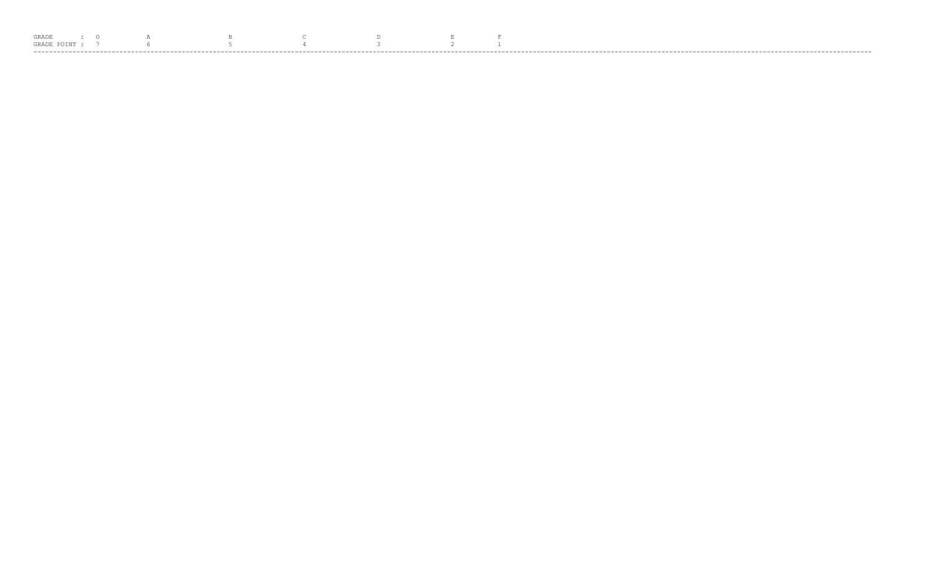| GRADE. |       |  |  |  |  |  |
|--------|-------|--|--|--|--|--|
|        | GRADE |  |  |  |  |  |
|        |       |  |  |  |  |  |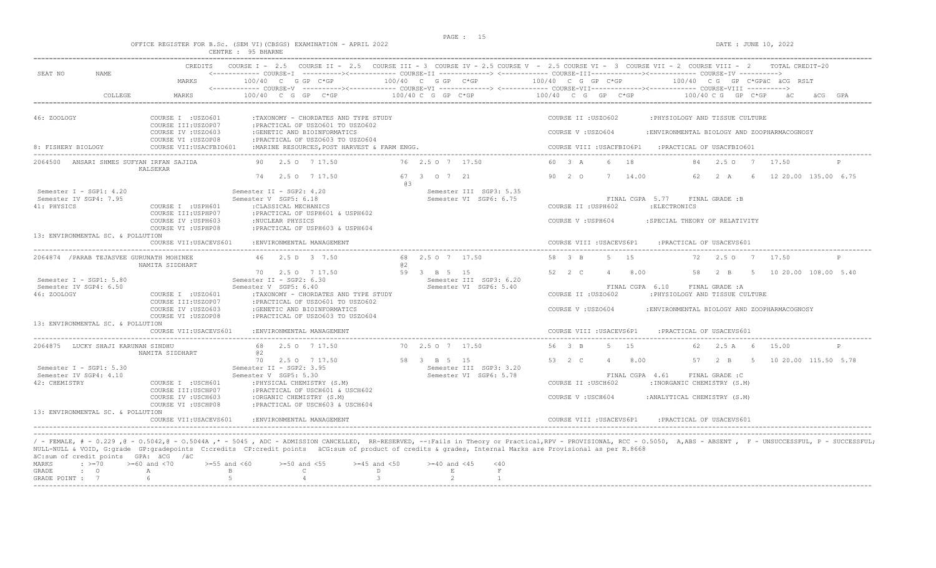|                                                                                        |                                                                  | OFFICE REGISTER FOR B.Sc. (SEM VI) (CBSGS) EXAMINATION - APRIL 2022<br>CENTRE : 95 BHARNE                                                                                                                                                                          |                                                                  | DATE : JUNE 10, 2022                                                                                                                                                                                              |
|----------------------------------------------------------------------------------------|------------------------------------------------------------------|--------------------------------------------------------------------------------------------------------------------------------------------------------------------------------------------------------------------------------------------------------------------|------------------------------------------------------------------|-------------------------------------------------------------------------------------------------------------------------------------------------------------------------------------------------------------------|
| SEAT NO<br>NAME.                                                                       | CREDITS                                                          |                                                                                                                                                                                                                                                                    |                                                                  | COURSE I - 2.5 COURSE II - 2.5 COURSE III - 3 COURSE IV - 2.5 COURSE V - 2.5 COURSE VI - 3 COURSE VII - 2 COURSE VIII - 2 TOTAL CREDIT-20                                                                         |
|                                                                                        | MARKS                                                            | 100/40 C G GP C*GP                                                                                                                                                                                                                                                 |                                                                  | $100/40$ C G GP C*GP $100/40$ C G GP C*GP $100/40$ C G GP C*GPäC äCG RSLT                                                                                                                                         |
| COLLEGE                                                                                | MARKS                                                            | 100/40 C G GP C*GP                                                                                                                                                                                                                                                 | 100/40 C G GP C*GP                                               | $100/40$ C G GP C*GP<br>100/40 C G GP C*GP<br>äCG GPA                                                                                                                                                             |
| 46: ZOOLOGY                                                                            | COURSE I : USZ0601<br>COURSE III:USZOP07<br>COURSE IV : USZ0603  | :TAXONOMY - CHORDATES AND TYPE STUDY<br>: PRACTICAL OF USZ0601 TO USZ0602<br>:GENETIC AND BIOINFORMATICS                                                                                                                                                           |                                                                  | COURSE II : USZO602<br>: PHYSIOLOGY AND TISSUE CULTURE<br>COURSE V: USZO604<br>:ENVIRONMENTAL BIOLOGY AND ZOOPHARMACOGNOSY                                                                                        |
| 8: FISHERY BIOLOGY                                                                     | COURSE VI : USZOP08<br>COURSE VII:USACFBIO601                    | : PRACTICAL OF USZ0603 TO USZ0604<br>: MARINE RESOURCES, POST HARVEST & FARM ENGG.                                                                                                                                                                                 |                                                                  | COURSE VIII : USACFBIO6P1 : PRACTICAL OF USACFBIO601                                                                                                                                                              |
| ANSARI SHMES SUFYAN IRFAN SAJIDA<br>2064500                                            | KALSEKAR                                                         | 90 2.5 0 7 17.50                                                                                                                                                                                                                                                   | 76 2.5 0 7 17.50                                                 | 60 3 A<br>18<br>2.5 0 7 17.50<br>$6 -$<br>84                                                                                                                                                                      |
| Semester I - SGP1: 4.20                                                                |                                                                  | 74 2.5 0 7 17.50<br>Semester II - SGP2: 4.20                                                                                                                                                                                                                       | 67 3 0 7 21<br>G.B<br>Semester III SGP3: 5.35                    | 90 2 0<br>7 14.00<br>62 2 A<br>12 20.00 135.00 6.75<br>6                                                                                                                                                          |
| Semester IV SGP4: 7.95<br>41: PHYSICS                                                  | COURSE I : USPH601<br>COURSE III:USPHP07                         | Semester V SGP5: 6.18<br>: CLASSICAL MECHANICS<br>:PRACTICAL OF USPH601 & USPH602                                                                                                                                                                                  | Semester VI SGP6: 6.75                                           | FINAL CGPA 5.77<br>FINAL GRADE :B<br>COURSE II : USPH602<br>: ELECTRONICS                                                                                                                                         |
|                                                                                        | COURSE IV : USPH603<br>COURSE VI : USPHP08                       | :NUCLEAR PHYSICS<br>: PRACTICAL OF USPH603 & USPH604                                                                                                                                                                                                               |                                                                  | COURSE V : USPH604<br>: SPECIAL THEORY OF RELATIVITY                                                                                                                                                              |
| 13: ENVIRONMENTAL SC. & POLLUTION                                                      | COURSE VII:USACEVS601                                            | : ENVIRONMENTAL MANAGEMENT                                                                                                                                                                                                                                         |                                                                  | COURSE VIII : USACEVS6P1<br>: PRACTICAL OF USACEVS601                                                                                                                                                             |
| 2064874 / PARAB TEJASVEE GURUNATH MOHINEE                                              | NAMITA SIDDHART                                                  | 46 2.5 D 3 7.50                                                                                                                                                                                                                                                    | 68 2.5 0 7 17.50<br>a2                                           | 5 15<br>58 3 B<br>72<br>2.5 0 7 17.50                                                                                                                                                                             |
| Semester I - SGP1: $5.80$<br>Semester IV SGP4: 6.50<br>46: ZOOLOGY                     | COURSE I : USZ0601                                               | 70 2.5 0 7 17.50<br>Semester II - SGP2: 6.30<br>Semester V SGP5: 6.40<br>:TAXONOMY - CHORDATES AND TYPE STUDY                                                                                                                                                      | 59 3 B 5 15<br>Semester III SGP3: 6.20<br>Semester VI SGP6: 5.40 | 52 2 C<br>4 8.00<br>5 10 20.00 108.00 5.40<br>58 2 B<br>FINAL CGPA 6.10<br>FINAL GRADE : A<br>COURSE II : USZO602<br>: PHYSIOLOGY AND TISSUE CULTURE                                                              |
|                                                                                        | COURSE III:USZOP07<br>COURSE IV : USZ0603<br>COURSE VI : USZOP08 | : PRACTICAL OF USZO601 TO USZO602<br>:GENETIC AND BIOINFORMATICS<br>: PRACTICAL OF USZ0603 TO USZ0604                                                                                                                                                              |                                                                  | COURSE V : USZO604<br>:ENVIRONMENTAL BIOLOGY AND ZOOPHARMACOGNOSY                                                                                                                                                 |
| 13: ENVIRONMENTAL SC. & POLLUTION                                                      | COURSE VII: USACEVS601                                           | : ENVIRONMENTAL MANAGEMENT                                                                                                                                                                                                                                         |                                                                  | COURSE VIII : USACEVS6P1<br>: PRACTICAL OF USACEVS601                                                                                                                                                             |
| 2064875 LUCKY SHAJI KARUNAN SINDHU                                                     | NAMITA SIDDHART                                                  | 68 2.5 0 7 17.50<br>a2                                                                                                                                                                                                                                             | 70 2.5 0 7 17.50                                                 | $5 - 15$<br>56 3 B<br>62 2.5 A 6<br>15.00                                                                                                                                                                         |
| Semester $I - SGP1: 5.30$<br>Semester IV SGP4: 4.10<br>42: CHEMISTRY                   | COURSE I : USCH601<br>COURSE III:USCHP07                         | 70  2.5  0  7  17.50<br>Semester II - SGP2: 3.95<br>Semester V SGP5: 5.30<br>: PHYSICAL CHEMISTRY (S.M)<br>: PRACTICAL OF USCH601 & USCH602                                                                                                                        | 58 3 B 5 15<br>Semester III SGP3: 3.20<br>Semester VI SGP6: 5.78 | 53 2 C<br>$4 \t 8.00$<br>57 2 B<br>5 10 20.00 115.50 5.78<br>FINAL CGPA 4.61<br>FINAL GRADE : C<br>COURSE II : USCH602<br>: INORGANIC CHEMISTRY (S.M)                                                             |
|                                                                                        | COURSE IV : USCH603<br>COURSE VI : USCHP08                       | :ORGANIC CHEMISTRY (S.M)<br>: PRACTICAL OF USCH603 & USCH604                                                                                                                                                                                                       |                                                                  | COURSE V : USCH604<br>: ANALYTICAL CHEMISTRY (S.M)                                                                                                                                                                |
| 13: ENVIRONMENTAL SC. & POLLUTION                                                      | COURSE VII: USACEVS601                                           | : ENVIRONMENTAL, MANAGEMENT                                                                                                                                                                                                                                        |                                                                  | COURSE VIII : USACEVS6P1<br>: PRACTICAL OF USACEVS601                                                                                                                                                             |
| äC:sum of credit points GPA: äCG /äC<br>MARKS<br>$\div$ $> = 70$<br>GRADE<br>$\cdot$ 0 | $>=60$ and $<70$<br>$\mathbb{A}$                                 | NULL-NULL & VOID, G:grade GP:gradepoints C:credits CP:credit points äCG:sum of product of credits & grades, Internal Marks are Provisional as per R.8668<br>$>=55$ and $<60$<br>$>=50$ and $<55$<br>$>=45$ and $<50$<br>$\overline{B}$<br>$\mathbb{C}$<br>$\Gamma$ | $>= 40$ and $< 45$<br>$<$ 40<br>$\,$ E $\,$<br>$\mathbb F$       | / - FEMALE, # - 0.229,0 - 0.5042,0 - 0.5044A,* - 5045, ADC - ADMISSION CANCELLED, RR-RESERVED, --:Fails in Theory or Practical,RPV - PROVISIONAL, RCC - 0.5050, A,ABS - ABSENT, F - UNSUCCESSFUL, P - SUCCESSFUL; |
| GRADE POINT : 7                                                                        | 6                                                                | $5 -$<br>$\overline{4}$<br>$\mathbf{3}$                                                                                                                                                                                                                            | 2<br>$\mathbf{1}$                                                |                                                                                                                                                                                                                   |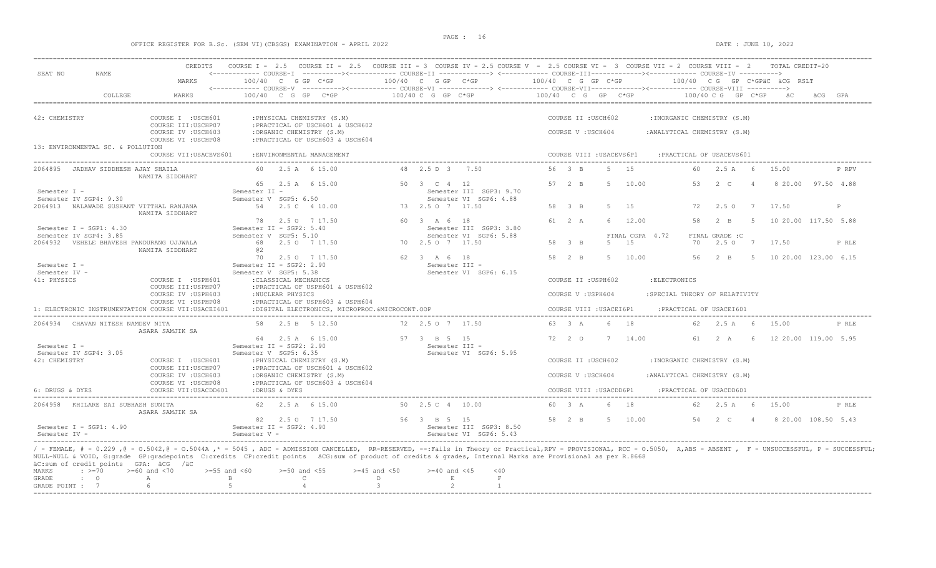## OFFICE REGISTER FOR B.Sc. (SEM VI)(CBSGS) EXAMINATION - APRIL 2022 DATE : JUNE 10, 2022

| SEAT NO<br><b>NAME</b>                                                             | MARKS                                                            | <------------ COURSE-I ----------><----------- COURSE-II -------------> <------------ COURSE-III-----------><------------ COURSE-IV ----------><br>100/40 C G GP C*GP                                                                                                                                                                                                                                                                                        |   | 100/40 C G GP C*GP                                               | 100/40 C G GP C*GP                       |       |                        | 100/40 CG GP C*GPÄC ÄCG RSLT                   |                                  |      |                      |         |       |
|------------------------------------------------------------------------------------|------------------------------------------------------------------|--------------------------------------------------------------------------------------------------------------------------------------------------------------------------------------------------------------------------------------------------------------------------------------------------------------------------------------------------------------------------------------------------------------------------------------------------------------|---|------------------------------------------------------------------|------------------------------------------|-------|------------------------|------------------------------------------------|----------------------------------|------|----------------------|---------|-------|
|                                                                                    |                                                                  |                                                                                                                                                                                                                                                                                                                                                                                                                                                              |   |                                                                  |                                          |       |                        |                                                |                                  |      |                      |         |       |
| COLLEGE                                                                            | MARKS                                                            | 100/40 C G GP C*GP                                                                                                                                                                                                                                                                                                                                                                                                                                           |   | 100/40 C G GP C*GP                                               | 100/40 C G GP C*GP                       |       |                        | 100/40 C G GP C*GP                             |                                  |      |                      | ACG GPA |       |
| 42: CHEMISTRY                                                                      | COURSE I : USCH601<br>COURSE III: USCHP07                        | : PHYSICAL CHEMISTRY (S.M)<br>: PRACTICAL OF USCH601 & USCH602                                                                                                                                                                                                                                                                                                                                                                                               |   |                                                                  | COURSE II : USCH602                      |       |                        | : INORGANIC CHEMISTRY (S.M)                    |                                  |      |                      |         |       |
| 13: ENVIRONMENTAL SC. & POLLUTION                                                  | COURSE IV : USCH603<br>COURSE VI : USCHP08                       | :ORGANIC CHEMISTRY (S.M)<br>: PRACTICAL OF USCH603 & USCH604                                                                                                                                                                                                                                                                                                                                                                                                 |   |                                                                  | COURSE V: USCH604                        |       |                        | : ANALYTICAL CHEMISTRY (S.M)                   |                                  |      |                      |         |       |
|                                                                                    | COURSE VII: USACEVS601                                           | : ENVIRONMENTAL, MANAGEMENT                                                                                                                                                                                                                                                                                                                                                                                                                                  |   |                                                                  | COURSE VIII : USACEVS6P1                 |       |                        | : PRACTICAL OF USACEVS601                      |                                  |      |                      |         |       |
| 2064895<br>JADHAV SIDDHESH AJAY SHAILA                                             | NAMITA SIDDHART                                                  | 60 2.5 A 6 15.00                                                                                                                                                                                                                                                                                                                                                                                                                                             |   | 48 2.5 D 3 7.50                                                  | 56 3 B                                   | $5 -$ | 1.5                    |                                                | 60 2.5 A 6                       |      | 15.00                |         | P RPV |
| Semester I -<br>Semester IV SGP4: 9.30                                             |                                                                  | 65 2.5 A 6 15.00<br>Semester II -<br>Semester V SGP5: 6.50                                                                                                                                                                                                                                                                                                                                                                                                   |   | 50 3 C 4 12<br>Semester III SGP3: 9.70<br>Semester VI SGP6: 4.88 | 57 2 B                                   |       | 5 10.00                |                                                | 53 2 C 4                         |      | 8 20.00 97.50 4.88   |         |       |
| 2064913 NALAWADE SUSHANT VITTHAL RANJANA                                           | NAMITA SIDDHART                                                  | 54  2.5  4  10.00                                                                                                                                                                                                                                                                                                                                                                                                                                            |   | 73 2.5 0 7 17.50                                                 | 58 3 B                                   | -5    | 15                     | 72                                             | $2.5^\circ$                      | 7    | 17.50                |         | P     |
| Semester I - SGP1: 4.30                                                            |                                                                  | 78 2.5 0 7 17.50<br>Semester II - SGP2: 5.40                                                                                                                                                                                                                                                                                                                                                                                                                 |   | 60 3 A 6 18<br>Semester III SGP3: 3.80                           | 61 2 A                                   | 6     | 12.00                  | 58                                             | $2 - B$                          | $-5$ | 10 20.00 117.50 5.88 |         |       |
| Semester IV SGP4: 3.85<br>2064932    VEHELE BHAVESH PANDURANG UJJWALA              | NAMITA SIDDHART                                                  | Semester V SGP5: 5.10<br>68 2.5 0 7 17.50<br>a2                                                                                                                                                                                                                                                                                                                                                                                                              |   | Semester VI SGP6: 5.88<br>70 2.5 0 7 17.50                       | 58 3 B                                   | .5    | FINAL CGPA 4.72<br>1.5 | 70                                             | FINAL GRADE : C<br>2.5 0 7 17.50 |      |                      |         | P RLE |
| Semester I -<br>Semester IV -                                                      |                                                                  | 70<br>2.5 0 7 17.50<br>Semester II - SGP2: 2.90<br>Semester V SGP5: 5.38                                                                                                                                                                                                                                                                                                                                                                                     |   | 62 3 A 6 18<br>Semester III -<br>Semester VI SGP6: 6.15          | 58 2 B                                   | -5    | 10.00                  | 56                                             | $2 - B$                          |      | 10 20.00 123.00 6.15 |         |       |
| 41: PHYSICS                                                                        | COURSE I : USPH601<br>COURSE III: USPHP07<br>COURSE IV : USPH603 | : CLASSICAL MECHANICS<br>:PRACTICAL OF USPH601 & USPH602<br>:NUCLEAR PHYSICS                                                                                                                                                                                                                                                                                                                                                                                 |   |                                                                  | COURSE II : USPH602<br>COURSE V: USPH604 |       |                        | : ELECTRONICS<br>:SPECIAL THEORY OF RELATIVITY |                                  |      |                      |         |       |
| 1: ELECTRONIC INSTRUMENTATION COURSE VII:USACEI601                                 | COURSE VI : USPHP08                                              | :PRACTICAL OF USPH603 & USPH604<br>:DIGITAL ELECTRONICS, MICROPROC. &MICROCONT. OOP                                                                                                                                                                                                                                                                                                                                                                          |   |                                                                  | COURSE VIII : USACEI6P1                  |       |                        | :PRACTICAL OF USACEI601                        |                                  |      |                      |         |       |
| 2064934 CHAVAN NITESH NAMDEV NITA                                                  | ASARA SAMJIK SA                                                  | 58 2.5 B 5 12.50                                                                                                                                                                                                                                                                                                                                                                                                                                             |   | 72 2.5 0 7 17.50                                                 | 63 3 A                                   | 6     | 18                     | 62                                             | 2.5A                             |      | 15.00                |         | P RLE |
| Semester T -                                                                       |                                                                  | 64 2.5 A 6 15.00<br>Semester II - SGP2: 2.90                                                                                                                                                                                                                                                                                                                                                                                                                 |   | 57 3 B 5 15<br>Semester TTT -                                    | 72 2 0                                   | 7     | 14.00                  | 61                                             | 2 A                              |      | 12 20.00 119.00 5.95 |         |       |
| Semester IV SGP4: 3.05<br>42: CHEMISTRY                                            | COURSE I : USCH601<br>COURSE III: USCHP07                        | Semester V SGP5: 6.35<br>: PHYSICAL CHEMISTRY (S.M)<br>: PRACTICAL OF USCH601 & USCH602                                                                                                                                                                                                                                                                                                                                                                      |   | Semester VI SGP6: 5.95                                           | COURSE II : USCH602                      |       |                        | : INORGANIC CHEMISTRY (S.M)                    |                                  |      |                      |         |       |
|                                                                                    | COURSE IV : USCH603<br>COURSE VI : USCHP08                       | :ORGANIC CHEMISTRY (S.M)<br>: PRACTICAL OF USCH603 & USCH604                                                                                                                                                                                                                                                                                                                                                                                                 |   |                                                                  | COURSE V : USCH604                       |       |                        | : ANALYTICAL CHEMISTRY (S.M)                   |                                  |      |                      |         |       |
| 6: DRUGS & DYES                                                                    | COURSE VII: USACDD601                                            | :DRUGS & DYES                                                                                                                                                                                                                                                                                                                                                                                                                                                |   |                                                                  | COURSE VIII : USACDD6P1                  |       |                        | : PRACTICAL OF USACDD601                       |                                  |      |                      |         |       |
| 2064958 KHILARE SAI SUBHASH SUNITA                                                 | ASARA SAMJIK SA                                                  | 62 2.5 A 6 15.00                                                                                                                                                                                                                                                                                                                                                                                                                                             |   | 50 2.5 C 4 10.00                                                 | 60 3 A                                   | 6 18  |                        | 62                                             | 2.5 A 6                          |      | 15.00                |         | P RLE |
| Semester I - SGP1: $4.90$<br>Semester TV -                                         |                                                                  | 82  2.5  0  7  17.50<br>Semester II - SGP2: 4.90<br>Semester V -                                                                                                                                                                                                                                                                                                                                                                                             |   | 56 3 B 5 15<br>Semester III SGP3: 8.50<br>Semester VI SGP6: 5.43 | 58 2 B                                   | -5    | 10.00                  | 54                                             | 2 C                              |      | 8 20.00 108.50 5.43  |         |       |
| äC:sum of credit points GPA: äCG /äC<br>$\div$ >=70<br>MARKS<br>GRADE<br>$\cdot$ 0 | $>=60$ and $<70$<br>$>=55$ and $<60$<br>$\mathbb{A}$             | / - FEMALE, # - 0.229, @ - 0.5042, @ - 0.5044A, * - 5045, ADC - ADMISSION CANCELLED, RR-RESERVED, --:Fails in Theory or Practical, RPV - PROVISIONAL, RCC - 0.5050, A, ABS - ABSENT, F - UNSUCCESSFUL, P - SUCCESSFUL;<br>NULL-NULL & VOID, G:grade GP:gradepoints C:credits CP:credit points äCG:sum of product of credits & grades, Internal Marks are Provisional as per R.8668<br>$>=50$ and $<55$<br>$>=45$ and $<50$<br>$\overline{B}$<br>$\mathbb{C}$ | D | $>= 40$ and $< 45$<br>$<$ 40<br>$\mathbf{E}$<br>$\mathbb F$      |                                          |       |                        |                                                |                                  |      |                      |         |       |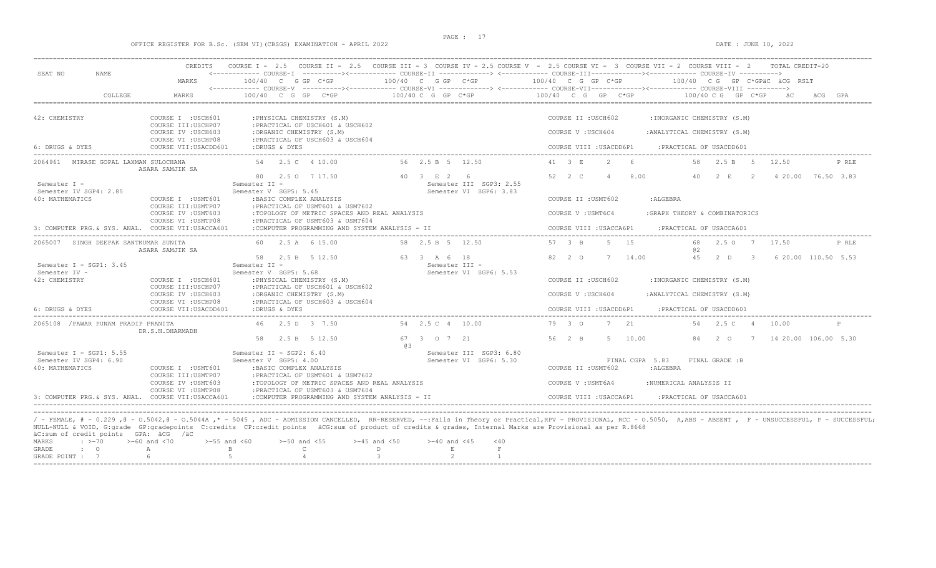### OFFICE REGISTER FOR B.Sc. (SEM VI)(CBSGS) EXAMINATION - APRIL 2022 DATE : JUNE 10, 2022

|                                                    | CREDITS                                                           |                                                                                                  |                                                                                                                                                          | COURSE I - 2.5 COURSE II - 2.5 COURSE III - 3 COURSE IV - 2.5 COURSE V - 2.5 COURSE VI - 3 COURSE VII - 2 COURSE VIII - 2<br>TOTAL CREDIT-20                                                                         |
|----------------------------------------------------|-------------------------------------------------------------------|--------------------------------------------------------------------------------------------------|----------------------------------------------------------------------------------------------------------------------------------------------------------|----------------------------------------------------------------------------------------------------------------------------------------------------------------------------------------------------------------------|
| SEAT NO<br>NAME.                                   | MARKS                                                             | 100/40 C G GP C*GP                                                                               | 100/40 C G GP C*GP                                                                                                                                       | <------------ COURSE-T ----------><----------- COURSE-TT -------------> <------------ COURSE-TTT----------><--------><---------- COURSE-TY<br>100/40 C G GP C*GP<br>100/40 CG GP C*GPäC äCG RSLT                     |
|                                                    |                                                                   |                                                                                                  |                                                                                                                                                          | <------------ COURSE-V ----------><----------- COURSE-VI -------------> <------------ COURSE-VII-------------> COURSE-VIII ---------->                                                                               |
| COLLEGE                                            | MARKS                                                             | $100/40$ C G GP C*GP                                                                             | 100/40 C G GP C*GP                                                                                                                                       | 100/40 C G GP C*GP<br>100/40 C G GP C*GP                                                                                                                                                                             |
| 42: CHEMISTRY                                      | COURSE I : USCH601                                                | : PHYSICAL CHEMISTRY (S.M)                                                                       |                                                                                                                                                          | COURSE II : USCH602<br>: INORGANIC CHEMISTRY (S.M)                                                                                                                                                                   |
|                                                    | COURSE III: USCHP07<br>COURSE IV : USCH603<br>COURSE VI : USCHP08 | : PRACTICAL OF USCH601 & USCH602<br>:ORGANIC CHEMISTRY (S.M)<br>: PRACTICAL OF USCH603 & USCH604 |                                                                                                                                                          | COURSE V: USCH604<br>: ANALYTICAL CHEMISTRY (S.M)                                                                                                                                                                    |
| 6: DRUGS & DYES                                    | COURSE VII: USACDD601                                             | :DRUGS & DYES                                                                                    |                                                                                                                                                          | COURSE VIII : USACDD6P1<br>: PRACTICAL OF USACDD601                                                                                                                                                                  |
| 2064961 MIRASE GOPAL LAXMAN SULOCHANA              | ASARA SAMJIK SA                                                   | 54  2.5  C  4  10.00                                                                             | 56 2.5 B 5 12.50                                                                                                                                         | 6<br>41 3 E<br>2<br>58<br>2.5 B<br>- 5<br>12.50<br>P RLE                                                                                                                                                             |
| Semester I -                                       |                                                                   | 80 2.5 0 7 17.50<br>Semester II -                                                                | 40 3 E 2 6<br>Semester III SGP3: 2.55                                                                                                                    | 52 2 C<br>8.00<br>40<br>4 20.00 76.50 3.83<br>$\overline{4}$<br>2 E<br>$\overline{2}$                                                                                                                                |
| Semester IV SGP4: 2.85<br>40: MATHEMATICS          | COURSE I : USMT601<br>COURSE III: USMTP07                         | Semester V SGP5: 5.45<br>: BASIC COMPLEX ANALYSIS<br>: PRACTICAL OF USMT601 & USMT602            | Semester VI SGP6: 3.83                                                                                                                                   | COURSE II : USMT602<br>: ALGEBRA                                                                                                                                                                                     |
|                                                    | COURSE IV : USMT603<br>COURSE VI : USMTP08                        | :TOPOLOGY OF METRIC SPACES AND REAL ANALYSIS<br>: PRACTICAL OF USMT603 & USMT604                 |                                                                                                                                                          | COURSE V: USMT6C4<br>:GRAPH THEORY & COMBINATORICS                                                                                                                                                                   |
| 3: COMPUTER PRG. & SYS. ANAL. COURSE VII:USACCA601 |                                                                   | :COMPUTER PROGRAMMING AND SYSTEM ANALYSIS - II                                                   |                                                                                                                                                          | COURSE VIII : USACCA6P1<br>: PRACTICAL OF USACCA601                                                                                                                                                                  |
| 2065007 SINGH DEEPAK SANTKUMAR SUNITA              | ASARA SAMJIK SA                                                   | 60 2.5 A 6 15.00                                                                                 | 58 2.5 B 5 12.50                                                                                                                                         | 5 15<br>57 3 B<br>68<br>2.5 0 7 17.50<br>P RLE<br>a2                                                                                                                                                                 |
| Semester I - SGP1: 3.45                            |                                                                   | 58 2.5 B 5 12.50<br>Semester II -                                                                | 63 3 A 6 18<br>Semester III -                                                                                                                            | 82 2 0<br>14.00<br>45<br>2 D<br>6 20.00 110.50 5.53<br>$\overline{\mathbf{3}}$<br>7                                                                                                                                  |
| Semester IV -<br>42: CHEMISTRY                     | COURSE I : USCH601<br>COURSE III: USCHP07                         | Semester V SGP5: 5.68<br>: PHYSICAL CHEMISTRY (S.M)<br>: PRACTICAL OF USCH601 & USCH602          | Semester VI SGP6: 5.53                                                                                                                                   | COURSE II : USCH602<br>: INORGANIC CHEMISTRY (S.M)                                                                                                                                                                   |
|                                                    | COURSE IV : USCH603<br>COURSE VI : USCHP08                        | :ORGANIC CHEMISTRY (S.M)<br>: PRACTICAL OF USCH603 & USCH604                                     |                                                                                                                                                          | COURSE V: USCH604<br>: ANALYTICAL CHEMISTRY (S.M)                                                                                                                                                                    |
| 6: DRUGS & DYES                                    | COURSE VII: USACDD601                                             | :DRUGS & DYES                                                                                    |                                                                                                                                                          | COURSE VIII : USACDD6P1<br>: PRACTICAL OF USACDD601                                                                                                                                                                  |
| 2065108 / PAWAR PUNAM PRADIP PRANITA               | DR.S.N.DHARMADH                                                   | 46 2.5 D 3 7.50                                                                                  | 54  2.5  C  4  10.00                                                                                                                                     | 79 3 0<br>7 21<br>2.5 C<br>10.00<br>54<br>$\overline{4}$<br>$\mathsf{P}$                                                                                                                                             |
|                                                    |                                                                   | 58 2.5 B 5 12.50                                                                                 | 67 3 0 7 21<br>6.3                                                                                                                                       | 56 2 B<br>5 10.00<br>7 14 20.00 106.00 5.30<br>84 2 0                                                                                                                                                                |
| Semester I - SGP1: $5.55$                          |                                                                   | Semester II - SGP2: 6.40                                                                         | Semester III SGP3: 6.80                                                                                                                                  |                                                                                                                                                                                                                      |
| Semester IV SGP4: 6.90<br>40: MATHEMATICS          | COURSE I : USMT601                                                | Semester V SGP5: 4.00<br>: BASIC COMPLEX ANALYSIS                                                | Semester VI SGP6: 5.30                                                                                                                                   | FINAL CGPA 5.83<br>FINAL GRADE :B<br>COURSE II : USMT602<br>: ALGEBRA                                                                                                                                                |
|                                                    | COURSE III: USMTP07                                               | : PRACTICAL OF USMT601 & USMT602                                                                 |                                                                                                                                                          |                                                                                                                                                                                                                      |
|                                                    | COURSE IV : USMT603<br>COURSE VI : USMTP08                        | :TOPOLOGY OF METRIC SPACES AND REAL ANALYSIS<br>:PRACTICAL OF USMT603 & USMT604                  |                                                                                                                                                          | COURSE V : USMT6A4<br>:NUMERICAL ANALYSIS II                                                                                                                                                                         |
| 3: COMPUTER PRG. & SYS. ANAL. COURSE VII:USACCA601 |                                                                   | :COMPUTER PROGRAMMING AND SYSTEM ANALYSIS - II                                                   |                                                                                                                                                          | COURSE VIII : USACCA6P1<br>: PRACTICAL OF USACCA601                                                                                                                                                                  |
|                                                    |                                                                   |                                                                                                  |                                                                                                                                                          |                                                                                                                                                                                                                      |
|                                                    |                                                                   |                                                                                                  | NULL-NULL & VOID, G:grade GP:gradepoints C:credits CP:credit points äCG:sum of product of credits & grades, Internal Marks are Provisional as per R.8668 | / - FEMALE, # - 0.229, @ - 0.5042, @ - 0.5044A, * - 5045, ADC - ADMISSION CANCELLED, RR-RESERVED, --:Fails in Theory or Practical,RPV - PROVISIONAL, RCC - 0.5050, A,ABS - ABSENT, F - UNSUCCESSFUL, P - SUCCESSFUL; |
| äC:sum of credit points GPA: äCG /äC               |                                                                   |                                                                                                  |                                                                                                                                                          |                                                                                                                                                                                                                      |
| MARKS<br>$\cdot$ >=70                              | $>=55$ and $<60$<br>$>= 60$ and $< 70$                            | $>=50$ and $<55$                                                                                 | $>=45$ and $<50$<br>$>= 40$ and $< 45$<br>$<$ 40                                                                                                         |                                                                                                                                                                                                                      |

|  | äC:sum of credit points GPA: äCG /äC |                   |                                                                                   |  |  |  |
|--|--------------------------------------|-------------------|-----------------------------------------------------------------------------------|--|--|--|
|  |                                      |                   | MARKS : >=70 >=60 and <70 >=55 and <60 >=50 and <55 >=45 and <50 >=40 and <45 <40 |  |  |  |
|  |                                      | GRADE : O A B B C |                                                                                   |  |  |  |
|  |                                      |                   | GRADE POINT : $7$ 6 6 5 5 4 3 3 2 1                                               |  |  |  |
|  |                                      |                   |                                                                                   |  |  |  |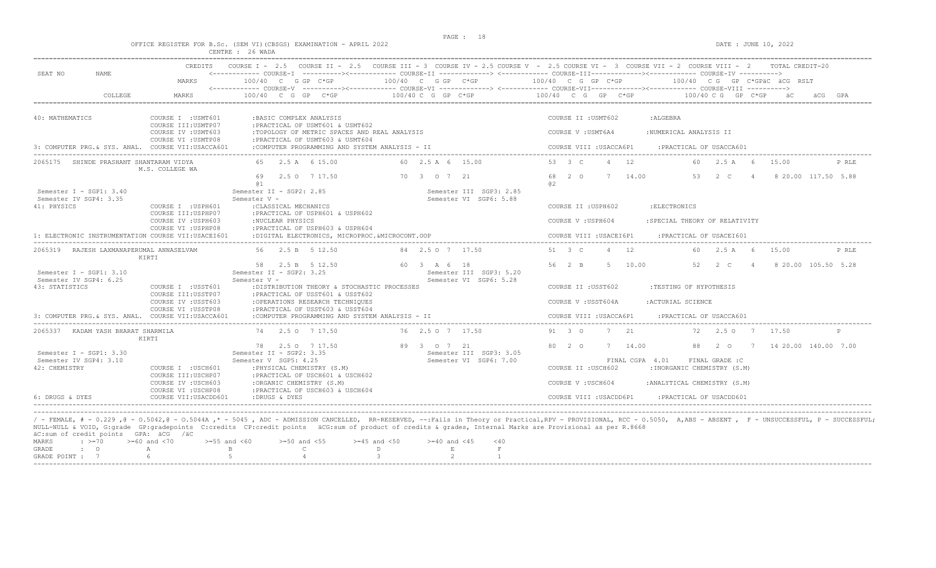OFFICE REGISTER FOR B.Sc. (SEM VI)(CBSGS) EXAMINATION - APRIL 2022 DATE : JUNE 10, 2022

|                                                                                                                                                                 | CENTRE : 26 WADA                                                                                                                                                                                  |                                                                                                                                        |
|-----------------------------------------------------------------------------------------------------------------------------------------------------------------|---------------------------------------------------------------------------------------------------------------------------------------------------------------------------------------------------|----------------------------------------------------------------------------------------------------------------------------------------|
| CREDITS<br>SEAT NO<br>NAME<br>MARKS                                                                                                                             | COURSE I - 2.5 COURSE II - 2.5 COURSE III - 3 COURSE IV - 2.5 COURSE V - 2.5 COURSE VI - 3 COURSE VII - 2 COURSE VIII - 2 TOTAL CREDIT-20<br>100/40 C G GP C*GP<br>100/40 C G GP C*GP             | 100/40 C G GP C*GP<br>$100/40$ CG GP C*GPäC äCG RSLT                                                                                   |
| COLLEGE<br>MARKS                                                                                                                                                | $100/40 C G$ PC*GP<br>$100/40$ C G GP C*GP                                                                                                                                                        | 100/40 C G GP C*GP<br>$100/40 \, C \, G$ GP $C*GP$                                                                                     |
|                                                                                                                                                                 |                                                                                                                                                                                                   |                                                                                                                                        |
| 40: MATHEMATICS<br>COURSE I : USMT601<br>COURSE III: USMTP07<br>COURSE IV : USMT603<br>COURSE VI : USMTP08<br>3: COMPUTER PRG.& SYS. ANAL. COURSE VII:USACCA601 | : BASIC COMPLEX ANALYSIS<br>:PRACTICAL OF USMT601 & USMT602<br>:TOPOLOGY OF METRIC SPACES AND REAL ANALYSIS<br>: PRACTICAL OF USMT603 & USMT604<br>:COMPUTER PROGRAMMING AND SYSTEM ANALYSIS - II | COURSE II : USMT602<br>: ALGEBRA<br>COURSE V: USMT6A4<br>:NUMERICAL ANALYSIS II<br>COURSE VIII : USACCA6P1<br>: PRACTICAL OF USACCA601 |
| 2065175 SHINDE PRASHANT SHANTARAM VIDYA                                                                                                                         | 65 2.5 A 6 15.00<br>60 2.5 A 6 15.00                                                                                                                                                              | 53 3 C<br>4 12<br>60 2.5 A 6<br>15.00<br>P RLE                                                                                         |
| M.S. COLLEGE WA<br>Semester I - SGP1: 3.40                                                                                                                      | 69<br>2.5 0 7 17.50<br>70 3 0 7 21<br><b>a</b> 1<br>Semester II - SGP2: 2.85<br>Semester III SGP3: 2.85                                                                                           | 68<br>$2^{\circ}$<br>7<br>14.00<br>53<br>2 C<br>8 20.00 117.50 5.88<br>$\overline{4}$<br>a2                                            |
| Semester IV SGP4: 3.35                                                                                                                                          | Semester V -<br>Semester VI SGP6: 5.88                                                                                                                                                            |                                                                                                                                        |
| 41: PHYSICS<br>COURSE I : USPH601                                                                                                                               | : CLASSICAL MECHANICS                                                                                                                                                                             | : ELECTRONICS<br>COURSE II : USPH602                                                                                                   |
| COURSE III:USPHP07<br>COURSE IV : USPH603                                                                                                                       | :PRACTICAL OF USPH601 & USPH602<br>:NUCLEAR PHYSICS                                                                                                                                               | COURSE V: USPH604<br>: SPECIAL THEORY OF RELATIVITY                                                                                    |
| COURSE VI : USPHP08                                                                                                                                             | :PRACTICAL OF USPH603 & USPH604                                                                                                                                                                   |                                                                                                                                        |
| 1: ELECTRONIC INSTRUMENTATION COURSE VII:USACEI601                                                                                                              | :DIGITAL ELECTRONICS, MICROPROC.&MICROCONT.OOP                                                                                                                                                    | COURSE VIII : USACEI6P1<br>: PRACTICAL OF USACEI601                                                                                    |
| 2065319 RAJESH LAXMANAPERUMAL ANNASELVAM<br>KIRTI                                                                                                               | 56 2.5 B 5 12.50<br>84 2.5 0 7 17.50                                                                                                                                                              | 51 3 C<br>4 12<br>60 2.5 A 6<br>15.00<br>P RLE                                                                                         |
| Semester $I - SGP1: 3.10$<br>Semester IV SGP4: 6.25                                                                                                             | 58 2.5 B 5 12.50<br>60 3 A 6 18<br>Semester II - SGP2: 3.25<br>Semester III SGP3: 5.20<br>Semester V -<br>Semester VI SGP6: 5.28                                                                  | 56 2 B<br>5 10.00<br>52<br>2 C<br>8 20.00 105.50 5.28<br>$\sim$ 4                                                                      |
| 43: STATISTICS<br>COURSE I : USST601                                                                                                                            | :DISTRIBUTION THEORY & STOCHASTIC PROCESSES                                                                                                                                                       | COURSE II : USST602<br>:TESTING OF HYPOTHESIS                                                                                          |
| COURSE III: USSTP07<br>COURSE IV : USST603<br>COURSE VI : USSTP08                                                                                               | : PRACTICAL OF USST601 & USST602<br>:OPERATIONS RESEARCH TECHNIQUES<br>:PRACTICAL OF USST603 & USST604                                                                                            | COURSE V : USST604A<br>:ACTURIAL SCIENCE                                                                                               |
| 3: COMPUTER PRG.& SYS. ANAL. COURSE VII:USACCA601                                                                                                               | :COMPUTER PROGRAMMING AND SYSTEM ANALYSIS - II                                                                                                                                                    | COURSE VIII : USACCA6P1<br>: PRACTICAL OF USACCA601                                                                                    |
| 2065337 KADAM YASH BHARAT SHARMILA<br>KIRTI                                                                                                                     | 74 2.5 0 7 17.50<br>76 2.5 0 7 17.50                                                                                                                                                              | 91 3 0<br>7 21<br>72  2.5  0  7  17.50<br>$\mathsf{P}$                                                                                 |
|                                                                                                                                                                 | 89 3 0 7 21<br>78 2.5 0 7 17.50                                                                                                                                                                   | 80 2 0<br>7 14.00<br>88<br>$2\degree$ 0<br>7 14 20.00 140.00 7.00                                                                      |
| Semester I - SGP1: 3.30<br>Semester IV SGP4: 3.10                                                                                                               | Semester II - SGP2: 3.35<br>Semester III SGP3: 3.05<br>Semester V SGP5: 4.25<br>Semester VI SGP6: 7.00                                                                                            | FINAL CGPA 4.01<br>FINAL GRADE :C                                                                                                      |
| 42: CHEMISTRY<br>COURSE I : USCH601<br>COURSE III:USCHP07                                                                                                       | : PHYSICAL CHEMISTRY (S.M)<br>:PRACTICAL OF USCH601 & USCH602                                                                                                                                     | COURSE II : USCH602<br>: INORGANIC CHEMISTRY (S.M)                                                                                     |
| COURSE IV : USCH603                                                                                                                                             | :ORGANIC CHEMISTRY (S.M)                                                                                                                                                                          | :ANALYTICAL CHEMISTRY (S.M)<br>COURSE V: USCH604                                                                                       |
| COURSE VI : USCHP08<br>6: DRUGS & DYES<br>COURSE VII: USACDD601                                                                                                 | : PRACTICAL OF USCH603 & USCH604<br>:DRUGS & DYES                                                                                                                                                 | COURSE VIII : USACDD6P1<br>:PRACTICAL OF USACDD601                                                                                     |
|                                                                                                                                                                 |                                                                                                                                                                                                   |                                                                                                                                        |

----------------------------------------------------------------------------------------------------------------------------------------------------------------------------------------------------------------------- / - FEMALE, # - 0.229 ,@ - O.5042,@ - O.5044A ,\* - 5045 , ADC - ADMISSION CANCELLED, RR-RESERVED, --:Fails in Theory or Practical,RPV - PROVISIONAL, RCC - O.5050, A,ABS - ABSENT , F - UNSUCCESSFUL, P - SUCCESSFUL; NULL-NULL & VOID, G:grade GP:gradepoints C:credits CP:credit points äCG:sum of product of credits & grades, Internal Marks are Provisional as per R.8668 äC:sum of credit points GPA: äCG /äC MARKS : >=70 >=60 and <70 >=55 and <60 >=50 and <55 >=45 and <50 >=40 and <45 <40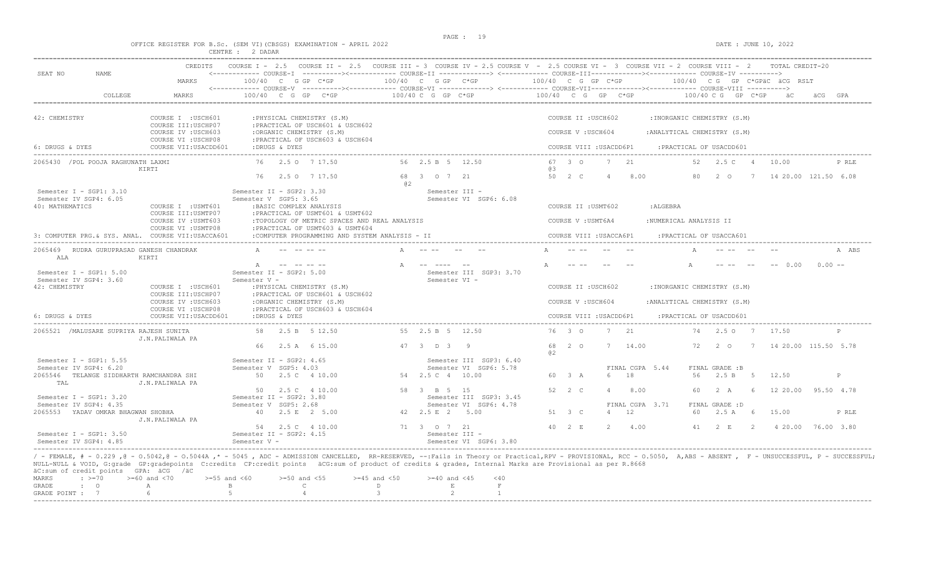DATE : JUNE 10, 2022

|  |  |                  |  | OFFICE REGISTER FOR B.Sc. (SEM VI)(CBSGS) EXAMINATION - APRIL 2022 |  |  |
|--|--|------------------|--|--------------------------------------------------------------------|--|--|
|  |  | CENTRE : 2 DADAR |  |                                                                    |  |  |

| SEAT NO<br>NAME.                                                       | <b>CREDITS</b>                                                    |                                                   | COURSE I - 2.5 COURSE II - 2.5 COURSE III - 3 COURSE IV - 2.5 COURSE V - 2.5 COURSE VI - 3 COURSE VII - 2 COURSE VIII - 2<br><------------ COURSE-I ----------><----------- COURSE-II -------------> <------------ COURSE-III-----------><------------ COURSE-IV ----------> |    |                               |                                                   |                    |                         |                |                                                      |                              |                           |   | TOTAL CREDIT-20             |          |       |
|------------------------------------------------------------------------|-------------------------------------------------------------------|---------------------------------------------------|------------------------------------------------------------------------------------------------------------------------------------------------------------------------------------------------------------------------------------------------------------------------------|----|-------------------------------|---------------------------------------------------|--------------------|-------------------------|----------------|------------------------------------------------------|------------------------------|---------------------------|---|-----------------------------|----------|-------|
|                                                                        | MARKS                                                             |                                                   | $100/40$ C G GP C*GP                                                                                                                                                                                                                                                         |    | $100/40$ C G GP $C*GP$        |                                                   |                    |                         |                | $100/40$ C G GP C*GP $100/40$ C G GP C*GPäC äCG RSLT |                              |                           |   |                             |          |       |
| COLLEGE                                                                | MARKS                                                             |                                                   | $100/40$ C G GP C*GP                                                                                                                                                                                                                                                         |    | 100/40 C G GP C*GP            |                                                   | 100/40 C G GP C*GP |                         |                |                                                      |                              | 100/40 C G GP C*GP        |   |                             |          |       |
| 42: CHEMISTRY                                                          | COURSE I : USCH601                                                |                                                   | : PHYSICAL CHEMISTRY (S.M)                                                                                                                                                                                                                                                   |    |                               |                                                   |                    | COURSE II : USCH602     |                |                                                      | : INORGANIC CHEMISTRY (S.M)  |                           |   |                             |          |       |
|                                                                        | COURSE III:USCHP07<br>COURSE IV : USCH603<br>COURSE VI : USCHP08  |                                                   | : PRACTICAL OF USCH601 & USCH602<br>:ORGANIC CHEMISTRY (S.M)<br>: PRACTICAL OF USCH603 & USCH604                                                                                                                                                                             |    |                               |                                                   |                    | COURSE V: USCH604       |                |                                                      | : ANALYTICAL CHEMISTRY (S.M) |                           |   |                             |          |       |
| 6: DRUGS & DYES                                                        | COURSE VII:USACDD601                                              | :DRUGS & DYES                                     |                                                                                                                                                                                                                                                                              |    |                               |                                                   |                    | COURSE VIII : USACDD6P1 |                |                                                      | : PRACTICAL OF USACDD601     |                           |   |                             |          |       |
| 2065430 / POL POOJA RAGHUNATH LAXMI                                    | KIRTI                                                             |                                                   | 76 2.5 0 7 17.50                                                                                                                                                                                                                                                             |    | 56 2.5 B 5 12.50              |                                                   | 63                 | 67 3 0                  | $7^{2}$ 21     |                                                      |                              | 52 2.5 C 4                |   | 10.00                       |          | P RLE |
|                                                                        |                                                                   | 76                                                | 2.5 0 7 17.50                                                                                                                                                                                                                                                                | a2 | 68 3 0 7 21                   |                                                   |                    | 50 2 C                  | $\overline{4}$ | 8.00                                                 | 80                           |                           |   | 2 0 7 14 20.00 121.50 6.08  |          |       |
| Semester $I - SGP1: 3.10$<br>Semester IV SGP4: 6.05<br>40: MATHEMATICS | COURSE I : USMT601                                                | Semester II - SGP2: 3.30<br>Semester V SGP5: 3.65 | : BASIC COMPLEX ANALYSIS                                                                                                                                                                                                                                                     |    | Semester III -                | Semester VI SGP6: 6.08                            |                    | COURSE II : USMT602     |                | :ALGEBRA                                             |                              |                           |   |                             |          |       |
|                                                                        | COURSE III: USMTP07<br>COURSE IV : USMT603                        |                                                   | :PRACTICAL OF USMT601 & USMT602<br>: TOPOLOGY OF METRIC SPACES AND REAL ANALYSIS                                                                                                                                                                                             |    |                               |                                                   |                    | COURSE V : USMT6A4      |                |                                                      | :NUMERICAL ANALYSIS II       |                           |   |                             |          |       |
| 3: COMPUTER PRG. & SYS. ANAL. COURSE VII:USACCA601                     | COURSE VI : USMTP08                                               |                                                   | : PRACTICAL OF USMT603 & USMT604<br>:COMPUTER PROGRAMMING AND SYSTEM ANALYSIS - II                                                                                                                                                                                           |    |                               |                                                   |                    | COURSE VIII : USACCA6P1 |                |                                                      | : PRACTICAL OF USACCA601     |                           |   |                             |          |       |
| 2065469 RUDRA GURUPRASAD GANESH CHANDRAK<br>AT.A                       | KIRTI                                                             |                                                   |                                                                                                                                                                                                                                                                              |    |                               |                                                   |                    |                         |                |                                                      |                              |                           |   |                             |          | A ABS |
| Semester $I - SGP1: 5.00$<br>Semester IV SGP4: 3.60                    |                                                                   | A<br>Semester II - SGP2: 5.00<br>Semester V -     | and the angles of                                                                                                                                                                                                                                                            |    | -- ---- --<br>Semester VI -   | Semester III SGP3: 3.70                           |                    |                         |                |                                                      |                              |                           |   | $-- 0.00$                   | $0.00 -$ |       |
| 42: CHEMISTRY                                                          | COURSE I : USCH601                                                |                                                   | : PHYSICAL CHEMISTRY (S.M)                                                                                                                                                                                                                                                   |    |                               |                                                   |                    | COURSE II : USCH602     |                |                                                      | : INORGANIC CHEMISTRY (S.M)  |                           |   |                             |          |       |
|                                                                        | COURSE III: USCHP07<br>COURSE IV : USCH603<br>COURSE VI : USCHP08 |                                                   | : PRACTICAL OF USCH601 & USCH602<br>:ORGANIC CHEMISTRY (S.M)<br>: PRACTICAL OF USCH603 & USCH604                                                                                                                                                                             |    |                               |                                                   |                    | COURSE V: USCH604       |                |                                                      | : ANALYTICAL CHEMISTRY (S.M) |                           |   |                             |          |       |
| 6: DRUGS & DYES                                                        | COURSE VII:USACDD601                                              | :DRUGS & DYES                                     |                                                                                                                                                                                                                                                                              |    |                               |                                                   |                    | COURSE VIII : USACDD6P1 |                |                                                      | : PRACTICAL OF USACDD601     |                           |   |                             |          |       |
| 2065521 / MALUSARE SUPRIYA RAJESH SUNITA                               | J.N.PALIWALA PA                                                   |                                                   | 58 2.5 B 5 12.50                                                                                                                                                                                                                                                             |    | 55 2.5 B 5 12.50              |                                                   |                    | 76 3 0                  | 7 21           |                                                      |                              | 74 2.5 0 7 17.50          |   |                             |          | P     |
|                                                                        |                                                                   | 66                                                | 2.5 A 6 15.00                                                                                                                                                                                                                                                                |    | 47 3 D 3 9                    |                                                   | 0.2                | 68 2 0                  | 7 14.00        |                                                      | 72                           | $2^{\circ}$ 0             | 7 | 14 20.00 115.50 5.78        |          |       |
| Semester I - SGP1: $5.55$<br>Semester IV SGP4: 6.20                    |                                                                   | Semester II - SGP2: 4.65<br>Semester V SGP5: 4.03 |                                                                                                                                                                                                                                                                              |    |                               | Semester III SGP3: 6.40<br>Semester VI SGP6: 5.78 |                    |                         |                | FINAL CGPA 5.44                                      |                              | FINAL GRADE :B            |   |                             |          |       |
| 2065546 TELANGE SIDDHARTH RAMCHANDRA SHI<br>TAL                        | J.N.PALIWALA PA                                                   |                                                   | 50 2.5 C 4 10.00                                                                                                                                                                                                                                                             |    | 54 2.5 C 4 10.00              |                                                   |                    | 60 3 A                  |                | 18                                                   | 56                           | 2.5 B 5 12.50             |   |                             |          | P     |
| Semester I - SGP1: 3.20<br>Semester IV SGP4: 4.35                      |                                                                   | Semester II - SGP2: 3.80<br>Semester V SGP5: 2.68 | 50 2.5 C 4 10.00                                                                                                                                                                                                                                                             |    | 58 3 B 5 15                   | Semester III SGP3: 3.45<br>Semester VI SGP6: 4.78 |                    | 52 2 C                  |                | 8.00<br>FINAL CGPA 3.71                              |                              | 60 2 A<br>FINAL GRADE : D |   | 6 12 20 00 95 50 4.78       |          |       |
| 2065553 YADAV OMKAR BHAGWAN SHOBHA                                     | J.N.PALIWALA PA                                                   |                                                   | 40 2.5 E 2 5.00                                                                                                                                                                                                                                                              |    | 42 2.5 E 2 5.00               |                                                   |                    | 51 3 C                  | 4              | 12                                                   | 60                           | 2.5 A 6                   |   | 15.00                       |          | P RLE |
| Semester I - SGP1: 3.50<br>Semester IV SGP4: 4.85                      |                                                                   | Semester II - SGP2: 4.15<br>Semester V -          | 54 2.5 C 4 10.00                                                                                                                                                                                                                                                             |    | 71 3 0 7 21<br>Semester III - | Semester VI SGP6: 3.80                            |                    | $40 \t 2 \t E$          | 2 4.00         |                                                      |                              |                           |   | 41 2 E 2 4 20.00 76.00 3.80 |          |       |

/ - FEMALE, # - 0.229 ,@ - 0.5042,@ - 0.5044A ,\* - 5045 , ADC - ADMISSION CANCELLED, RR-RESERVED, --:Fails in Theory or Practical,RPV - PROVISIONAL, RCC - 0.5050, A,ABS - ABSENT , F - UNSUCCESSFUL, P - SUCCESSFUL; NULL-NULL & VOID, G:grade GP:gradepoints C:credits CP:credit points äCG:sum of product of credits & grades, Internal Marks are Provisional as per R.8668<br>äC:sum of credit points GPA: äCG /äC

|  | at:Sull Of Cledit points GPA; atd yat                                             |  |  |  |
|--|-----------------------------------------------------------------------------------|--|--|--|
|  | MARKS : >=70 >=60 and <70 >=55 and <60 >=50 and <55 >=45 and <50 >=40 and <45 <40 |  |  |  |
|  | GRADE : O A B C                                                                   |  |  |  |
|  | GRADE POINT : $7$ 6 5 5 4 5 3 3 2                                                 |  |  |  |
|  |                                                                                   |  |  |  |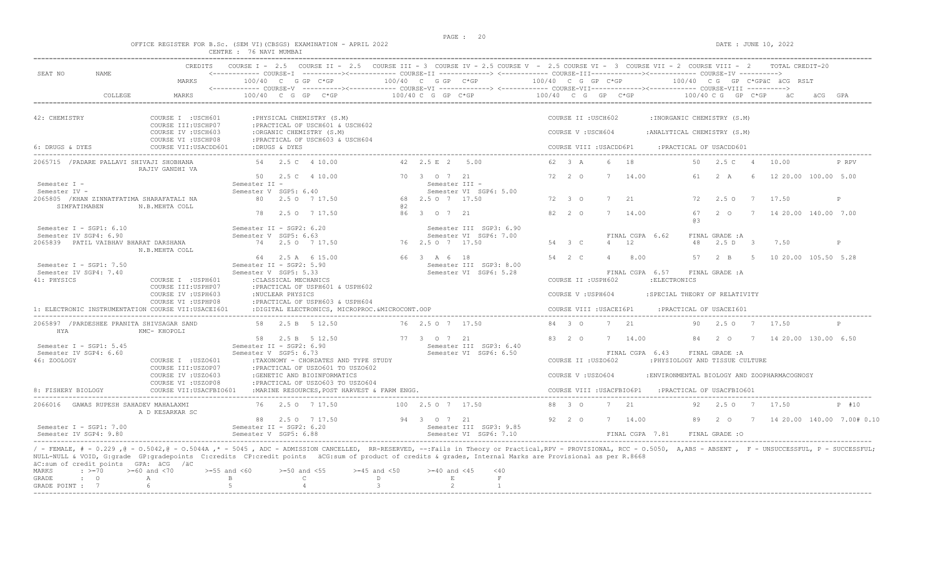# OFFICE REGISTER FOR B.Sc. (SEM VI)(CBSGS) EXAMINATION - APRIL 2022<br>CENTRE : 76 NAVI MUMBAI

| SEAT NO<br><b>NAME</b>                                                                                                                                                                                                                                                                                                                                                                                                   | MARKS                                                            |                                                     | 100/40 C G GP C*GP                        |                                                                           |                                                  | 100/40 C G GP C*GP |                                                   | 100/40 C G GP C*GP   |                      |                                           |                |                            |                                                      |          |                                |                 | 100/40 C G GP C*GPäC äCG RSLT               |         |                            |
|--------------------------------------------------------------------------------------------------------------------------------------------------------------------------------------------------------------------------------------------------------------------------------------------------------------------------------------------------------------------------------------------------------------------------|------------------------------------------------------------------|-----------------------------------------------------|-------------------------------------------|---------------------------------------------------------------------------|--------------------------------------------------|--------------------|---------------------------------------------------|----------------------|----------------------|-------------------------------------------|----------------|----------------------------|------------------------------------------------------|----------|--------------------------------|-----------------|---------------------------------------------|---------|----------------------------|
| COLLEGE                                                                                                                                                                                                                                                                                                                                                                                                                  | MARKS                                                            |                                                     | $100/40$ C G GP C*GP                      |                                                                           |                                                  | $100/40 C G$ PC*GP |                                                   | $100/40$ C G GP C*GP |                      |                                           |                |                            |                                                      |          | 100/40 C G GP C*GP             |                 |                                             | ACG GPA |                            |
| 42: CHEMISTRY                                                                                                                                                                                                                                                                                                                                                                                                            | COURSE I : USCH601<br>COURSE III: USCHP07                        |                                                     |                                           | : PHYSICAL CHEMISTRY (S.M)<br>: PRACTICAL OF USCH601 & USCH602            |                                                  |                    |                                                   |                      |                      | COURSE II : USCH602                       |                |                            | : INORGANIC CHEMISTRY (S.M)                          |          |                                |                 |                                             |         |                            |
|                                                                                                                                                                                                                                                                                                                                                                                                                          | COURSE IV : USCH603<br>COURSE VI : USCHP08                       |                                                     |                                           | :ORGANIC CHEMISTRY (S.M)<br>: PRACTICAL OF USCH603 & USCH604              |                                                  |                    |                                                   |                      |                      | COURSE V: USCH604                         |                |                            | : ANALYTICAL CHEMISTRY (S.M)                         |          |                                |                 |                                             |         |                            |
| 6: DRUGS & DYES                                                                                                                                                                                                                                                                                                                                                                                                          | COURSE VII: USACDD601                                            |                                                     | :DRUGS & DYES                             |                                                                           |                                                  |                    |                                                   |                      |                      | COURSE VIII : USACDD6P1                   |                |                            |                                                      |          | :PRACTICAL OF USACDD601        |                 |                                             |         |                            |
| 2065715 / PADARE PALLAVI SHIVAJI SHOBHANA                                                                                                                                                                                                                                                                                                                                                                                | RAJIV GANDHI VA                                                  |                                                     | 54 2.5 C 4 10.00                          |                                                                           |                                                  | 42 2.5 E 2 5.00    |                                                   |                      | 62 3 A               |                                           |                | 6 18                       |                                                      | 50       | 2.5 C                          | $\overline{a}$  | 10.00                                       |         | P RPV                      |
| Semester I -<br>Semester IV -                                                                                                                                                                                                                                                                                                                                                                                            |                                                                  | Semester II -<br>Semester V SGP5: 6.40              |                                           | 50   2.5   4   10.00                                                      |                                                  | 70 3 0 7 21        | Semester III -<br>Semester VI SGP6: 5.00          |                      | 72 2 0               |                                           | 7              | 14.00                      |                                                      | 61       | 2 A                            | - 6             | 12 20.00 100.00 5.00                        |         |                            |
| 2065805 / KHAN ZINNATFATIMA SHARAFATALI NA<br>SIMFATIMABEN                                                                                                                                                                                                                                                                                                                                                               | N.B.MEHTA COLL                                                   |                                                     |                                           | 80 2.5 0 7 17.50                                                          | a2                                               | 68 2.5 0 7 17.50   |                                                   |                      | $72 \quad 3 \quad 0$ |                                           | 7              | 21                         |                                                      | 72       | 2.50                           | $7\phantom{0}7$ | 17.50                                       |         | P                          |
| Semester $I - SGP1: 6.10$                                                                                                                                                                                                                                                                                                                                                                                                |                                                                  | Semester II - SGP2: 6.20                            | 78 2.5 0 7 17.50                          |                                                                           |                                                  | 86 3 0 7 21        | Semester III SGP3: 6.90                           |                      | $82 \t 2 \t 0$       |                                           |                | 7 14.00                    |                                                      | 67<br>a3 | $2^{\circ}$ $\circ$            |                 | 7 14 20.00 140.00 7.00                      |         |                            |
| Semester IV SGP4: 6.90<br>2065839 PATIL VAIBHAV BHARAT DARSHANA                                                                                                                                                                                                                                                                                                                                                          |                                                                  | Semester V SGP5: 6.63                               |                                           | 74 2.5 0 7 17.50                                                          |                                                  | 76 2.5 0 7 17.50   | Semester VI SGP6: 7.00                            |                      | 54 3 C               |                                           | $\overline{4}$ | FINAL CGPA 6.62<br>12      |                                                      |          | FINAL GRADE : A<br>48 2.5 D 3  |                 | 7.50                                        |         | P                          |
|                                                                                                                                                                                                                                                                                                                                                                                                                          | N.B.MEHTA COLL                                                   |                                                     |                                           |                                                                           |                                                  | 66 3 A 6 18        |                                                   |                      |                      |                                           |                |                            |                                                      |          |                                |                 |                                             |         |                            |
| Semester $T - sGPI: 7.50$<br>Semester IV SGP4: 7.40                                                                                                                                                                                                                                                                                                                                                                      |                                                                  | Semester $IT - sGP2: 5.90$<br>Semester V SGP5: 5.33 |                                           | 64 2.5 A 6 15.00                                                          |                                                  |                    | Semester TTT SGP3: 8.00<br>Semester VI SGP6: 5.28 |                      | 54 2 C               |                                           | $\overline{4}$ | 8.00<br>FINAL CGPA 6.57    |                                                      | 57       | $2 \quad B$<br>FINAL GRADE : A | 5 <sup>5</sup>  | 10 20.00 105.50 5.28                        |         |                            |
| 41: PHYSICS                                                                                                                                                                                                                                                                                                                                                                                                              | COURSE I : USPH601<br>COURSE III: USPHP07<br>COURSE IV : USPH603 |                                                     | : CLASSICAL MECHANICS<br>:NUCLEAR PHYSICS | :PRACTICAL OF USPH601 & USPH602                                           |                                                  |                    |                                                   |                      |                      | COURSE II : USPH602<br>COURSE V : USPH604 |                |                            | : ELECTRONICS<br>:SPECIAL THEORY OF RELATIVITY       |          |                                |                 |                                             |         |                            |
| 1: ELECTRONIC INSTRUMENTATION COURSE VII:USACEI601                                                                                                                                                                                                                                                                                                                                                                       | COURSE VI : USPHP08                                              |                                                     |                                           | : PRACTICAL OF USPH603 & USPH604                                          | :DIGITAL ELECTRONICS, MICROPROC. &MICROCONT. OOP |                    |                                                   |                      |                      | COURSE VIII : USACEI6P1                   |                |                            |                                                      |          | : PRACTICAL OF USACEI601       |                 |                                             |         |                            |
| 2065897 / PARDESHEE PRANITA SHIVSAGAR SAND<br>HYA                                                                                                                                                                                                                                                                                                                                                                        | KMC- KHOPOLI                                                     |                                                     |                                           | 58 2.5 B 5 12.50                                                          |                                                  | 76 2.5 0 7 17.50   |                                                   |                      | 84 3 0               |                                           |                | 7 21                       |                                                      | 90       |                                |                 | 2.5 0 7 17.50                               |         | P                          |
| Semester I - SGP1: 5.45                                                                                                                                                                                                                                                                                                                                                                                                  |                                                                  | Semester II - SGP2: 6.90                            |                                           | 58 2.5 B 5 12.50                                                          |                                                  | 77 3 0 7 21        | Semester III SGP3: 6.40<br>Semester VI SGP6: 6.50 |                      | $83 \t 20$           |                                           | 7              | 14.00                      |                                                      | 84       | 20                             |                 | 7 14 20.00 130.00 6.50                      |         |                            |
| Semester IV SGP4: 6.60<br>46: ZOOLOGY                                                                                                                                                                                                                                                                                                                                                                                    | COURSE I : USZO601<br>COURSE III:USZOP07                         | Semester V SGP5: 6.73                               |                                           | :TAXONOMY - CHORDATES AND TYPE STUDY<br>: PRACTICAL OF USZ0601 TO USZ0602 |                                                  |                    |                                                   |                      |                      | COURSE II : USZO602                       |                | FINAL CGPA 6.43            | : PHYSIOLOGY AND TISSUE CULTURE                      |          | FINAL GRADE : A                |                 |                                             |         |                            |
|                                                                                                                                                                                                                                                                                                                                                                                                                          | COURSE IV : USZO603                                              |                                                     |                                           | :GENETIC AND BIOINFORMATICS                                               |                                                  |                    |                                                   |                      |                      | COURSE V: USZ0604                         |                |                            |                                                      |          |                                |                 | :ENVIRONMENTAL BIOLOGY AND ZOOPHARMACOGNOSY |         |                            |
| 8: FISHERY BIOLOGY                                                                                                                                                                                                                                                                                                                                                                                                       | COURSE VI : USZOP08<br>COURSE VII: USACFBIO601                   |                                                     |                                           | : PRACTICAL OF USZ0603 TO USZ0604                                         | :MARINE RESOURCES, POST HARVEST & FARM ENGG.     |                    |                                                   |                      |                      |                                           |                |                            | COURSE VIII : USACFBIO6P1 : PRACTICAL OF USACFBIO601 |          |                                |                 |                                             |         |                            |
| 2066016 GAWAS RUPESH SAHADEV MAHALAXMI                                                                                                                                                                                                                                                                                                                                                                                   | A D KESARKAR SC                                                  |                                                     |                                           | 76 2.5 0 7 17.50                                                          |                                                  | 100 2.5 0 7 17.50  |                                                   |                      | 88 3 0               |                                           |                | $7^{2}$ 21                 |                                                      | 92       | $2.5^\circ$ O                  | 7               | 17.50                                       |         | P #10                      |
| Semester I - SGP1: 7.00<br>Semester IV SGP4: 9.80                                                                                                                                                                                                                                                                                                                                                                        |                                                                  | Semester II - SGP2: 6.20<br>Semester V SGP5: 6.88   |                                           | 88 2.5 0 7 17.50                                                          |                                                  | 94 3 0 7 21        | Semester III SGP3: 9.85<br>Semester VI SGP6: 7.10 |                      | $92 \t 2 \t 0$       |                                           |                | 7 14.00<br>FINAL CGPA 7.81 |                                                      | 89       | 20<br>FINAL GRADE : O          |                 |                                             |         | 14 20.00 140.00 7.00# 0.10 |
|                                                                                                                                                                                                                                                                                                                                                                                                                          |                                                                  |                                                     |                                           |                                                                           |                                                  |                    |                                                   |                      |                      |                                           |                |                            |                                                      |          |                                |                 |                                             |         |                            |
| / - FEMALE, # - 0.229, @ - 0.5042, @ - 0.5044A, * - 5045, ADC - ADMISSION CANCELLED, RR-RESERVED, --:Fails in Theory or Practical,RPV - PROVISIONAL, RCC - 0.5050, A,ABS - ABSENT, F - UNSUCCESSFUL, P - SUCCESSFUL;<br>NULL-NULL & VOID, G:grade GP:gradepoints C:credits CP:credit points äCG:sum of product of credits & grades, Internal Marks are Provisional as per R.8668<br>äC:sum of credit points GPA: äCG /äC |                                                                  |                                                     |                                           |                                                                           |                                                  |                    |                                                   |                      |                      |                                           |                |                            |                                                      |          |                                |                 |                                             |         |                            |
| <b>MARKS</b><br>$\cdot$ >=70<br>GRADE<br>$\cdot$ 0                                                                                                                                                                                                                                                                                                                                                                       | $>=60$ and $<70$<br>$>=55$ and $<60$<br>$\mathbb{A}$             | $\mathbf{B}$                                        | $>=50$ and $<55$<br>$\mathsf{C}$          |                                                                           | $>=45$ and $<50$<br>D                            | $>= 40$ and $< 45$ | $<$ 40<br>$\mathbf E$<br>$\mathbb F$              |                      |                      |                                           |                |                            |                                                      |          |                                |                 |                                             |         |                            |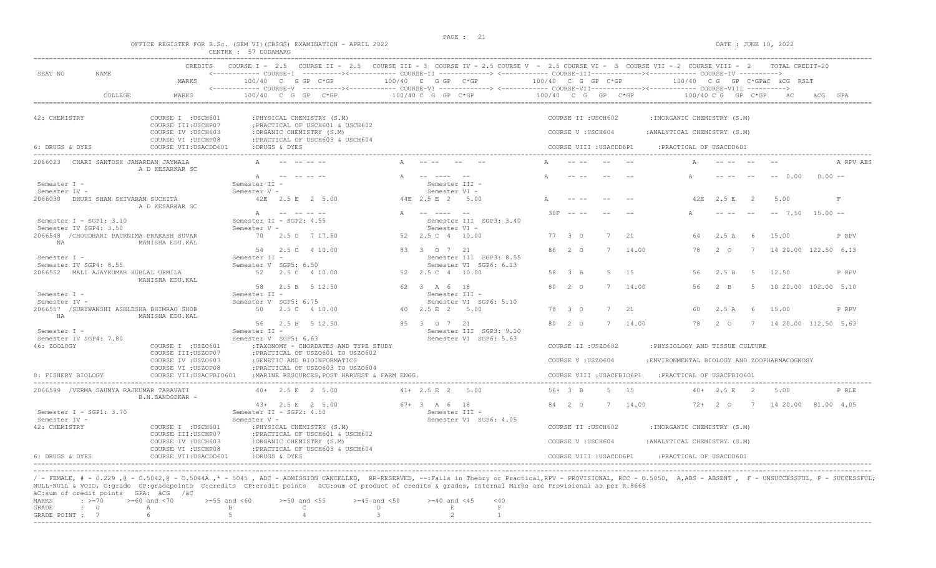| SEAT NO<br><b>NAME</b><br>42: CHEMISTRY                              | CREDITS<br>MARKS<br>COLLEGE<br>MARKS<br>COURSE I : USCH601<br>COURSE III: USCHP07<br>COURSE IV : USCH603<br>COURSE VI : USCHP08<br>COURSE VII: USACDD601<br>2066023 CHARI SANTOSH JANARDAN JAYMALA                                                                                                                                                                                                                                                            | COURSE I - 2.5 COURSE II - 2.5 COURSE III - 3 COURSE IV - 2.5 COURSE V - 2.5 COURSE VII - 3 COURSE VIII - 2 COURSE VIII - 2 TOTAL CREDIT-20<br><------------ COURSE-I ----------><----------- COURSE-II -------------> <------------ COURSE-III-----------><------------ COURSE-IV ----------><br>100/40 C G GP C*GP<br><------------ COURSE-V ----------><----------- COURSE-VI -------------> <------------ COURSE-VII--------------- COURSE-VIII ----------><br>100/40 C G GP C*GP<br>:DRUGS & DYES | : PHYSICAL CHEMISTRY (S.M)<br>: PRACTICAL OF USCH601 & USCH602<br>:ORGANIC CHEMISTRY (S.M)<br>: PRACTICAL OF USCH603 & USCH604 |                                  | 100/40 C G GP C*GP<br>100/40 C G GP C*GP            |                                                   | 100/40 C G GP C*GP<br>$100/40$ C G GP C*GP |                                          |                |              | 100/40 CG GP C*GPäC äCG RSLT<br>$100/40$ C G GP C*GP        |                       |                | a C                             | äCG GPA  |             |
|----------------------------------------------------------------------|---------------------------------------------------------------------------------------------------------------------------------------------------------------------------------------------------------------------------------------------------------------------------------------------------------------------------------------------------------------------------------------------------------------------------------------------------------------|--------------------------------------------------------------------------------------------------------------------------------------------------------------------------------------------------------------------------------------------------------------------------------------------------------------------------------------------------------------------------------------------------------------------------------------------------------------------------------------------------------|--------------------------------------------------------------------------------------------------------------------------------|----------------------------------|-----------------------------------------------------|---------------------------------------------------|--------------------------------------------|------------------------------------------|----------------|--------------|-------------------------------------------------------------|-----------------------|----------------|---------------------------------|----------|-------------|
|                                                                      |                                                                                                                                                                                                                                                                                                                                                                                                                                                               |                                                                                                                                                                                                                                                                                                                                                                                                                                                                                                        |                                                                                                                                |                                  |                                                     |                                                   |                                            |                                          |                |              |                                                             |                       |                |                                 |          |             |
|                                                                      |                                                                                                                                                                                                                                                                                                                                                                                                                                                               |                                                                                                                                                                                                                                                                                                                                                                                                                                                                                                        |                                                                                                                                |                                  |                                                     |                                                   |                                            |                                          |                |              |                                                             |                       |                |                                 |          |             |
|                                                                      |                                                                                                                                                                                                                                                                                                                                                                                                                                                               |                                                                                                                                                                                                                                                                                                                                                                                                                                                                                                        |                                                                                                                                |                                  |                                                     |                                                   |                                            |                                          |                |              |                                                             |                       |                |                                 |          |             |
|                                                                      |                                                                                                                                                                                                                                                                                                                                                                                                                                                               |                                                                                                                                                                                                                                                                                                                                                                                                                                                                                                        |                                                                                                                                |                                  |                                                     |                                                   |                                            | COURSE II : USCH602<br>COURSE V: USCH604 |                |              | : INORGANIC CHEMISTRY (S.M)<br>: ANALYTICAL CHEMISTRY (S.M) |                       |                |                                 |          |             |
| 6: DRUGS & DYES                                                      |                                                                                                                                                                                                                                                                                                                                                                                                                                                               |                                                                                                                                                                                                                                                                                                                                                                                                                                                                                                        |                                                                                                                                |                                  |                                                     |                                                   |                                            | COURSE VIII : USACDD6P1                  |                |              | : PRACTICAL OF USACDD601                                    |                       |                |                                 |          |             |
|                                                                      | A D KESARKAR SC                                                                                                                                                                                                                                                                                                                                                                                                                                               |                                                                                                                                                                                                                                                                                                                                                                                                                                                                                                        |                                                                                                                                |                                  |                                                     |                                                   |                                            |                                          |                |              |                                                             |                       |                |                                 |          | A RPV ABS   |
| Semester I -<br>Semester IV -<br>2066030 DHURI SHAM SHIVARAM SUCHITA |                                                                                                                                                                                                                                                                                                                                                                                                                                                               | A<br>Semester II -<br>Semester V -                                                                                                                                                                                                                                                                                                                                                                                                                                                                     | 42E 2.5 E 2 5.00                                                                                                               |                                  | Semester III -<br>Semester VI -<br>44E 2.5 E 2 5.00 |                                                   |                                            |                                          |                |              |                                                             | 42E 2.5 E             | $\overline{2}$ | $-- 0.00$<br>5.00               | $0.00 -$ | $\mathbf F$ |
| Semester $I - SGP1: 3.10$<br>Semester IV SGP4: 3.50                  | A D KESARKAR SC                                                                                                                                                                                                                                                                                                                                                                                                                                               | $\mathbb{A}$<br>Semester II - SGP2: 4.55<br>Semester V -                                                                                                                                                                                                                                                                                                                                                                                                                                               |                                                                                                                                |                                  | A -- ---- --<br>Semester VI -                       | Semester III SGP3: 3.40                           | $30F - - -$                                |                                          | 7              | 2.1          | 64                                                          |                       | - 6            | $-- 7.50 15.00 --$              |          |             |
| NA                                                                   | 2066548 / CHOUDHARI PAURNIMA PRAKASH SUVAR<br>MANISHA EDU.KAL                                                                                                                                                                                                                                                                                                                                                                                                 |                                                                                                                                                                                                                                                                                                                                                                                                                                                                                                        | 70 2.5 0 7 17.50<br>54  2.5  C  4  10.00                                                                                       |                                  | 52  2.5  C  4  10.00<br>83 3 0 7 21                 |                                                   | 77 3 0<br>86 2 0                           |                                          |                | 14.00        | 78                                                          | 2.5A<br>$2^{\circ}$ O | 7              | 15.00<br>14 20.00 122.50 6.13   |          | P RPV       |
| Semester I -<br>Semester IV SGP4: 8.55                               | 2066552 MALI AJAYKUMAR HUBLAL URMILA<br>MANISHA EDU.KAL                                                                                                                                                                                                                                                                                                                                                                                                       | Semester II -<br>Semester V SGP5: 6.50                                                                                                                                                                                                                                                                                                                                                                                                                                                                 | 52   2.5   4   10.00                                                                                                           |                                  | 52  2.5  C  4  10.00                                | Semester III SGP3: 8.55<br>Semester VI SGP6: 6.13 | 58 3 B                                     |                                          | 5              | 15           | 56                                                          | 2.5 B                 | 5              | 12.50                           |          | P RPV       |
| Semester I -<br>Semester IV -                                        |                                                                                                                                                                                                                                                                                                                                                                                                                                                               | Semester II -<br>Semester V SGP5: 6.75                                                                                                                                                                                                                                                                                                                                                                                                                                                                 | 58 2.5 B 5 12.50                                                                                                               |                                  | 62 3 A 6 18<br>Semester III -                       | Semester VI SGP6: 5.10                            | 80 2 0                                     |                                          | 7              | 14.00        | 56                                                          | $2 - B$               | -5             | 10 20.00 102.00 5.10            |          |             |
| HA                                                                   | 2066557 /SURYWANSHI ASHLESHA BHIMRAO SHOB<br>MANISHA EDU.KAL                                                                                                                                                                                                                                                                                                                                                                                                  |                                                                                                                                                                                                                                                                                                                                                                                                                                                                                                        | 50 2.5 C 4 10.00<br>56 2.5 B 5 12.50                                                                                           |                                  | 40 2.5 E 2 5.00<br>85 3 0 7 21                      |                                                   | 78 3 0<br>80 2 0                           |                                          | 7<br>7         | 2.1<br>14.00 | 60<br>78                                                    | 2.5A<br>2 0           |                | 15.00<br>7 14 20.00 112.50 5.63 |          | P RPV       |
| Semester I -<br>Semester IV SGP4: 7.80<br>46: ZOOLOGY                | COURSE I : USZO601                                                                                                                                                                                                                                                                                                                                                                                                                                            | Semester II -<br>Semester V SGP5: 6.63                                                                                                                                                                                                                                                                                                                                                                                                                                                                 | :TAXONOMY - CHORDATES AND TYPE STUDY                                                                                           |                                  |                                                     | Semester III SGP3: 9.10<br>Semester VI SGP6: 5.63 |                                            | COURSE II : USZO602                      |                |              | : PHYSIOLOGY AND TISSUE CULTURE                             |                       |                |                                 |          |             |
|                                                                      | COURSE III:USZOP07<br>COURSE IV : USZ0603<br>COURSE VI : USZOP08                                                                                                                                                                                                                                                                                                                                                                                              |                                                                                                                                                                                                                                                                                                                                                                                                                                                                                                        | : PRACTICAL OF USZ0601 TO USZ0602<br>:GENETIC AND BIOINFORMATICS<br>: PRACTICAL OF USZO603 TO USZO604                          |                                  |                                                     |                                                   |                                            | COURSE V: USZ0604                        |                |              | :ENVIRONMENTAL BIOLOGY AND ZOOPHARMACOGNOSY                 |                       |                |                                 |          |             |
| 8: FISHERY BIOLOGY                                                   | COURSE VII: USACFBIO601                                                                                                                                                                                                                                                                                                                                                                                                                                       |                                                                                                                                                                                                                                                                                                                                                                                                                                                                                                        | : MARINE RESOURCES, POST HARVEST & FARM ENGG.                                                                                  |                                  |                                                     |                                                   |                                            |                                          |                |              | COURSE VIII : USACFBIO6P1 : PRACTICAL OF USACFBIO601        |                       |                |                                 |          |             |
|                                                                      | 2066599 /VERMA SAUMYA RAJKUMAR TARAVATI<br>B.N.BANDODKAR -                                                                                                                                                                                                                                                                                                                                                                                                    |                                                                                                                                                                                                                                                                                                                                                                                                                                                                                                        | 40+ 2.5 E 2 5.00                                                                                                               |                                  | $41+ 2.5 E 2 5.00$                                  |                                                   | 56+ 3 B                                    |                                          | $5^{\circ}$    | 1.5          | $40+$                                                       | 2.5 E                 | $\sim$ 2       | 5.00                            |          | P RLE       |
| Semester I - SGP1: 3.70<br>Semester IV -<br>42: CHEMISTRY            | COURSE I : USCH601                                                                                                                                                                                                                                                                                                                                                                                                                                            | Semester II - SGP2: 4.50<br>Semester V -                                                                                                                                                                                                                                                                                                                                                                                                                                                               | $43+$ 2.5 E 2 5.00<br>: PHYSICAL CHEMISTRY (S.M)                                                                               |                                  | $67+3$ A 6 18<br>Semester III -                     | Semester VI SGP6: 4.05                            | 84 2 0                                     | COURSE II : USCH602                      | $\overline{7}$ | 14.00        | 72+<br>: INORGANIC CHEMISTRY (S.M)                          | $2^{\circ}$           | 7              | 14 20.00 81.00 4.05             |          |             |
|                                                                      | COURSE III: USCHP07<br>COURSE IV : USCH603                                                                                                                                                                                                                                                                                                                                                                                                                    |                                                                                                                                                                                                                                                                                                                                                                                                                                                                                                        | : PRACTICAL OF USCH601 & USCH602<br>:ORGANIC CHEMISTRY (S.M)                                                                   |                                  |                                                     |                                                   |                                            | COURSE V: USCH604                        |                |              | : ANALYTICAL CHEMISTRY (S.M)                                |                       |                |                                 |          |             |
| $6$ DRUGS & DYES                                                     | COURSE VI : USCHP08<br>COURSE VII: USACDD601                                                                                                                                                                                                                                                                                                                                                                                                                  | :DRUGS & DYES                                                                                                                                                                                                                                                                                                                                                                                                                                                                                          | : PRACTICAL OF USCH603 & USCH604                                                                                               |                                  |                                                     |                                                   |                                            | COURSE VIII : USACDD6P1                  |                |              | : PRACTICAL OF USACDD601                                    |                       |                |                                 |          |             |
| MARKS<br>$\div$ $> = 70$<br>GRADE<br>$\cdot$ 0                       | / - FEMALE, # - 0.229 ,@ - 0.5042,@ - 0.5044A ,* - 5045 , ADC - ADMISSION CANCELLED, RR-RESERVED, --:Fails in Theory or Practical,RPV - PROVISIONAL, RCC - 0.5050, A,ABS - ABSENT , F - UNSUCCESSFUL, P - SUCCESSFUL;<br>NULL-NULL & VOID, G:grade GP:gradepoints C:credits CP:credit points äCG:sum of product of credits & grades, Internal Marks are Provisional as per R.8668<br>äC:sum of credit points GPA: äCG /äC<br>$>=60$ and $<70$<br>$\mathbb{A}$ | $>=55$ and $<60$<br>$\mathbf{B}$                                                                                                                                                                                                                                                                                                                                                                                                                                                                       | $>=50$ and $<55$<br>$\mathbb{C}$                                                                                               | $>=45$ and $<50$<br>$\mathbb{D}$ | $>= 40$ and $< 45$<br>$\,$ E $\,$                   | $<$ 40<br>$\;$ F                                  |                                            |                                          |                |              |                                                             |                       |                |                                 |          |             |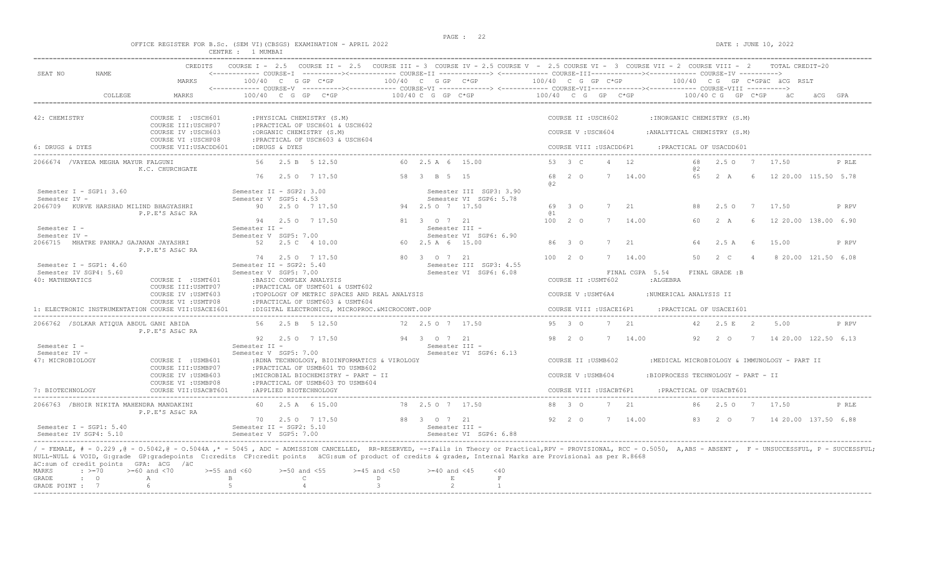|                                                                                                                                                                                                                                                                                                                                                                                                                                                                                                |                                                                     |                                                   |                                              |                                                              |                                                 |                                 | PAGE: 22                                                                                                                                          |                    |  |                         |             |                                    |                          |                |                |                                              |                      |       |
|------------------------------------------------------------------------------------------------------------------------------------------------------------------------------------------------------------------------------------------------------------------------------------------------------------------------------------------------------------------------------------------------------------------------------------------------------------------------------------------------|---------------------------------------------------------------------|---------------------------------------------------|----------------------------------------------|--------------------------------------------------------------|-------------------------------------------------|---------------------------------|---------------------------------------------------------------------------------------------------------------------------------------------------|--------------------|--|-------------------------|-------------|------------------------------------|--------------------------|----------------|----------------|----------------------------------------------|----------------------|-------|
|                                                                                                                                                                                                                                                                                                                                                                                                                                                                                                | OFFICE REGISTER FOR B.Sc. (SEM VI) (CBSGS) EXAMINATION - APRIL 2022 | CENTRE : 1 MUMBAI                                 |                                              |                                                              |                                                 |                                 |                                                                                                                                                   |                    |  |                         |             |                                    |                          |                |                | DATE : JUNE 10, 2022                         |                      |       |
| SEAT NO<br><b>NAME</b>                                                                                                                                                                                                                                                                                                                                                                                                                                                                         |                                                                     |                                                   |                                              |                                                              |                                                 |                                 | CREDITS COURSE I - 2.5 COURSE II - 2.5 COURSE III - 3 COURSE IV - 2.5 COURSE V - 2.5 COURSE VI - 3 COURSE VII - 2 COURSE VIII - 2 TOTAL CREDIT-20 |                    |  |                         |             |                                    |                          |                |                |                                              |                      |       |
|                                                                                                                                                                                                                                                                                                                                                                                                                                                                                                | MARKS                                                               | 100/40 C G GP C*GP                                |                                              |                                                              | 100/40 C G GP C*GP                              |                                 | <------------ COURSE-V ----------><----------- COURSE-VI -------------> <------------ COURSE-VII--------------- COURSE-VIII ---------->           | 100/40 C G GP C*GP |  |                         |             |                                    |                          |                |                | 100/40 CG GP C*GPÄC ÄCG RSLT                 |                      |       |
| COLLEGE                                                                                                                                                                                                                                                                                                                                                                                                                                                                                        | MARKS                                                               |                                                   |                                              | $100/40$ C G GP C*GP                                         |                                                 | 100/40 C G GP C*GP              | $100/40$ C G GP C*GP                                                                                                                              |                    |  |                         |             |                                    |                          |                |                | 100/40 C G GP C*GP äC                        |                      |       |
| 42: CHEMISTRY                                                                                                                                                                                                                                                                                                                                                                                                                                                                                  | COURSE I : USCH601                                                  |                                                   |                                              | : PHYSICAL CHEMISTRY (S.M)                                   |                                                 |                                 |                                                                                                                                                   |                    |  | COURSE II : USCH602     |             | : INORGANIC CHEMISTRY (S.M)        |                          |                |                |                                              |                      |       |
|                                                                                                                                                                                                                                                                                                                                                                                                                                                                                                | COURSE III: USCHP07<br>COURSE IV : USCH603                          |                                                   |                                              | : PRACTICAL OF USCH601 & USCH602<br>:ORGANIC CHEMISTRY (S.M) |                                                 |                                 |                                                                                                                                                   |                    |  | COURSE V: USCH604       |             | : ANALYTICAL CHEMISTRY (S.M)       |                          |                |                |                                              |                      |       |
| 6: DRUGS & DYES                                                                                                                                                                                                                                                                                                                                                                                                                                                                                | COURSE VI : USCHP08<br>COURSE VII: USACDD601                        |                                                   | :DRUGS & DYES                                | : PRACTICAL OF USCH603 & USCH604                             |                                                 |                                 |                                                                                                                                                   |                    |  | COURSE VIII : USACDD6P1 |             |                                    | :PRACTICAL OF USACDD601  |                |                |                                              |                      |       |
| 2066674 / VAYEDA MEGHA MAYUR FALGUNI                                                                                                                                                                                                                                                                                                                                                                                                                                                           | K.C. CHURCHGATE                                                     |                                                   |                                              | 56 2.5 B 5 12.50                                             |                                                 | 60 2.5 A 6 15.00                |                                                                                                                                                   | 53 3 C             |  | $\overline{4}$          | 12          |                                    | 68<br>02                 | $2.5 \Omega$   |                | 7 17.50                                      |                      | P RLE |
|                                                                                                                                                                                                                                                                                                                                                                                                                                                                                                |                                                                     |                                                   |                                              | 76 2.5 0 7 17.50                                             |                                                 | 58 3 B 5 15                     |                                                                                                                                                   | 68 2 0<br>02       |  | 7                       | 14.00       |                                    | 65                       | 2 A            | - 6            | 12 20.00 115.50 5.78                         |                      |       |
| Semester I - SGP1: 3.60<br>Semester IV -                                                                                                                                                                                                                                                                                                                                                                                                                                                       |                                                                     | Semester II - SGP2: 3.00<br>Semester V SGP5: 4.53 |                                              |                                                              |                                                 |                                 | Semester III SGP3: 3.90<br>Semester VI SGP6: 5.78                                                                                                 |                    |  |                         |             |                                    |                          |                |                |                                              |                      |       |
| 2066709 KURVE HARSHAD MILIND BHAGYASHRI                                                                                                                                                                                                                                                                                                                                                                                                                                                        | P.P.E'S AS&C RA                                                     |                                                   |                                              | 90 2.5 0 7 17.50                                             |                                                 | 94 2.5 0 7 17.50                |                                                                                                                                                   | 69 3 0<br>(a 1     |  |                         | 2.1         |                                    | 88                       | 2.5 0          |                | 17.50                                        |                      | P RPV |
| Semester I -                                                                                                                                                                                                                                                                                                                                                                                                                                                                                   |                                                                     | Semester II -                                     |                                              | 94 2.5 0 7 17.50                                             |                                                 | 81 3 0 7 21<br>Semester III -   |                                                                                                                                                   | $100$ $2$ $0$      |  | 7                       | 14.00       |                                    | 60.                      | 2 A            | -6             | 12 20.00 138.00 6.90                         |                      |       |
| Semester IV -<br>2066715 MHATRE PANKAJ GAJANAN JAYASHRI                                                                                                                                                                                                                                                                                                                                                                                                                                        |                                                                     | Semester V SGP5: 7.00                             |                                              | 52   2.5   4   10.00                                         |                                                 | 60 2.5 A 6 15.00                | Semester VI SGP6: 6.90                                                                                                                            | 86 3 0             |  | 7                       | 21          |                                    | 64                       | 2.5 A          | - 6            | 15.00                                        |                      | P RPV |
|                                                                                                                                                                                                                                                                                                                                                                                                                                                                                                | P.P.E'S AS&C RA                                                     |                                                   |                                              | 74 2.5 0 7 17.50                                             |                                                 | 80 3 0 7 21                     |                                                                                                                                                   | 10020              |  |                         | 7 14.00     |                                    | 50                       | $2\degree$ C   | $\overline{4}$ |                                              | 8 20.00 121.50 6.08  |       |
| Semester I - SGP1: $4.60$<br>Semester IV SGP4: 5.60<br>40: MATHEMATICS                                                                                                                                                                                                                                                                                                                                                                                                                         | COURSE I : USMT601<br>COURSE III: USMTP07                           | Semester II - SGP2: 5.40<br>Semester V SGP5: 7.00 |                                              | : BASIC COMPLEX ANALYSIS<br>: PRACTICAL OF USMT601 & USMT602 |                                                 |                                 | Semester III SGP3: 4.55<br>Semester VI SGP6: 6.08                                                                                                 |                    |  | COURSE II : USMT602     |             | FINAL CGPA 5.54<br>: ALGEBRA       |                          | FINAL GRADE :B |                |                                              |                      |       |
|                                                                                                                                                                                                                                                                                                                                                                                                                                                                                                | COURSE IV : USMT603<br>COURSE VI : USMTP08                          |                                                   |                                              | :PRACTICAL OF USMT603 & USMT604                              | :TOPOLOGY OF METRIC SPACES AND REAL ANALYSIS    |                                 |                                                                                                                                                   |                    |  | COURSE V : USMT6A4      |             | :NUMERICAL ANALYSIS II             |                          |                |                |                                              |                      |       |
| 1: ELECTRONIC INSTRUMENTATION COURSE VII:USACEI601                                                                                                                                                                                                                                                                                                                                                                                                                                             |                                                                     |                                                   |                                              |                                                              | :DIGITAL ELECTRONICS, MICROPROC. &MICROCONT.OOP |                                 |                                                                                                                                                   |                    |  | COURSE VIII : USACEI6P1 |             |                                    | : PRACTICAL OF USACEI601 |                |                |                                              |                      |       |
| 2066762 / SOLKAR ATIQUA ABDUL GANI ABIDA                                                                                                                                                                                                                                                                                                                                                                                                                                                       | P.P.E'S AS&C RA                                                     |                                                   |                                              | 56 2.5 B 5 12.50                                             |                                                 | 72 2.5 0 7 17.50                |                                                                                                                                                   | 95 3 0             |  |                         | 2.1         |                                    | 42                       | 2.5 E          | $\overline{2}$ | 5.00                                         |                      | P RPV |
| Semester I -                                                                                                                                                                                                                                                                                                                                                                                                                                                                                   |                                                                     | Semester II -                                     |                                              | 92 2.5 0 7 17.50                                             |                                                 | 94 3 0 7 21<br>Semester III -   |                                                                                                                                                   | 98 2 0             |  | 7                       | 14.00       |                                    | 92                       | $2^{\circ}$    | $\overline{7}$ |                                              | 14 20.00 122.50 6.13 |       |
| Semester IV -<br>47: MICROBIOLOGY                                                                                                                                                                                                                                                                                                                                                                                                                                                              | COURSE I : USMB601                                                  | Semester V SGP5: 7.00                             |                                              |                                                              | :RDNA TECHNOLOGY, BIOINFORMATICS & VIROLOGY     |                                 | Semester VI SGP6: 6.13                                                                                                                            |                    |  | COURSE II : USMB602     |             |                                    |                          |                |                | :MEDICAL MICROBIOLOGY & IMMUNOLOGY - PART II |                      |       |
|                                                                                                                                                                                                                                                                                                                                                                                                                                                                                                | COURSE III: USMBP07<br>COURSE IV : USMB603                          |                                                   |                                              | :PRACTICAL OF USMB601 TO USMB602                             | :MICROBIAL BIOCHEMISTRY - PART - II             |                                 |                                                                                                                                                   |                    |  | COURSE V : USMB604      |             | :BIOPROCESS TECHNOLOGY - PART - II |                          |                |                |                                              |                      |       |
| 7: BIOTECHNOLOGY                                                                                                                                                                                                                                                                                                                                                                                                                                                                               | COURSE VI : USMBP08<br>COURSE VII: USACBT601                        |                                                   |                                              | : PRACTICAL OF USMB603 TO USMB604<br>:APPLIED BIOTECHNOLOGY  |                                                 |                                 |                                                                                                                                                   |                    |  | COURSE VIII : USACBT6P1 |             |                                    | : PRACTICAL OF USACBT601 |                |                |                                              |                      |       |
| 2066763 / BHOIR NIKITA MAHENDRA MANDAKINI                                                                                                                                                                                                                                                                                                                                                                                                                                                      | P.P.E'S AS&C RA                                                     |                                                   |                                              | 60 2.5 A 6 15.00                                             |                                                 | 78 2.5 0 7 17.50                |                                                                                                                                                   | 88 3 0             |  |                         | $7^{2}$ 2.1 |                                    | 86                       | 2.50           |                | 7 17.50                                      |                      | P RLE |
| Semester I - SGP1: 5.40<br>Semester IV SGP4: 5.10                                                                                                                                                                                                                                                                                                                                                                                                                                              |                                                                     | Semester II - SGP2: 5.10<br>Semester V SGP5: 7.00 |                                              | 70 2.5 0 7 17.50                                             |                                                 | 88 3 0 7 21<br>Semester III -   | Semester VI SGP6: 6.88                                                                                                                            | 92 2 0             |  | 7                       | 14.00       |                                    | 83                       | 2 0            |                | 7 14 20.00 137.50 6.88                       |                      |       |
| / - FEMALE, # - 0.229, @ - 0.5042, @ - 0.5044A, * - 5045, ADC - ADMISSION CANCELLED, RR-RESERVED, --:Fails in Theory or Practical, RPV - PROVISIONAL, RCC - 0.5050, A,ABS - ABSENT, F - UNSUCCESSFUL, P - SUCCESSFUL;<br>NULL-NULL & VOID, G:grade GP:gradepoints C:credits CP:credit points äCG:sum of product of credits & grades, Internal Marks are Provisional as per R.8668<br>äC:sum of credit points GPA: äCG /äC<br>$: >=70$<br><b>MARKS</b><br>$\cdot$ 0<br>GRADE<br>GRADE POINT : 7 | $>=60$ and $<70$<br>$>=55$ and $<60$<br>A<br>6                      | $\mathbb B$<br>5                                  | $>=50$ and $<55$<br>$\mathsf{C}$<br>$\Delta$ |                                                              | $>=45$ and $<50$<br>D<br>$\mathcal{B}$          | $>=40$ and $<45$<br>$\,$ E<br>2 | < 40<br>$\mathbb F$<br>$\mathbf{1}$                                                                                                               |                    |  |                         |             |                                    |                          |                |                |                                              |                      |       |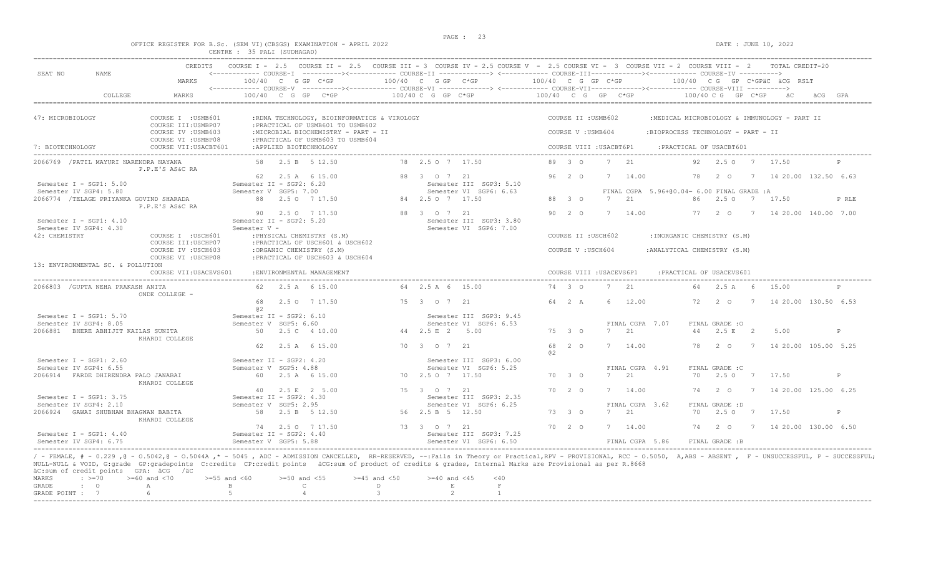|                                                                     | PAGE : |                      |
|---------------------------------------------------------------------|--------|----------------------|
| OFFICE REGISTER FOR B.Sc. (SEM VI) (CBSGS) EXAMINATION - APRIL 2022 |        | DATE : JUNE 10, 2022 |
| CENTRE : 35 PALI (SUDHAGAD)                                         |        |                      |

| SEAT NO<br>NAME.                                                                     | <b>CREDITS</b>                                                                                                               | <------------ COURSE-T ----------><----------- COURSE-TT -------------> <------------ COURSE-TTT----------><---------> COURSE-TV ----------> |                                          | COURSE I - 2.5 COURSE II - 2.5 COURSE III - 3 COURSE IV - 2.5 COURSE V - 2.5 COURSE VI - 3 COURSE VII - 2 COURSE VIII - 2 TOTAL CREDIT-20 |
|--------------------------------------------------------------------------------------|------------------------------------------------------------------------------------------------------------------------------|----------------------------------------------------------------------------------------------------------------------------------------------|------------------------------------------|-------------------------------------------------------------------------------------------------------------------------------------------|
|                                                                                      | MARKS                                                                                                                        |                                                                                                                                              |                                          | 100/40 C G GP C*GP $\sim$ 100/40 C G GP C*GP $\sim$ 100/40 C G GP C*GP $\sim$ 100/40 C G GP C*GPäC äCG RSLT                               |
| COLLEGE                                                                              | MARKS<br>$100/40$ C G GP C*GP                                                                                                | $100/40$ C G GP C*GP $100/40$ C G GP C*GP                                                                                                    |                                          | $100/40$ C G GP C*GP aC                                                                                                                   |
| 47: MICROBIOLOGY                                                                     | COURSE I : USMB601<br>:RDNA TECHNOLOGY, BIOINFORMATICS & VIROLOGY<br>COURSE III: USMBP07<br>:PRACTICAL OF USMB601 TO USMB602 |                                                                                                                                              | COURSE II : USMB602                      | :MEDICAL MICROBIOLOGY & IMMUNOLOGY - PART II                                                                                              |
|                                                                                      | COURSE IV : USMB603<br>:MICROBIAL BIOCHEMISTRY - PART - II<br>COURSE VI : USMBP08<br>: PRACTICAL OF USMB603 TO USMB604       |                                                                                                                                              | COURSE V: USMB604                        | :BIOPROCESS TECHNOLOGY - PART - II                                                                                                        |
| 7: BIOTECHNOLOGY                                                                     | COURSE VII: USACBT601<br>:APPLIED BIOTECHNOLOGY                                                                              |                                                                                                                                              | COURSE VIII : USACBT6P1                  | : PRACTICAL OF USACBT601                                                                                                                  |
| 2066769 / PATIL MAYURI NARENDRA NAYANA<br>P.P.E'S AS&C RA                            | 58 2.5 B 5 12.50                                                                                                             | 78 2.5 0 7 17.50                                                                                                                             | 89 3 0<br>7 21                           | 92 2.5 0 7 17.50                                                                                                                          |
| Semester I - SGP1: 5.00                                                              | 62  2.5 A  6  15.00<br>Semester II - SGP2: 6.20                                                                              | 88 3 0 7 21<br>Semester III SGP3: 5.10                                                                                                       | 96 2 0<br>7 14.00                        | 7 14 20.00 132.50 6.63<br>78<br>$2^{\circ}$                                                                                               |
| Semester IV SGP4: 5.80<br>2066774 /TELAGE PRIYANKA GOVIND SHARADA<br>P.P.E'S AS&C RA | Semester V SGP5: 7.00<br>88 2.5 0 7 17.50                                                                                    | Semester VI SGP6: 6.63<br>84 2.5 0 7 17.50                                                                                                   | 88 3 0<br>21<br>7                        | FINAL CGPA 5.96+00.04= 6.00 FINAL GRADE: A<br>86 2.5 0<br>7 17.50<br>P RLE                                                                |
| Semester I - SGP1: 4.10<br>Semester IV SGP4: 4.30                                    | 90 2.5 0 7 17.50<br>Semester II - SGP2: 5.20<br>Semester V -                                                                 | 88 3 0 7 21<br>Semester III SGP3: 3.80<br>Semester VI SGP6: 7.00                                                                             | 90 2 0<br>7 14.00                        | 77 2 0 7 14 20.00 140.00 7.00                                                                                                             |
| 42: CHEMISTRY                                                                        | COURSE I : USCH601<br>: PHYSICAL CHEMISTRY (S.M)<br>COURSE III:USCHP07<br>: PRACTICAL OF USCH601 & USCH602                   |                                                                                                                                              | COURSE II : USCH602                      | : INORGANIC CHEMISTRY (S.M)                                                                                                               |
|                                                                                      | COURSE IV : USCH603<br>:ORGANIC CHEMISTRY (S.M)<br>COURSE VI : USCHP08<br>: PRACTICAL OF USCH603 & USCH604                   |                                                                                                                                              | COURSE V: USCH604                        | : ANALYTICAL CHEMISTRY (S.M)                                                                                                              |
| 13: ENVIRONMENTAL SC. & POLLUTION                                                    | COURSE VII: USACEVS601<br>: ENVIRONMENTAL MANAGEMENT                                                                         |                                                                                                                                              | COURSE VIII : USACEVS6P1                 | : PRACTICAL OF USACEVS601                                                                                                                 |
| 2066803 / GUPTA NEHA PRAKASH ANITA<br>ONDE COLLEGE -                                 | 62 2.5 A 6 15.00                                                                                                             | 64 2.5 A 6 15.00                                                                                                                             | 74 3 0<br>7 21                           | 64 2.5 A 6 15.00<br>P                                                                                                                     |
|                                                                                      | 68 2.5 0 7 17.50<br>0.2                                                                                                      | 75 3 0 7 21                                                                                                                                  | 64 2 A<br>6 12.00                        | 72   2   0   7   14   20.00   130.50   6.53                                                                                               |
| Semester I - SGP1: $5.70$<br>Semester IV SGP4: 8.05                                  | Semester II - SGP2: 6.10<br>Semester V SGP5: 6.60                                                                            | Semester III SGP3: 9.45<br>Semester VI SGP6: 6.53                                                                                            | FINAL CGPA 7.07                          | FINAL GRADE : O                                                                                                                           |
| 2066881 BHERE ABHIJIT KAILAS SUNITA<br>KHARDI COLLEGE                                | 50 2.5 C 4 10.00                                                                                                             | 44 2.5 E 2 5.00                                                                                                                              | 21<br>75 3 0<br>7                        | 44 2.5 E 2<br>5.00<br>P                                                                                                                   |
|                                                                                      | 62.<br>2.5 A 6 15.00                                                                                                         | 70 3 0 7 21                                                                                                                                  | 68 2 0<br>7 14.00<br>0.2                 | $2\degree$<br>14 20.00 105.00 5.25<br>78<br>$7\phantom{0}$                                                                                |
| Semester I - SGP1: $2.60$<br>Semester IV SGP4: 6.55                                  | Semester II - SGP2: 4.20<br>Semester V SGP5: 4.88                                                                            | Semester III SGP3: 6.00<br>Semester VI SGP6: 5.25                                                                                            | FINAL CGPA 4.91                          | FINAL GRADE : C                                                                                                                           |
| 2066914 FARDE DHIRENDRA PALO JANABAI<br>KHARDI COLLEGE                               | 60 2.5 A 6 15.00                                                                                                             | 70 2.5 0 7 17.50                                                                                                                             | 7 21<br>70 3 0                           | 2.5 0 7 17.50<br>70<br>P                                                                                                                  |
| Semester $I - SGP1: 3.75$                                                            | 40 2.5 E 2 5.00<br>Semester II - SGP2: 4.30                                                                                  | 75 3 0 7 21<br>Semester III SGP3: 2.35                                                                                                       | 70 2 0<br>7 14.00                        | 74   2   0   7  14  20.00  125.00  6.25                                                                                                   |
| Semester IV SGP4: 2.10<br>2066924 GAWAI SHUBHAM BHAGWAN BABITA<br>KHARDI COLLEGE     | Semester V SGP5: 2.95<br>58 2.5 B 5 12.50                                                                                    | Semester VI SGP6: 6.25<br>56 2.5 B 5 12.50                                                                                                   | FINAL CGPA 3.62<br>73 3 0<br>$7\quad 21$ | FINAL GRADE : D<br>70   2.5   0   7   17.50<br>P                                                                                          |
|                                                                                      | 74 2.5 0 7 17.50                                                                                                             | 73 3 0 7 21                                                                                                                                  | 70 2 0<br>7 14.00                        | 74   2   0   7   14   20.00   130.00   6.50                                                                                               |
| Semester I - SGP1: 4.40<br>Semester IV SGP4: 6.75                                    | Semester II - SGP2: 4.40<br>Semester V SGP5: 5.88                                                                            | Semester III SGP3: 7.25<br>Semester VI SGP6: 6.50                                                                                            |                                          | FINAL CGPA 5.86 FINAL GRADE: B                                                                                                            |

/ - FEMALE, # - 0.229 ,@ - 0.5042,@ - 0.5044A ,\* - 5045 , ADC - ADMISSION CANCELLED, RR-RESERVED, --:Fails in Theory or Practical,RPV - PROVISIONAL, RCC - 0.5050, A,ABS - ABSENT , F - UNSUCCESSFUL, P - SUCCESSFUL; NULL-NULL & VOID, G:grade GP:gradepoints C:credits CP:credit points äCG:sum of product of credits & grades, Internal Marks are Provisional as per R.8668 äC:sum of credit points GPA: äCG /äC

|           |  | ac.sum or creare points officiale yac |                                                                                   |  |  |  |
|-----------|--|---------------------------------------|-----------------------------------------------------------------------------------|--|--|--|
|           |  |                                       | MARKS : >=70 >=60 and <70 >=55 and <60 >=50 and <55 >=45 and <50 >=40 and <45 <40 |  |  |  |
| GRADE : O |  |                                       | A B C D                                                                           |  |  |  |
|           |  |                                       | GRADE POINT : $7$ 6 6 5 5 4 3                                                     |  |  |  |
|           |  |                                       |                                                                                   |  |  |  |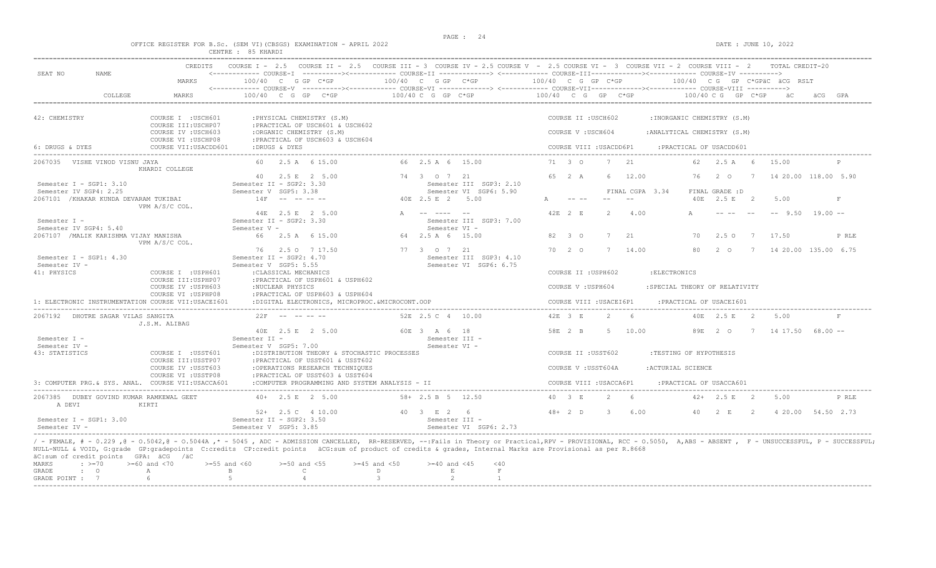OFFICE REGISTER FOR B.Sc. (SEM VI)(CBSGS) EXAMINATION - APRIL 2022 DATE : JUNE 10, 2022

|                                                                  |                                                                           | CENTRE : 85 KHARDI                                                                                                                                                                               |                                                                  |                                                                                                                                                                                                                                                                                                                                                                                                                                                                                |
|------------------------------------------------------------------|---------------------------------------------------------------------------|--------------------------------------------------------------------------------------------------------------------------------------------------------------------------------------------------|------------------------------------------------------------------|--------------------------------------------------------------------------------------------------------------------------------------------------------------------------------------------------------------------------------------------------------------------------------------------------------------------------------------------------------------------------------------------------------------------------------------------------------------------------------|
| SEAT NO<br>NAME                                                  | CREDITS<br>MARKS                                                          | 100/40 C G GP C*GP                                                                                                                                                                               | 100/40 C G GP C*GP                                               | COURSE I - 2.5 COURSE II - 2.5 COURSE III - 3 COURSE IV - 2.5 COURSE V - 2.5 COURSE VI - 3 COURSE VII - 2 COURSE VIII - 2<br>TOTAL CREDIT-20<br><------------ COURSE-T ----------><----------- COURSE-TT -------------> <------------ COURSE-TTT----------><--------><--------- COURSE-TV ----------><br>100/40 C G GP C*GP<br>100/40 CG GP C*GPäC äCG                                                                                                                         |
| COLLEGE                                                          | MARKS                                                                     | $100/40$ C G GP C*GP                                                                                                                                                                             | $100/40 C$ G GP $C*GP$                                           | $100/40$ C G GP C*GP<br>$100/40 \, C \, G$ GP $C*GP$<br>ÄCG.<br>GPA                                                                                                                                                                                                                                                                                                                                                                                                            |
|                                                                  |                                                                           |                                                                                                                                                                                                  |                                                                  |                                                                                                                                                                                                                                                                                                                                                                                                                                                                                |
| 42: CHEMISTRY                                                    | COURSE I : USCH601<br>COURSE III: USCHP07<br>COURSE IV : USCH603          | : PHYSICAL CHEMISTRY (S.M)<br>: PRACTICAL OF USCH601 & USCH602<br>:ORGANIC CHEMISTRY (S.M)                                                                                                       |                                                                  | COURSE II : USCH602<br>: INORGANIC CHEMISTRY (S.M)<br>COURSE V : USCH604<br>: ANALYTICAL CHEMISTRY (S.M)                                                                                                                                                                                                                                                                                                                                                                       |
| 6: DRUGS & DYES                                                  | COURSE VI : USCHP08<br>COURSE VII: USACDD601                              | : PRACTICAL OF USCH603 & USCH604<br>:DRUGS & DYES                                                                                                                                                |                                                                  | COURSE VIII : USACDD6P1<br>: PRACTICAL OF USACDD601                                                                                                                                                                                                                                                                                                                                                                                                                            |
| 2067035 VISHE VINOD VISNU JAYA                                   | KHARDI COLLEGE                                                            | 60 2.5 A 6 15.00                                                                                                                                                                                 | 66 2.5 A 6 15.00                                                 | 71 3 0<br>21<br>7<br>62<br>2.5 A 6<br>15.00                                                                                                                                                                                                                                                                                                                                                                                                                                    |
| Semester I - SGP1: 3.10                                          |                                                                           | 40 2.5 E 2 5.00<br>Semester II - SGP2: 3.30                                                                                                                                                      | 74 3 0 7 21<br>Semester III SGP3: 2.10                           | 65 2 A<br>12.00<br>14 20.00 118.00 5.90<br>6<br>76<br>2 0<br>$7\phantom{0}$                                                                                                                                                                                                                                                                                                                                                                                                    |
| Semester IV SGP4: 2.25<br>2067101 / KHAKAR KUNDA DEVARAM TUKIBAI | VPM A/S/C COL.                                                            | Semester V SGP5: 3.38<br>$14F$ -- -- -- --                                                                                                                                                       | Semester VI SGP6: 5.90<br>40E 2.5 E 2 5.00                       | FINAL GRADE : D<br>FINAL CGPA 3.34<br>40E 2.5 E<br>$\overline{2}$<br>5.00<br>F<br>$\frac{1}{2} \frac{1}{2} \frac{1}{2} \frac{1}{2} \frac{1}{2} \frac{1}{2} \frac{1}{2} \frac{1}{2} \frac{1}{2} \frac{1}{2} \frac{1}{2} \frac{1}{2} \frac{1}{2} \frac{1}{2} \frac{1}{2} \frac{1}{2} \frac{1}{2} \frac{1}{2} \frac{1}{2} \frac{1}{2} \frac{1}{2} \frac{1}{2} \frac{1}{2} \frac{1}{2} \frac{1}{2} \frac{1}{2} \frac{1}{2} \frac{1}{2} \frac{1}{2} \frac{1}{2} \frac{1}{2} \frac{$ |
| Semester I -                                                     |                                                                           | 44E 2.5 E 2 5.00<br>Semester II - SGP2: 3.30                                                                                                                                                     | A -- ---- --<br>Semester III SGP3: 7.00                          | 42E 2 E<br>$2^{1}$<br>$--$ 9.50 19.00 $--$<br>4.00                                                                                                                                                                                                                                                                                                                                                                                                                             |
| Semester IV SGP4: 5.40<br>2067107 / MALIK KARISHMA VIJAY MANISHA | VPM A/S/C COL.                                                            | Semester V -<br>66 2.5 A 6 15.00                                                                                                                                                                 | Semester VI -<br>64 2.5 A 6 15.00                                | 82 3 0<br>$7^{\circ}$<br>2.1<br>$2.5^\circ$<br>17.50<br>70<br>$\overline{7}$<br>P RLE                                                                                                                                                                                                                                                                                                                                                                                          |
| Semester I - SGP1: 4.30<br>Semester IV -                         |                                                                           | 76 2.5 0 7 17.50<br>Semester II - SGP2: 4.70<br>Semester V SGP5: 5.55                                                                                                                            | 77 3 0 7 21<br>Semester III SGP3: 4.10<br>Semester VI SGP6: 6.75 | 70 2 0<br>7<br>14.00<br>80<br>7 14 20.00 135.00 6.75<br>2 0                                                                                                                                                                                                                                                                                                                                                                                                                    |
| 41: PHYSICS                                                      | COURSE I : USPH601<br>COURSE III: USPHP07<br>COURSE IV : USPH603          | : CLASSICAL MECHANICS<br>: PRACTICAL OF USPH601 & USPH602<br>:NUCLEAR PHYSICS                                                                                                                    |                                                                  | COURSE II : USPH602<br>: ELECTRONICS<br>COURSE V : USPH604<br>:SPECIAL THEORY OF RELATIVITY                                                                                                                                                                                                                                                                                                                                                                                    |
|                                                                  | COURSE VI : USPHP08<br>1: ELECTRONIC INSTRUMENTATION COURSE VII:USACEI601 | :PRACTICAL OF USPH603 & USPH604<br>:DIGITAL ELECTRONICS, MICROPROC.&MICROCONT.OOP                                                                                                                |                                                                  | COURSE VIII : USACEI6P1<br>:PRACTICAL OF USACEI601                                                                                                                                                                                                                                                                                                                                                                                                                             |
| DHOTRE SAGAR VILAS SANGITA<br>2067192                            | J.S.M. ALIBAG                                                             | $22F$ -- -- -- --                                                                                                                                                                                | 52E 2.5 C 4 10.00                                                | 42E 3 E<br>2<br>6<br>40E 2.5 E<br>$\sim$ 2<br>5.00<br>$_{\rm F}$                                                                                                                                                                                                                                                                                                                                                                                                               |
| Semester I -                                                     |                                                                           | 40E 2.5 E 2 5.00<br>Semester II -                                                                                                                                                                | 60E 3 A 6 18<br>Semester III -                                   | 58E 2 B<br>5 10.00<br>89E 2 0<br>7 14 17 50 68 00 --                                                                                                                                                                                                                                                                                                                                                                                                                           |
| Semester IV -<br>43: STATISTICS                                  | COURSE I : USST601<br>COURSE III: USSTP07                                 | Semester V SGP5: 7.00<br>:DISTRIBUTION THEORY & STOCHASTIC PROCESSES<br>: PRACTICAL OF USST601 & USST602                                                                                         | Semester VI -                                                    | COURSE II : USST602<br>:TESTING OF HYPOTHESIS                                                                                                                                                                                                                                                                                                                                                                                                                                  |
|                                                                  | COURSE IV : USST603<br>COURSE VI : USSTP08                                | :OPERATIONS RESEARCH TECHNIQUES<br>: PRACTICAL OF USST603 & USST604                                                                                                                              |                                                                  | COURSE V: USST604A<br>:ACTURIAL SCIENCE                                                                                                                                                                                                                                                                                                                                                                                                                                        |
|                                                                  | 3: COMPUTER PRG.& SYS. ANAL. COURSE VII:USACCA601                         | :COMPUTER PROGRAMMING AND SYSTEM ANALYSIS - II                                                                                                                                                   |                                                                  | COURSE VIII : USACCA6P1<br>: PRACTICAL OF USACCA601                                                                                                                                                                                                                                                                                                                                                                                                                            |
| 2067385 DUBEY GOVIND KUMAR RAMKEWAL GEET<br>A DEVI               | KIRTI                                                                     | $40+$ 2.5 E 2 5.00                                                                                                                                                                               | $58 + 2.5 B 5 12.50$                                             | 40 3 E<br>$2^{1}$<br>$42+$ 2.5 E 2<br>5.00<br>P RLE                                                                                                                                                                                                                                                                                                                                                                                                                            |
| Semester I - SGP1: 3.00<br>Semester TV -                         |                                                                           | $52+$ 2.5 C 4 10.00<br>Semester II - SGP2: 3.50<br>Semester V SGP5: 3.85                                                                                                                         | 40 3 E 2 6<br>Semester III -<br>Semester VI SGP6: 2.73           | $48+2$ D<br>6.00<br>4 20.00 54.50 2.73<br>-3-<br>40<br>2 E<br>$\overline{2}$                                                                                                                                                                                                                                                                                                                                                                                                   |
| äC:sum of credit points GPA: äCG /äC<br>MARKS                    | $\div$ >=70 >=60 and <70                                                  | NULL-NULL & VOID, G:grade GP:gradepoints C:credits CP:credit points äCG:sum of product of credits & grades, Internal Marks are Provisional as per R.8668<br>$>=50$ and $<55$<br>$>=55$ and $<60$ | $>=45$ and $<50$<br>$>= 40$ and $< 45$<br>< 40                   | / - FEMALE, # - 0.229, @ - 0.5042, @ - 0.5044A, * - 5045, ADC - ADMISSION CANCELLED, RR-RESERVED, --:Fails in Theory or Practical,RPV - PROVISIONAL, RCC - 0.5050, A,ABS - ABSENT, F - UNSUCCESSFUL, P - SUCCESSFUL,                                                                                                                                                                                                                                                           |

MARKS : >=70 >=60 and <70 >=55 and <60 >=50 and <55 >=45 and <50 >=40 and <45 <40<br>
GRADE : O A B C D E F<br>
GRADE POINT : 7 6 5 4 3 2 1 -----------------------------------------------------------------------------------------------------------------------------------------------------------------------------------------------------------------------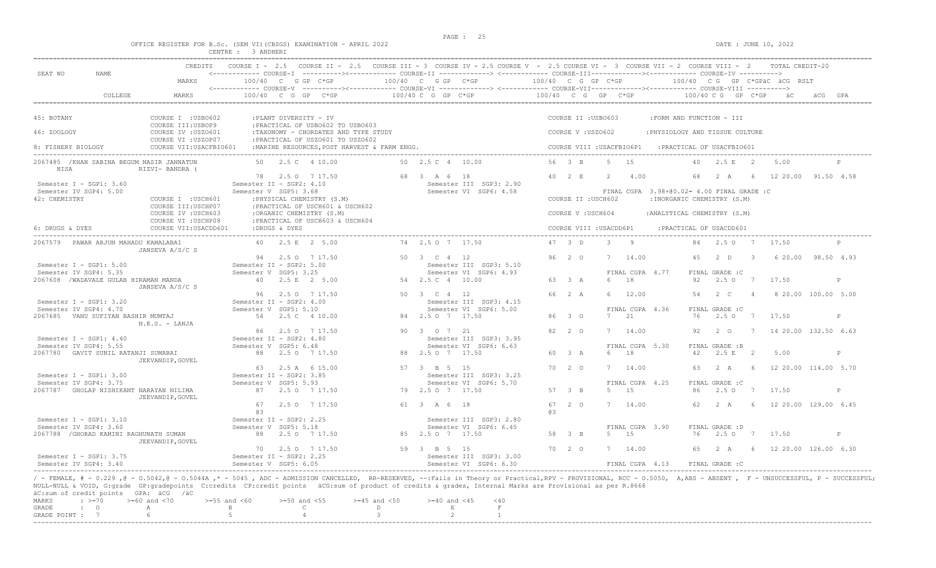|                                                                     | PAGE : |                      |
|---------------------------------------------------------------------|--------|----------------------|
| OFFICE REGISTER FOR B.Sc. (SEM VI) (CBSGS) EXAMINATION - APRIL 2022 |        | DATE : JUNE 10, 2022 |
| CENTRE : 3 ANDHERI                                                  |        |                      |

|                                                                                         | <b>CREDITS</b>                               |                                                                           | COURSE I - 2.5 COURSE II - 2.5 COURSE III - 3 COURSE IV - 2.5 COURSE V - 2.5 COURSE VI - 3 COURSE VII - 2 COURSE VIII - 2                        |                            |                                                   |                    |                           |              |                            |                                                                           |     |                                |                           | TOTAL CREDIT-20              |              |
|-----------------------------------------------------------------------------------------|----------------------------------------------|---------------------------------------------------------------------------|--------------------------------------------------------------------------------------------------------------------------------------------------|----------------------------|---------------------------------------------------|--------------------|---------------------------|--------------|----------------------------|---------------------------------------------------------------------------|-----|--------------------------------|---------------------------|------------------------------|--------------|
| SEAT NO<br>NAME                                                                         | MARKS                                        | 100/40 C G GP C*GP                                                        | <------------ COURSE-I ----------><----------- COURSE-II -------------> <------------ COURSE-III-----------><------------ COURSE-IV ---------->> | 100/40 C G GP C*GP         |                                                   | 100/40 C G GP C*GP |                           |              |                            |                                                                           |     |                                |                           | 100/40 CG GP C*GPÄC ÄCG RSLT |              |
| COLLEGE                                                                                 | MARKS                                        | $100/40$ C G GP C*GP                                                      |                                                                                                                                                  | $100/40 C G$ PC $\star$ GP | 100/40 C G GP $C*GP$ 100/40 C G GP $C*GP$         |                    |                           |              |                            |                                                                           |     |                                |                           |                              |              |
|                                                                                         |                                              |                                                                           |                                                                                                                                                  |                            |                                                   |                    |                           |              |                            |                                                                           |     |                                |                           |                              |              |
| 45: BOTANY                                                                              | COURSE I : USBO602<br>COURSE III: USBOP9     | :PLANT DIVERSITY - IV                                                     | : PRACTICAL OF USB0602 TO USB0603                                                                                                                |                            |                                                   |                    | COURSE II : USBO603       |              |                            | : FORM AND FUNCTION - III                                                 |     |                                |                           |                              |              |
| 46: ZOOLOGY                                                                             | COURSE IV : USZO601<br>COURSE VI : USZOP07   |                                                                           | :TAXONOMY - CHORDATES AND TYPE STUDY<br>: PRACTICAL OF USZO601 TO USZO602                                                                        |                            |                                                   |                    | COURSE V: USZ0602         |              |                            | : PHYSIOLOGY AND TISSUE CULTURE                                           |     |                                |                           |                              |              |
| 8: FISHERY BIOLOGY                                                                      | COURSE VII: USACFBIO601                      |                                                                           | : MARINE RESOURCES, POST HARVEST & FARM ENGG.                                                                                                    |                            |                                                   |                    | COURSE VIII : USACFBIO6P1 |              |                            | : PRACTICAL OF USACFBIO601                                                |     |                                |                           |                              |              |
| 2067485 / KHAN SABINA BEGUM NASIR JANNATUN                                              |                                              | 50   2.5   4   10.00                                                      |                                                                                                                                                  | 50  2.5  C  4  10.00       |                                                   |                    | 56 3 B                    | 5 15         |                            |                                                                           |     | 40 2.5 E 2                     |                           | 5.00                         | $\mathsf{P}$ |
| NISA                                                                                    | RIZVI- BANDRA (                              | 78 2.5 0 7 17.50                                                          |                                                                                                                                                  | 68 3 A 6 18                |                                                   |                    | 40 2 E                    | $2^{1}$      | 4.00                       |                                                                           | 68  | 2 A                            | -6                        | 12 20.00 91.50 4.58          |              |
| Semester I - SGP1: 3.60<br>Semester IV SGP4: 5.00<br>42: CHEMISTRY                      | COURSE I :USCH601                            | Semester II - SGP2: 4.10<br>Semester V SGP5: 3.68                         | : PHYSICAL CHEMISTRY (S.M)                                                                                                                       |                            | Semester III SGP3: 2.90<br>Semester VI SGP6: 4.58 |                    | COURSE II : USCH602       |              |                            | FINAL CGPA 3.98+00.02= 4.00 FINAL GRADE :C<br>: INORGANIC CHEMISTRY (S.M) |     |                                |                           |                              |              |
|                                                                                         | COURSE III:USCHP07<br>COURSE IV : USCH603    | :ORGANIC CHEMISTRY (S.M)                                                  | : PRACTICAL OF USCH601 & USCH602                                                                                                                 |                            |                                                   |                    | COURSE V: USCH604         |              |                            | : ANALYTICAL CHEMISTRY (S.M)                                              |     |                                |                           |                              |              |
| 6: DRUGS & DYES                                                                         | COURSE VI : USCHP08<br>COURSE VII: USACDD601 | :DRUGS & DYES                                                             | : PRACTICAL OF USCH603 & USCH604                                                                                                                 |                            |                                                   |                    | COURSE VIII : USACDD6P1   |              |                            | : PRACTICAL OF USACDD601                                                  |     |                                |                           |                              |              |
| 2067579 PAWAR ARJUN MAHADU KAMALABAI                                                    | JANSEVA A/S/C S                              | 40 2.5 E 2 5.00                                                           |                                                                                                                                                  | 74 2.5 0 7 17.50           |                                                   |                    | 47 3 D                    | $3 \qquad 9$ |                            |                                                                           |     | 84  2.5  0  7  17.50           |                           |                              | P            |
| Semester I - SGP1: 5.00                                                                 |                                              | 94 2.5 0 7 17.50<br>Semester II - SGP2: 5.00                              |                                                                                                                                                  | 50 3 C 4 12                | Semester III SGP3: 5.10                           |                    | $96 \quad 2 \quad 0$      |              | 7 14.00                    |                                                                           | 4.5 | ת 2                            | $\overline{\phantom{a}3}$ | 6 20 00 98 50 4 93           |              |
| Semester IV SGP4: 5.35<br>2067608 /WADAVALE GULAB HIRAMAN MANDA                         |                                              | Semester V SGP5: 3.25<br>40 2.5 E 2 5.00                                  |                                                                                                                                                  | 54 2.5 C 4 10.00           | Semester VI SGP6: 4.93                            |                    | 63 3 A                    | 6            | FINAL CGPA 4.77<br>18      |                                                                           | 92  | FINAL GRADE : C<br>2.50 7      |                           | 17.50                        | P            |
|                                                                                         | JANSEVA A/S/C S                              | 96 2.5 0 7 17.50                                                          |                                                                                                                                                  | 50 3 C 4 12                |                                                   |                    | 66 2 A                    |              | 6 12.00                    |                                                                           | 54  | 2 C                            | $\overline{4}$            | 8 20.00 100.00 5.00          |              |
| Semester I - SGP1: 3.20<br>Semester IV SGP4: 4.70<br>2067685 VANU SUFIYAN BASHIR MUMTAJ |                                              | Semester II - SGP2: 4.00<br>Semester V SGP5: 5.10<br>54  2.5  C  4  10.00 |                                                                                                                                                  | 84 2.5 0 7 17.50           | Semester III SGP3: 4.15<br>Semester VI SGP6: 5.00 |                    | 86 3 0                    | 7            | FINAL CGPA 4.36<br>21      |                                                                           | 76  | FINAL GRADE : C<br>$2.5^\circ$ | $7\phantom{0}$            | 17.50                        | P            |
|                                                                                         | $N.E.S. - LANJA$                             | 86                                                                        | 2.5 0 7 17.50                                                                                                                                    | 90 3 0 7 21                |                                                   |                    | 82 2 0                    |              | 7 14.00                    |                                                                           | 92  | $2\degree$ 0                   | $\overline{7}$            | 14 20.00 132.50 6.63         |              |
| Semester I - SGP1: $4.40$<br>Semester IV SGP4: 5.55                                     |                                              | Semester II - SGP2: 4.80<br>Semester V SGP5: 6.48                         |                                                                                                                                                  |                            | Semester III SGP3: 3.95<br>Semester VI SGP6: 6.63 |                    |                           |              | FINAL CGPA 5.30            |                                                                           |     | FINAL GRADE :B                 |                           |                              |              |
| 2067780 GAVIT SUNIL RATANJI SUMABAI                                                     | JEEVANDIP, GOVEL                             | 88 2.5 0 7 17.50                                                          |                                                                                                                                                  | 88 2.5 0 7 17.50           |                                                   |                    | 60 3 A                    |              | 6 18                       |                                                                           | 42  | $2.5 E$ 2                      |                           | 5.00                         | P            |
| Semester I - SGP1: 3.00<br>Semester IV SGP4: 3.75                                       |                                              | 63<br>Semester II - SGP2: 3.85<br>Semester V SGP5: 5.93                   | 2.5 A 6 15.00                                                                                                                                    | 57 3 B 5 15                | Semester III SGP3: 3.25<br>Semester VI SGP6: 5.70 |                    | 70 2 0                    |              | 7 14.00<br>FINAL CGPA 4.25 |                                                                           | 63  | 2 A<br>FINAL GRADE : C         | - 6                       | 12 20.00 114.00 5.70         |              |
| 2067787 GHOLAP NISHIKANT NARAYAN NILIMA                                                 | JEEVANDIP, GOVEL                             | 87 2.5 0 7 17.50                                                          |                                                                                                                                                  | 79 2.5 0 7 17.50           |                                                   |                    | 57 3 B                    |              | 5 15                       |                                                                           | 86  | 2.50 7                         |                           | 17.50                        | P            |
|                                                                                         |                                              | 67<br>63                                                                  | 2.50 7 17.50                                                                                                                                     | 61 3 A 6 18                |                                                   | 63                 | 67 2 0                    |              | 7 14.00                    |                                                                           | 62. | 2 A                            | - 6                       | 12 20.00 129.00 6.45         |              |
| Semester $I - SGP1: 3.10$<br>Semester IV SGP4: 3.60                                     |                                              | Semester II - SGP2: 2.25<br>Semester V SGP5: 5.18                         |                                                                                                                                                  |                            | Semester III SGP3: 2.80<br>Semester VI SGP6: 6.45 |                    |                           |              | FINAL CGPA 3.90            |                                                                           |     | FINAL GRADE : D                |                           |                              |              |
| 2067788 / GHORAD KAMINI RAGHUNATH SUMAN                                                 | JEEVANDIP, GOVEL                             | 88 2.5 0 7 17.50                                                          |                                                                                                                                                  | 85 2.5 0 7 17.50           |                                                   |                    | 58 3 B                    |              | 5 15                       |                                                                           | 76  | 2.5 0 7 17.50                  |                           |                              | P            |
| Semester I - SGP1: $3.75$                                                               |                                              | 70 2.5 0 7 17.50<br>Semester II - SGP2: 2.25                              |                                                                                                                                                  | 59 3 B 5 15                | Semester III SGP3: 3.00                           |                    | 70 2 0                    |              | 7 14.00                    |                                                                           | 65  | 2 A                            | 6 <sup>6</sup>            | 12 20.00 126.00 6.30         |              |
| Semester IV SGP4: 3.40                                                                  |                                              | Semester V SGP5: 6.05                                                     |                                                                                                                                                  |                            | Semester VI SGP6: 6.30                            |                    |                           |              | FINAL CGPA 4.13            |                                                                           |     | FINAL GRADE : C                |                           |                              |              |

/ - FEMALE, # - 0.229 ,@ - 0.5042,@ - 0.5044A ,\* - 5045 , ADC - ADMISSION CANCELLED, RR-RESERVED, --:Fails in Theory or Practical,RPV - PROVISIONAL, RCC - 0.5050, A,ABS - ABSENT , F - UNSUCCESSFUL, P - SUCCESSFUL; NULL-NULL & VOID, G:grade GP:gradepoints C:credits CP:credit points äCG:sum of product of credits & grades, Internal Marks are Provisional as per R.8668 äC:sum of credit points GPA: äCG /äC

|  |  | MARKS : $>=70$ $>=60$ and <70 $>=55$ and <60 $>=50$ and <55 $>=45$ and <50 $>=40$ and <45 <40 |  |  |  |  |
|--|--|-----------------------------------------------------------------------------------------------|--|--|--|--|
|  |  | GRADE : O A B C D                                                                             |  |  |  |  |
|  |  | GRADE POINT : $7$ 6 5 5 4 3 3 2 2                                                             |  |  |  |  |
|  |  |                                                                                               |  |  |  |  |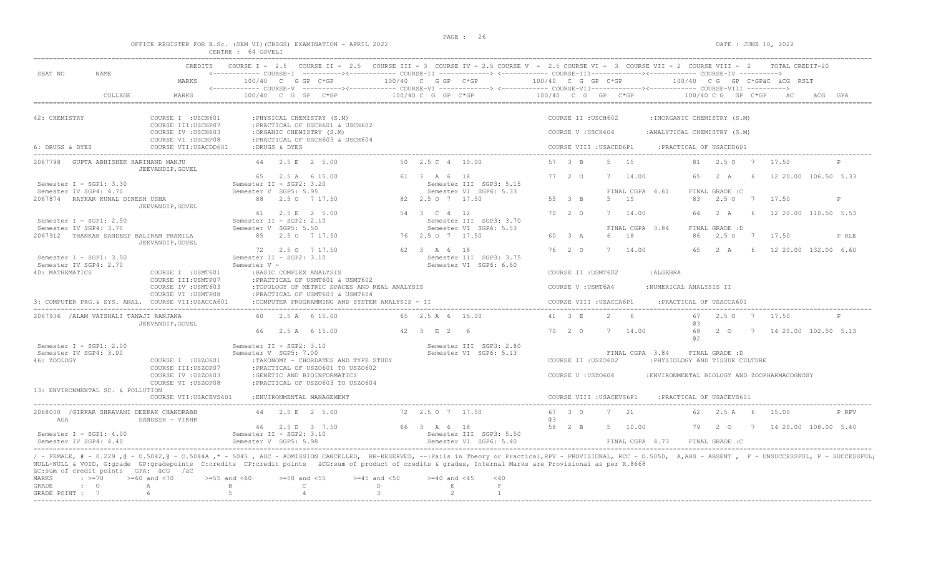|                                                                    |             | OFFICE REGISTER FOR B.Sc. (SEM VI) (CBSGS) EXAMINATION - APRIL 2022                                                                                                                                                                                                                                                                                                               | CENTRE : 64 GOVELI                                |                                                                                                            |                        |                                                   |    |                      |                          |                |                                           |                                |                                |   | DATE : JUNE 10, 2022                        |       |
|--------------------------------------------------------------------|-------------|-----------------------------------------------------------------------------------------------------------------------------------------------------------------------------------------------------------------------------------------------------------------------------------------------------------------------------------------------------------------------------------|---------------------------------------------------|------------------------------------------------------------------------------------------------------------|------------------------|---------------------------------------------------|----|----------------------|--------------------------|----------------|-------------------------------------------|--------------------------------|--------------------------------|---|---------------------------------------------|-------|
| SEAT NO                                                            | <b>NAME</b> | CREDITS<br>MARKS                                                                                                                                                                                                                                                                                                                                                                  | COURSE $T = 2.5$<br>$100/40$ C G GP C*GP          | COURSE II - 2.5 COURSE III - 3 COURSE IV - 2.5 COURSE V - 2.5 COURSE VI - 3 COURSE VII - 2 COURSE VIII - 2 | 100/40 C G GP C*GP     | 100/40 C G GP C*GP                                |    |                      |                          |                | 100/40 CG GP C*GPäC äCG RSLT              |                                |                                |   |                                             |       |
|                                                                    |             |                                                                                                                                                                                                                                                                                                                                                                                   |                                                   |                                                                                                            |                        |                                                   |    |                      |                          |                |                                           |                                |                                |   |                                             |       |
|                                                                    | COLLEGE     | MARKS                                                                                                                                                                                                                                                                                                                                                                             |                                                   | $100/40$ C G GP C*GP                                                                                       | $100/40 C G$ GP $C*GP$ |                                                   |    |                      |                          |                | $100/40$ C G GP C*GP $100/40$ C G GP C*GP |                                |                                |   |                                             |       |
| 42: CHEMISTRY                                                      |             | COURSE I : USCH601<br>COURSE III: USCHP07                                                                                                                                                                                                                                                                                                                                         |                                                   | : PHYSICAL CHEMISTRY (S.M)<br>: PRACTICAL OF USCH601 & USCH602                                             |                        |                                                   |    |                      | COURSE II : USCH602      |                |                                           | : INORGANIC CHEMISTRY (S.M)    |                                |   |                                             |       |
|                                                                    |             | COURSE IV : USCH603<br>COURSE VI : USCHP08                                                                                                                                                                                                                                                                                                                                        |                                                   | :ORGANIC CHEMISTRY (S.M)<br>: PRACTICAL OF USCH603 & USCH604                                               |                        |                                                   |    |                      | COURSE V: USCH604        |                |                                           | : ANALYTICAL CHEMISTRY (S.M)   |                                |   |                                             |       |
| 6: DRUGS & DYES                                                    |             | COURSE VII: USACDD601                                                                                                                                                                                                                                                                                                                                                             | :DRUGS & DYES                                     |                                                                                                            |                        |                                                   |    |                      | COURSE VIII : USACDD6P1  |                |                                           | : PRACTICAL OF USACDD601       |                                |   |                                             |       |
| 2067798 GUPTA ABHISHEK HARINAND MANJU                              |             | JEEVANDIP, GOVEL                                                                                                                                                                                                                                                                                                                                                                  |                                                   | 44 2.5 E 2 5.00                                                                                            | 50 2.5 C 4 10.00       |                                                   |    | 57 3 B               |                          | 5 15           |                                           | 81                             | 2.5 0 7 17.50                  |   |                                             |       |
| Semester I - SGP1: 3.30                                            |             |                                                                                                                                                                                                                                                                                                                                                                                   | Semester II - SGP2: 3.20                          | 65 2.5 A 6 15.00                                                                                           | 61 3 A 6 18            | Semester III SGP3: 5.15                           |    | $77 \quad 2 \quad 0$ |                          | 7              | 14.00                                     | 65                             | 2A                             |   | 6 12 20.00 106.50 5.33                      |       |
| Semester IV SGP4: 4.70<br>2067874 RAYKAR KUNAL DINESH USHA         |             |                                                                                                                                                                                                                                                                                                                                                                                   | Semester V SGP5: 5.95                             | 88 2.50 7 17.50                                                                                            | 82  2.5  0  7  17.50   | Semester VI SGP6: 5.33                            |    | 55 3 B               |                          | 5 15           | FINAL CGPA 4.61                           | 83                             | FINAL GRADE : C                |   | 2.5 0 7 17.50                               | P     |
| Semester I - SGP1: $2.50$                                          |             | JEEVANDIP, GOVEL                                                                                                                                                                                                                                                                                                                                                                  | Semester II - SGP2: 2.10                          | 41 2.5 E 2 5.00                                                                                            | 54 3 C 4 12            | Semester III SGP3: 3.70                           |    | $70 \quad 2 \quad 0$ |                          | 7 14.00        |                                           |                                |                                |   | 64  2  A  6  12  20.00  110.50  5.53        |       |
| Semester IV SGP4: 3.70<br>2067912 THANKAR SANDEEP BALIRAM PRAMILA  |             | JEEVANDIP, GOVEL                                                                                                                                                                                                                                                                                                                                                                  | Semester V SGP5: 5.50                             | 85 2.5 0 7 17.50                                                                                           | 76 2.5 0 7 17.50       | Semester VI SGP6: 5.53                            |    | 60 3 A               |                          | 6<br>18        | FINAL CGPA 3.84                           | 86                             | FINAL GRADE : D<br>$2.5^\circ$ |   | 7 17.50                                     | P RLE |
| Semester I - SGP1: $3.50$<br>Semester IV SGP4: 2.70                |             |                                                                                                                                                                                                                                                                                                                                                                                   | Semester II - SGP2: 3.10<br>Semester V -          | 72 2.5 0 7 17.50                                                                                           | 62 3 A 6 18            | Semester III SGP3: 3.75<br>Semester VI SGP6: 6.60 |    | $76 \quad 2 \quad 0$ |                          | 7 14.00        |                                           | 65                             | 2A                             | 6 | 12 20.00 132.00 6.60                        |       |
| 40: MATHEMATICS                                                    |             | COURSE I : USMT601<br>COURSE III: USMTP07                                                                                                                                                                                                                                                                                                                                         |                                                   | :BASIC COMPLEX ANALYSIS<br>: PRACTICAL OF USMT601 & USMT602                                                |                        |                                                   |    |                      | COURSE II : USMT602      |                | : ALGEBRA                                 |                                |                                |   |                                             |       |
|                                                                    |             | COURSE IV : USMT603<br>COURSE VI : USMTP08                                                                                                                                                                                                                                                                                                                                        |                                                   | :TOPOLOGY OF METRIC SPACES AND REAL ANALYSIS<br>: PRACTICAL OF USMT603 & USMT604                           |                        |                                                   |    |                      | COURSE V : USMT6A4       |                |                                           | : NUMERICAL ANALYSIS II        |                                |   |                                             |       |
|                                                                    |             | 3: COMPUTER PRG. & SYS. ANAL. COURSE VII:USACCA601                                                                                                                                                                                                                                                                                                                                |                                                   | :COMPUTER PROGRAMMING AND SYSTEM ANALYSIS - II                                                             |                        |                                                   |    |                      | COURSE VIII : USACCA6P1  |                |                                           | : PRACTICAL OF USACCA601       |                                |   |                                             |       |
| 2067936 /ALAM VAISHALI TANAJI RANJANA                              |             | JEEVANDIP, GOVEL                                                                                                                                                                                                                                                                                                                                                                  |                                                   | 60 2.5 A 6 15.00                                                                                           | 65 2.5 A 6 15.00       |                                                   |    | 41 3 E               |                          | $\overline{2}$ | -6                                        | 67<br>03                       | 2.50 7                         |   | 17.50                                       |       |
|                                                                    |             |                                                                                                                                                                                                                                                                                                                                                                                   |                                                   | 66 2.5 A 6 15.00                                                                                           | 42 3 E 2 6             |                                                   |    | 70 2 0               |                          | 7 14.00        |                                           | 68<br>a2                       | 2 0                            | 7 | 14 20.00 102.50 5.13                        |       |
| Semester $I - SGP1: 2.00$<br>Semester IV SGP4: 3.00<br>46: ZOOLOGY |             | COURSE I : USZO601                                                                                                                                                                                                                                                                                                                                                                | Semester II - SGP2: 3.10<br>Semester V SGP5: 7.00 | :TAXONOMY - CHORDATES AND TYPE STUDY                                                                       |                        | Semester III SGP3: 2.80<br>Semester VI SGP6: 5.13 |    |                      | COURSE II : USZO602      |                | FINAL CGPA 3.84                           | :PHYSIOLOGY AND TISSUE CULTURE | FINAL GRADE : D                |   |                                             |       |
|                                                                    |             | COURSE III:USZOP07<br>COURSE IV : USZO603<br>COURSE VI : USZOP08                                                                                                                                                                                                                                                                                                                  |                                                   | : PRACTICAL OF USZO601 TO USZO602<br>:GENETIC AND BIOINFORMATICS<br>: PRACTICAL OF USZO603 TO USZO604      |                        |                                                   |    |                      | COURSE V: USZ0604        |                |                                           |                                |                                |   | :ENVIRONMENTAL BIOLOGY AND ZOOPHARMACOGNOSY |       |
| 13: ENVIRONMENTAL SC. & POLLUTION                                  |             | COURSE VII: USACEVS601                                                                                                                                                                                                                                                                                                                                                            |                                                   | : ENVIRONMENTAL MANAGEMENT                                                                                 |                        |                                                   |    |                      | COURSE VIII : USACEVS6P1 |                |                                           | : PRACTICAL OF USACEVS601      |                                |   |                                             |       |
| 2068000 / GIRKAR SHRAVANI DEEPAK CHANDRABH<br>AGA                  |             | SANDESH - VIKHR                                                                                                                                                                                                                                                                                                                                                                   |                                                   | 44 2.5 E 2 5.00                                                                                            | 72 2.5 0 7 17.50       |                                                   | 03 | 67 3 0               |                          | 7 21           |                                           | 62.                            | 2.5 A 6                        |   | 15.00                                       | P RPV |
| Semester I - SGP1: $4.00$                                          |             |                                                                                                                                                                                                                                                                                                                                                                                   | Semester II - SGP2: 3.10                          | 46  2.5  D  3  7.50                                                                                        | 66 3 A 6 18            | Semester III SGP3: 5.50                           |    | 58 2 B               |                          | 5 10.00        |                                           | 79                             | 20                             |   | 7 14 20.00 108.00 5.40                      |       |
| Semester IV SGP4: 4.40                                             |             |                                                                                                                                                                                                                                                                                                                                                                                   | Semester V SGP5: 5.98                             |                                                                                                            |                        | Semester VI SGP6: 5.40                            |    |                      |                          |                | FINAL CGPA 4.73                           |                                | FINAL GRADE : C                |   |                                             |       |
|                                                                    |             | / - FEMALE, # - 0.229 ,@ - 0.5042,@ - 0.5044A ,* - 5045 , ADC - ADMISSION CANCELLED, RR-RESERVED, --:Fails in Theory or Practical,RPV - PROVISIONAL, RCC - 0.5050, A,ABS - ABSENT , F - UNSUCCESSFUL, P - SUCCESSFUL;<br>NULL-NULL & VOID, G:grade GP:gradepoints C:credits CP:credit points äCG:sum of product of credits & grades, Internal Marks are Provisional as per R.8668 |                                                   |                                                                                                            |                        |                                                   |    |                      |                          |                |                                           |                                |                                |   |                                             |       |

äC:sum of credit points GPA: äCG /äC  $\begin{array}{lllllllll} \texttt{MARKS} & \texttt{:=}& \texttt{>=}70 & \texttt{>=}60 \text{ and } & \texttt{=70} & \texttt{>=}55 \text{ and } & \texttt{<60} & \texttt{>=}50 \text{ and } & \texttt{=55} & \texttt{>=}45 \text{ and } & \texttt{=50} & \texttt{=40} & \text{and } & \texttt{=45} & \texttt{=40} \\ \texttt{GRADE} & \texttt{:=}& 0 && \texttt{A} && \texttt{B} && \texttt{C} && \texttt{D} && \texttt{E} && \texttt{F} \end{$  $> = 60$  and  $< 70$   $> = 55$  and  $< 60$   $> = 50$  and  $< 55$   $> = 45$  and  $< 50$   $> = 40$  and  $< 45$   $< 40$  R  $\,$  E  $\,$  F  $\,$  6  $\,$  5  $\,$  4  $\,$  3  $\,$  2  $\,$  1 GRADE POINT :  $7$  6 5 3 3 4 -----------------------------------------------------------------------------------------------------------------------------------------------------------------------------------------------------------------------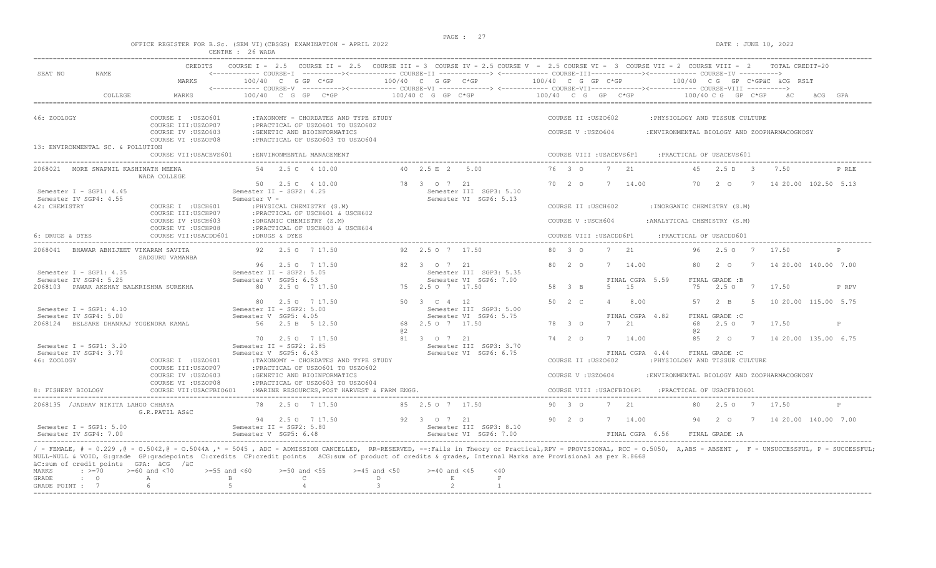OFFICE REGISTER FOR B.Sc. (SEM VI)(CBSGS) EXAMINATION - APRIL 2022 DATE : JUNE 10, 2022

|                                                     |                                                                                        | CENTRE : 26 WADA                                                                                                                              |                                                                  |                                                                                                                                                                                                    |
|-----------------------------------------------------|----------------------------------------------------------------------------------------|-----------------------------------------------------------------------------------------------------------------------------------------------|------------------------------------------------------------------|----------------------------------------------------------------------------------------------------------------------------------------------------------------------------------------------------|
| SEAT NO<br><b>NAME</b>                              | CREDITS<br>MARKS                                                                       | 100/40 C G GP C*GP                                                                                                                            | $100/40$ C G GP $C*GP$                                           | COURSE I - 2.5 COURSE II - 2.5 COURSE III - 3 COURSE IV - 2.5 COURSE V - 2.5 COURSE VI - 3 COURSE VII - 2 COURSE VIII - 2<br>TOTAL CREDIT-20<br>100/40 C G GP C*GP<br>100/40 CG GP C*GPÄC ÄCG RSLT |
| COLLEGE                                             | MARKS                                                                                  | $100/40$ C G GP C*GP                                                                                                                          | 100/40 C G GP C*GP                                               | $100/40$ C G GP C*GP<br>$100/40 \, C \, G$ GP $C*GP$                                                                                                                                               |
| 46: ZOOLOGY<br>13: ENVIRONMENTAL SC. & POLLUTION    | COURSE I : USZO601<br>COURSE III:USZOP07<br>COURSE IV : USZO603<br>COURSE VI : USZOP08 | :TAXONOMY - CHORDATES AND TYPE STUDY<br>: PRACTICAL OF USZO601 TO USZO602<br>:GENETIC AND BIOINFORMATICS<br>: PRACTICAL OF USZ0603 TO USZ0604 |                                                                  | COURSE II : USZO602<br>: PHYSIOLOGY AND TISSUE CULTURE<br>COURSE V : USZ0604<br>:ENVIRONMENTAL BIOLOGY AND ZOOPHARMACOGNOSY                                                                        |
|                                                     | COURSE VII: USACEVS601                                                                 | : ENVIRONMENTAL MANAGEMENT                                                                                                                    |                                                                  | COURSE VIII : USACEVS6P1<br>: PRACTICAL OF USACEVS601                                                                                                                                              |
| 2068021 MORE SWAPNIL KASHINATH MEENA                | WADA COLLEGE                                                                           | 54  2.5  C  4  10.00                                                                                                                          | 40 2.5 E 2 5.00                                                  | 76 3 0<br>2.1<br>7<br>45<br>2.5 D 3<br>7.50<br>P RLE                                                                                                                                               |
| Semester I - SGP1: $4.45$<br>Semester IV SGP4: 4.55 |                                                                                        | 50 2.5 C 4 10.00<br>Semester II - SGP2: 4.25<br>Semester V -                                                                                  | 78 3 0 7 21<br>Semester III SGP3: 5.10<br>Semester VI SGP6: 5.13 | 70 2 0<br>$7\phantom{0}$<br>14.00<br>70<br>2 0<br>7 14 20.00 102.50 5.13                                                                                                                           |
| 42: CHEMISTRY                                       | COURSE I : USCH601<br>COURSE III: USCHP07                                              | : PHYSICAL CHEMISTRY (S.M)<br>: PRACTICAL OF USCH601 & USCH602                                                                                |                                                                  | COURSE II : USCH602<br>: INORGANIC CHEMISTRY (S.M)                                                                                                                                                 |
|                                                     | COURSE IV : USCH603<br>COURSE VI : USCHP08                                             | :ORGANIC CHEMISTRY (S.M)<br>: PRACTICAL OF USCH603 & USCH604                                                                                  |                                                                  | : ANALYTICAL CHEMISTRY (S.M)<br>COURSE V: USCH604                                                                                                                                                  |
| 6: DRUGS & DYES                                     | COURSE VII: USACDD601                                                                  | :DRUGS & DYES                                                                                                                                 |                                                                  | COURSE VIII : USACDD6P1<br>:PRACTICAL OF USACDD601                                                                                                                                                 |
| 2068041 BHAWAR ABHIJEET VIKARAM SAVITA              | SADGURU VAMANBA                                                                        | 92 2.5 0 7 17.50                                                                                                                              | 92 2.5 0 7 17.50                                                 | 2.1<br>80 3 0<br>7<br>96<br>2.507<br>17.50                                                                                                                                                         |
| Semester I - SGP1: $4.35$<br>Semester IV SGP4: 5.25 |                                                                                        | 96 2.5 0 7 17.50<br>Semester II - SGP2: 5.05<br>Semester V SGP5: 6.53                                                                         | 82 3 0 7 21<br>Semester III SGP3: 5.35<br>Semester VI SGP6: 7.00 | 7 14 20.00 140.00 7.00<br>80 2 0<br>7 14.00<br>80<br>2 O<br>FINAL CGPA 5.59<br>FINAL GRADE :B                                                                                                      |
| 2068103 PAWAR AKSHAY BALKRISHNA SUREKHA             |                                                                                        | 80  2.5  0  7  17.50                                                                                                                          | 75 2.5 0 7 17.50                                                 | 58 3 B<br>5<br>15<br>2.5 0 7 17.50<br>75<br>P RPV                                                                                                                                                  |
| Semester $I - SGP1: 4.10$<br>Semester IV SGP4: 5.00 |                                                                                        | 2.5 0 7 17.50<br>80<br>Semester II - SGP2: 5.00<br>Semester V SGP5: 4.05                                                                      | 50 3 C 4 12<br>Semester III SGP3: 5.00<br>Semester VI SGP6: 5.75 | 50 2 C<br>8.00<br>10 20.00 115.00 5.75<br>$\overline{4}$<br>57<br>$2 - B$<br>$5^{\circ}$<br>FINAL CGPA 4.82<br>FINAL GRADE : C                                                                     |
| 2068124 BELSARE DHANRAJ YOGENDRA KAMAL              |                                                                                        | 56<br>2.5 B 5 12.50                                                                                                                           | 68 2.5 0 7 17.50                                                 | 2.1<br>68<br>2.5 0 7 17.50<br>78 3 0<br>7<br>P<br>a2                                                                                                                                               |
| Semester $I - SGP1: 3.20$                           |                                                                                        | 70 2.5 0 7 17.50<br>Semester II - SGP2: 2.85                                                                                                  | 81 3 0 7 21<br>Semester III SGP3: 3.70                           | $74$ 2 0<br>7 14.00<br>85<br>$2\degree$ 0<br>7 14 20.00 135.00 6.75                                                                                                                                |
| Semester IV SGP4: 3.70<br>46: ZOOLOGY               | COURSE I : USZ0601                                                                     | Semester V SGP5: 6.43<br>: TAXONOMY - CHORDATES AND TYPE STUDY                                                                                | Semester VI SGP6: 6.75                                           | FINAL CGPA 4.44<br>FINAL GRADE : C<br>COURSE II : USZO602<br>: PHYSIOLOGY AND TISSUE CULTURE                                                                                                       |
|                                                     | COURSE III:USZOP07<br>COURSE IV : USZO603<br>COURSE VI : USZOP08                       | : PRACTICAL OF USZO601 TO USZO602<br>:GENETIC AND BIOINFORMATICS<br>: PRACTICAL OF USZO603 TO USZO604                                         |                                                                  | COURSE V : USZ0604<br>:ENVIRONMENTAL BIOLOGY AND ZOOPHARMACOGNOSY                                                                                                                                  |
| 8: FISHERY BIOLOGY                                  | COURSE VII: USACFBIO601                                                                | : MARINE RESOURCES, POST HARVEST & FARM ENGG.                                                                                                 |                                                                  | COURSE VIII : USACFBIO6P1<br>: PRACTICAL OF USACFBIO601                                                                                                                                            |
| 2068135 / JADHAV NIKITA LAHOO CHHAYA                | G.R.PATIL AS&C                                                                         | 78 2.5 0 7 17.50                                                                                                                              | 85 2.5 0 7 17.50                                                 | 90 3 0<br>7 21<br>2.5 0 7 17.50<br>80<br>P                                                                                                                                                         |
| Semester I - SGP1: 5.00<br>Semester IV SGP4: 7.00   |                                                                                        | 94 2.5 0 7 17.50<br>Semester II - SGP2: 5.80<br>Semester V SGP5: 6.48                                                                         | 92 3 0 7 21<br>Semester III SGP3: 8.10<br>Semester VI SGP6: 7.00 | 90 2 0<br>7 14.00<br>94   2   0   7   14   20.00   140.00   7.00<br>FINAL CGPA 6.56<br>FINAL GRADE : A                                                                                             |

 $\begin{array}{lllllllll} \texttt{MARKS} & \texttt{:=}& \texttt{>=}70 & \texttt{>=}60 \text{ and } & \texttt{=70} & \texttt{>=}55 \text{ and } & \texttt{<60} & \texttt{>=}50 \text{ and } & \texttt{=55} & \texttt{>=}45 \text{ and } & \texttt{=50} & \texttt{=40} & \text{and } & \texttt{=45} & \texttt{=40} \\ \texttt{GRADE} & \texttt{:=}& \texttt{0} & \texttt{A} & \texttt{B} & \texttt{C} & \texttt{D} & \texttt{E} & \texttt{F$ GRADE : O A B C D E F GRADE POINT : 7 6 5 4 3 2 1 -----------------------------------------------------------------------------------------------------------------------------------------------------------------------------------------------------------------------